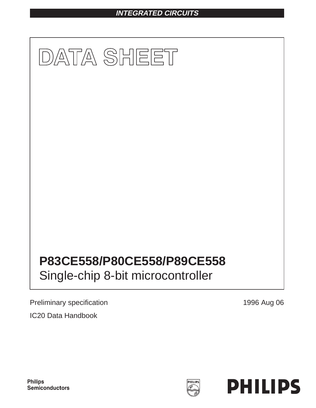# **INTEGRATED CIRCUITS**



Preliminary specification 1996 Aug 06 IC20 Data Handbook



**Philips** Semiconductors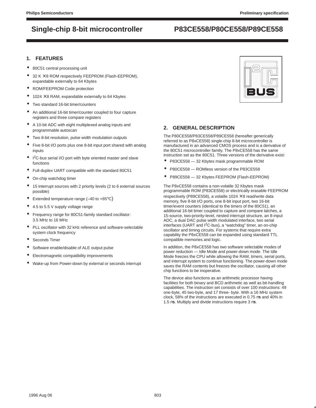### **1. FEATURES**

- 80C51 central processing unit
- $32 K \times 8$  ROM respectively FEEPROM (Flash-EEPROM), expandable externally to 64 Kbytes
- ROM/FEEPROM Code protection
- $\bullet$  1024  $\times$  8 RAM, expandable externally to 64 Kbytes
- Two standard 16-bit timer/counters
- An additional 16-bit timer/counter coupled to four capture registers and three compare registers
- A 10-bit ADC with eight multiplexed analog inputs and programmable autoscan
- Two 8-bit resolution, pulse width modulation outputs
- Five 8-bit I/O ports plus one 8-bit input port shared with analog inputs
- I<sup>2</sup>C-bus serial I/O port with byte oriented master and slave functions
- Full-duplex UART compatible with the standard 80C51
- On-chip watchdog timer
- 15 interrupt sources with 2 priority levels (2 to 6 external sources possible)
- Extended temperature range  $(-40 \text{ to } +85^{\circ} \text{C})$
- 4.5 to 5.5 V supply voltage range
- Frequency range for 80C51-family standard oscillator: 3.5 MHz to 16 MHz
- PLL oscillator with 32 kHz reference and software-selectable system clock frequency
- Seconds Timer
- Software enable/disable of ALE output pulse
- Electromagnetic compatibility improvements
- Wake-up from Power-down by external or seconds interrupt



## **2. GENERAL DESCRIPTION**

The P80CE558/P83CE558/P89CE558 (hereafter generically referred to as P8xCE558) single-chip 8-bit microcontroller is manufactured in an advanced CMOS process and is a derivative of the 80C51 microcontroller family. The P8xCE558 has the same instruction set as the 80C51. Three versions of the derivative exist:

- P83CE558 32 Kbytes mask programmable ROM
- P80CE558 ROMless version of the P83CE558
- P89CE558 32 Kbytes FEEPROM (Flash-EEPROM)

The P8xCE558 contains a non-volatile 32 Kbytes mask programmable ROM (P83CE558) or electrically erasable FEEPROM respectively (P89CE558), a volatile 1024  $\times$  8 read/write data memory, five 8-bit I/O ports, one 8-bit input port, two 16-bit timer/event counters (identical to the timers of the 80C51), an additional 16-bit timer coupled to capture and compare latches, a 15-source, two-priority-level, nested interrupt structure, an 8-input ADC, a dual DAC pulse width modulated interface, two serial interfaces (UART and I2C-bus), a "watchdog" timer, an on-chip oscillator and timing circuits. For systems that require extra capability the P8xCE558 can be expanded using standard TTL compatible memories and logic.

In addition, the P8xCE558 has two software selectable modes of power reduction — Idle Mode and power-down mode. The Idle Mode freezes the CPU while allowing the RAM, timers, serial ports, and interrupt system to continue functioning. The power-down mode saves the RAM contents but freezes the oscillator, causing all other chip functions to be inoperative.

The device also functions as an arithmetic processor having facilities for both binary and BCD arithmetic as well as bit-handling capabilities. The instruction set consists of over 100 instructions: 49 one-byte, 45 two-byte, and 17 three- byte. With a 16 MHz system clock, 58% of the instructions are executed in 0.75 µs and 40% in 1.5 µs. Multiply and divide instructions require 3 µs.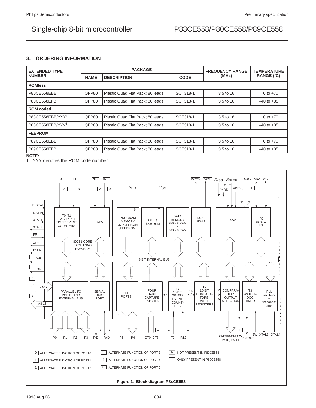## **3. ORDERING INFORMATION**

| <b>EXTENDED TYPE</b>         |             | <b>PACKAGE</b>                   | <b>FREQUENCY RANGE</b> | <b>TEMPERATURE</b> |                |
|------------------------------|-------------|----------------------------------|------------------------|--------------------|----------------|
| <b>NUMBER</b>                | <b>NAME</b> | <b>DESCRIPTION</b>               | <b>CODE</b>            | (MHz)              | RANGE $(°C)$   |
| <b>ROMIess</b>               |             |                                  |                        |                    |                |
| P80CE558EBB                  | QFP80       | Plastic Quad Flat Pack; 80 leads | SOT318-1               | 3.5 to 16          | 0 to $+70$     |
| P80CE558EFB                  | QFP80       | Plastic Quad Flat Pack; 80 leads | SOT318-1               | 3.5 to 16          | $-40$ to $+85$ |
| <b>ROM</b> coded             |             |                                  |                        |                    |                |
| P83CE558EBB/YYY1             | QFP80       | Plastic Quad Flat Pack; 80 leads | SOT318-1               | 3.5 to 16          | 0 to $+70$     |
| P83CE558EFB/YYY <sup>1</sup> | QFP80       | Plastic Quad Flat Pack; 80 leads | SOT318-1               | 3.5 to 16          | $-40$ to $+85$ |
| <b>FEEPROM</b>               |             |                                  |                        |                    |                |
| P89CE558EBB                  | QFP80       | Plastic Quad Flat Pack; 80 leads | SOT318-1               | 3.5 to 16          | 0 to $+70$     |
| P89CE558EFB<br>NOTE.         | QFP80       | Plastic Quad Flat Pack; 80 leads | SOT318-1               | 3.5 to 16          | $-40$ to $+85$ |

**NOTE:**

1. YYY denotes the ROM code number



1996 Aug 06 804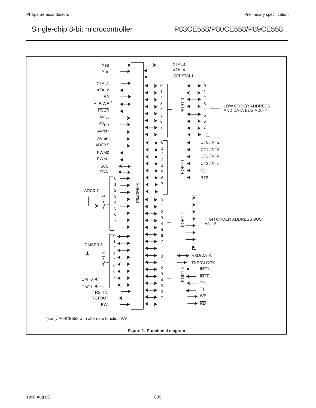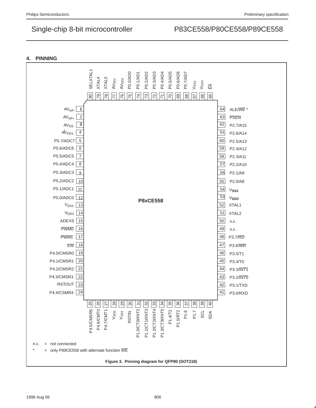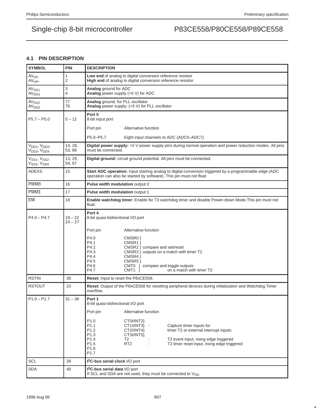## **4.1 PIN DESCRIPTION**

| <b>SYMBOL</b>                                                                | <b>PIN</b>             | <b>DESCRIPTION</b>                                                                                                                                                                                                                                                                                                                                                                                                                                                                   |
|------------------------------------------------------------------------------|------------------------|--------------------------------------------------------------------------------------------------------------------------------------------------------------------------------------------------------------------------------------------------------------------------------------------------------------------------------------------------------------------------------------------------------------------------------------------------------------------------------------|
| $AV_{ref-}$<br>$AV_{ref+}$                                                   | 1<br>$\overline{2}$    | Low end of analog to digital conversion reference resistor<br>High end of analog to digital conversion reference resistor.                                                                                                                                                                                                                                                                                                                                                           |
| AV <sub>SS1</sub><br>AV <sub>DD1</sub>                                       | 3<br>4                 | Analog ground for ADC<br>Analog power supply (+5 V) for ADC                                                                                                                                                                                                                                                                                                                                                                                                                          |
| AV <sub>SS2</sub><br>AV <sub>DD2</sub>                                       | 77<br>76               | Analog ground; for PLL oscillator<br>Analog power supply; (+5 V) for PLL oscillator                                                                                                                                                                                                                                                                                                                                                                                                  |
| $P5.7 - P5.0$                                                                | $5 - 12$               | Port 5<br>8-bit input port                                                                                                                                                                                                                                                                                                                                                                                                                                                           |
|                                                                              |                        | Alternative function<br>Port pin                                                                                                                                                                                                                                                                                                                                                                                                                                                     |
|                                                                              |                        | P5.0-P5.7<br>Eight input channels to ADC (ADC0-ADC7)                                                                                                                                                                                                                                                                                                                                                                                                                                 |
| V <sub>DD1</sub> , V <sub>DD2</sub> ,<br>V <sub>DD3</sub> , V <sub>DD4</sub> | 14, 28,<br>53,66       | Digital power supply: +5 V power supply pins during normal operation and power reduction modes. All pins<br>must be connected.                                                                                                                                                                                                                                                                                                                                                       |
| V <sub>SS1</sub> , V <sub>SS2</sub><br>V <sub>SS3</sub> , V <sub>SS4</sub>   | 13, 29,<br>54, 67      | Digital ground: circuit ground potential. All pins must be connected.                                                                                                                                                                                                                                                                                                                                                                                                                |
| <b>ADEXS</b>                                                                 | 15                     | <b>Start ADC operation:</b> Input starting analog to digital conversion triggered by a programmable edge (ADC<br>operation can also be started by software). This pin must not float                                                                                                                                                                                                                                                                                                 |
| <b>PWM0</b>                                                                  | 16                     | Pulse width modulation output 0                                                                                                                                                                                                                                                                                                                                                                                                                                                      |
| PWM <sub>1</sub>                                                             | 17                     | Pulse width modulation output 1                                                                                                                                                                                                                                                                                                                                                                                                                                                      |
| EW                                                                           | 18                     | Enable watchdog timer: Enable for T3 watchdog timer and disable Power-down Mode. This pin must not<br>float.                                                                                                                                                                                                                                                                                                                                                                         |
| $P4.0 - P4.7$                                                                | $19 - 22$<br>$24 - 27$ | Port 4<br>8-bit quasi-bidirectional I/O port                                                                                                                                                                                                                                                                                                                                                                                                                                         |
|                                                                              |                        | Alternative function<br>Port pin                                                                                                                                                                                                                                                                                                                                                                                                                                                     |
|                                                                              |                        | P4.0<br>CMSR0 }<br>P4.1<br>CMSR1 }<br>P4.2<br>CMSR2 } compare and set/reset<br>P4.3<br>CMSR3 } outputs on a match with timer T2<br>P4.4<br>CMSR4 }<br>P4.5<br>CMSR <sub>5</sub> }<br>P4.6<br>CMT0 } compare and toggle outputs<br>P4.7<br>on a match with timer T2<br>$CMT1$ }                                                                                                                                                                                                       |
| <b>RSTIN</b>                                                                 | 30                     | Reset: Input to reset the P8xCE558.                                                                                                                                                                                                                                                                                                                                                                                                                                                  |
| <b>RSTOUT</b>                                                                | 23                     | Reset: Output of the P8xCE558 for resetting peripheral devices during initialization and Watchdog Timer<br>overflow.                                                                                                                                                                                                                                                                                                                                                                 |
| $P1.0 - P1.7$                                                                | $31 - 38$              | Port 1<br>8-bit quasi-bidirectional I/O port<br>Alternative function<br>Port pin<br>P <sub>1.0</sub><br>CT0I/INT2}<br>P <sub>1.1</sub><br>CT1I/INT3} :<br>Capture timer inputs for<br>timer T2 or external interrupt inputs<br>P <sub>1.2</sub><br>CT2I/INT4}<br>P <sub>1.3</sub><br>CT3I/INT5}<br>P <sub>1.4</sub><br>T2<br>T2 event input, rising edge triggered<br>P <sub>1.5</sub><br>RT <sub>2</sub><br>T2 timer reset input, rising edge triggered<br>P1.6<br>P <sub>1.7</sub> |
| <b>SCL</b>                                                                   | 39                     | <b>I<sup>2</sup>C-bus serial clock</b> I/O port                                                                                                                                                                                                                                                                                                                                                                                                                                      |
| <b>SDA</b>                                                                   | 40                     | <b>I<sup>2</sup>C-bus serial data I/O port</b><br>If SCL and SDA are not used, they must be connected to V <sub>SS</sub> .                                                                                                                                                                                                                                                                                                                                                           |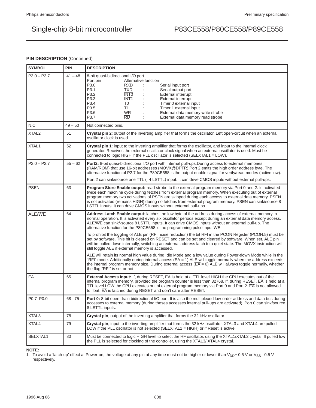## **PIN DESCRIPTION (Continued)**

| <b>SYMBOL</b>     | <b>PIN</b> | <b>DESCRIPTION</b>                                                                                                                                                                                                                                                                                                                                                                                                                                                                                                                                                                                                                                                                                                                                                                                                                                                                                                                                                                                                                                                                                                                                                                                                                  |
|-------------------|------------|-------------------------------------------------------------------------------------------------------------------------------------------------------------------------------------------------------------------------------------------------------------------------------------------------------------------------------------------------------------------------------------------------------------------------------------------------------------------------------------------------------------------------------------------------------------------------------------------------------------------------------------------------------------------------------------------------------------------------------------------------------------------------------------------------------------------------------------------------------------------------------------------------------------------------------------------------------------------------------------------------------------------------------------------------------------------------------------------------------------------------------------------------------------------------------------------------------------------------------------|
| $P3.0 - P3.7$     | $41 - 48$  | 8-bit quasi-bidirectional I/O port<br>Alternative function<br>Port pin<br>P3.0<br><b>RXD</b><br>Serial input port<br>P3.1<br><b>TXD</b><br>Serial output port<br>P3.2<br><b>INTO</b><br><b>External interrupt</b><br>P3.3<br>INT <sub>1</sub><br>External interrupt<br>P3.4<br>T0<br>Timer 0 external input<br>P3.5<br>T1<br>Timer 1 external input<br>P3.6<br><b>WR</b><br>External data memory write strobe<br>P3.7<br>RD<br>External data memory read strobe                                                                                                                                                                                                                                                                                                                                                                                                                                                                                                                                                                                                                                                                                                                                                                     |
| N.C.              | $49 - 50$  | Not connected pins.                                                                                                                                                                                                                                                                                                                                                                                                                                                                                                                                                                                                                                                                                                                                                                                                                                                                                                                                                                                                                                                                                                                                                                                                                 |
| XTAL <sub>2</sub> | 51         | Crystal pin 2: output of the inverting amplifier that forms the oscillator. Left open-circuit when an external<br>oscillator clock is used.                                                                                                                                                                                                                                                                                                                                                                                                                                                                                                                                                                                                                                                                                                                                                                                                                                                                                                                                                                                                                                                                                         |
| XTAL1             | 52         | Crystal pin 1: input to the inverting amplifier that forms the oscillator, and input to the internal clock<br>generator. Receives the external oscillator clock signal when an external oscillator is used. Must be<br>connected to logic HIGH if the PLL oscillator is selected (SELXTAL1 = LOW).                                                                                                                                                                                                                                                                                                                                                                                                                                                                                                                                                                                                                                                                                                                                                                                                                                                                                                                                  |
| $P2.0 - P2.7$     | $55 - 62$  | <b>Port2:</b> 8-bit quasi-bidirectional I/O port with internal pull-ups. During access to external memories<br>(RAM/ROM) that use 16-bit addresses (MOVX@DPTR) Port 2 emits the high order address byte. The<br>alternative function of P2.7 for the P89CE558 is the output enable signal for verify/read modes (active low).<br>Port 2 can sink/source one TTL (=4 LSTTL) input. It can drive CMOS inputs without external pull-ups.                                                                                                                                                                                                                                                                                                                                                                                                                                                                                                                                                                                                                                                                                                                                                                                               |
| <b>PSEN</b>       | 63         | Program Store Enable output: read strobe to the external program memory via Port 0 and 2. Is activated<br>twice each machine cycle during fetches from external program memory. When executing out of external<br>program memory two activations of PSEN are skipped during each access to external data memory. PSEN<br>is not activated (remains HIGH) during no fetches from external program memory. PSEN can sink/source 8<br>LSTTL inputs. It can drive CMOS inputs without external pull-ups.                                                                                                                                                                                                                                                                                                                                                                                                                                                                                                                                                                                                                                                                                                                                |
| ALE/WE            | 64         | Address Latch Enable output: latches the low byte of the address during access of external memory in<br>normal operation. It is activated every six oscillator periods except during an external data memory access.<br>ALE/WE can sink/-source 8 LSTTL inputs. It can drive CMOS inputs without an external pull-up. The<br>alternative function for the P89CE558 is the programming pulse input $\overline{\text{WE}}$ .<br>To prohibit the toggling of ALE pin (RFI noise reduction) the bit RFI in the PCON Register (PCON.5) must be<br>set by software. This bit is cleared on RESET and can be set and cleared by software. When set, ALE pin<br>will be pulled down internally, switching an external address latch to a quiet state. The MOVX instruction will<br>still toggle ALE if external memory is accessed.<br>ALE will retain its normal high value during Idle Mode and a low value during Power-down Mode while in the<br>"RFI" mode. Additionally during internal access ( $\overline{FA}$ = 1) ALE will toggle normally when the address exceeds<br>the internal program memory size. During external access ( $\overline{EA} = 0$ ) ALE will always toggle normally, whether<br>the flag "RFI" is set or not. |
| EA                | 65         | <b>External Access Input:</b> If, during RESET, $\overline{EA}$ is held at a TTL level HIGH the CPU executes out of the<br>internal program memory, provided the program counter is less than 32768. If, during RESET, EA is held at a<br>TTL level LOW the CPU executes out of external program memory via Port 0 and Port 2. EA is not allowed<br>to float. EA is latched during RESET and don't care after RESET.                                                                                                                                                                                                                                                                                                                                                                                                                                                                                                                                                                                                                                                                                                                                                                                                                |
| P0.7-P0.0         | $68 - 75$  | <b>Port 0:</b> 8-bit open drain bidirectional I/O port. It is also the multiplexed low-order address and data bus during<br>accesses to external memory (during theses accesses internal pull-ups are activated). Port 0 can sink/source<br>8 LSTTL inputs.                                                                                                                                                                                                                                                                                                                                                                                                                                                                                                                                                                                                                                                                                                                                                                                                                                                                                                                                                                         |
| XTAL3             | 78         | Crystal pin, output of the inverting amplifier that forms the 32 kHz oscillator                                                                                                                                                                                                                                                                                                                                                                                                                                                                                                                                                                                                                                                                                                                                                                                                                                                                                                                                                                                                                                                                                                                                                     |
| XTAL4             | 79         | Crystal pin, input to the inverting amplifier that forms the 32 kHz oscillator. XTAL3 and XTAL4 are pulled<br>LOW if the PLL oscillator is not selected (SELXTAL1 = HIGH) or if Reset is active.                                                                                                                                                                                                                                                                                                                                                                                                                                                                                                                                                                                                                                                                                                                                                                                                                                                                                                                                                                                                                                    |
| SELXTAL1          | 80         | Must be connected to logic HIGH level to select the HF oscillator, using the XTAL1/XTAL2 crystal. If pulled low<br>the PLL is selected for clocking of the controller, using the XTAL3/XTAL4 crystal.                                                                                                                                                                                                                                                                                                                                                                                                                                                                                                                                                                                                                                                                                                                                                                                                                                                                                                                                                                                                                               |

## **NOTE:**

1. To avoid a 'latch-up' effect at Power-on, the voltage at any pin at any time must not be higher or lower than  $V_{DD}$ + 0.5 V or  $V_{SS}$  – 0.5 V respectively.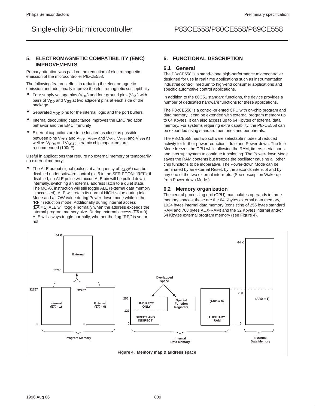## **5. ELECTROMAGNETIC COMPATIBILITY (EMC) IMPROVEMENTS**

Primary attention was paid on the reduction of electromagnetic emission of the microcontroller P8xCE558.

The following features effect in reducing the electromagnetic emission and additionally improve the electromagnetic susceptibility:

- Four supply voltage pins ( $V_{DD}$ ) and four ground pins ( $V_{SS}$ ) with pairs of  $V_{DD}$  and  $V_{SS}$  at two adjacent pins at each side of the package.
- Separated  $V_{DD}$  pins for the internal logic and the port buffers
- Internal decoupling capacitance improves the EMC radiation behavior and the EMC immunity
- External capacitors are to be located as close as possible between pins  $V_{DD1}$  and  $V_{SS1}$ ,  $V_{DD2}$  and  $V_{SS2}$ ,  $V_{DD3}$  and  $V_{SS3}$  as well as  $V_{DD4}$  and  $V_{SS4}$  ; ceramic chip capacitors are recommended (100nF).

Useful in applications that require no external memory or temporarily no external memory:

The ALE output signal (pulses at a frequency of  $f_{\text{CL K}}/6$ ) can be disabled under software control (bit 5 in the SFR PCON: "RFI"); if disabled, no ALE pulse will occur. ALE pin will be pulled down internally, switching an external address latch to a quiet state. The MOVX instruction will still toggle ALE (external data memory is accessed). ALE will retain its normal HIGH value during Idle Mode and a LOW value during Power-down mode while in the "RFI" reduction mode. Additionally during internal access  $(EA = 1)$  ALE will toggle normally when the address exceeds the internal program memory size. During external access ( $\overline{EA} = 0$ ) ALE will always toggle normally, whether the flag "RFI" is set or not.

## **6. FUNCTIONAL DESCRIPTION**

### **6.1 General**

The P8xCE558 is a stand-alone high-performance microcontroller designed for use in real time applications such as instrumentation, industrial control, medium to high-end consumer applications and specific automotive control applications.

In addition to the 80C51 standard functions, the device provides a number of dedicated hardware functions for these applications.

The P8xCE558 is a control-oriented CPU with on-chip program and data memory. It can be extended with external program memory up to 64 Kbytes. It can also access up to 64 Kbytes of external data memory. For systems requiring extra capability, the P8xCE558 can be expanded using standard memories and peripherals.

The P8xCE558 has two software selectable modes of reduced activity for further power reduction – Idle and Power-down. The Idle Mode freezes the CPU while allowing the RAM, timers, serial ports and interrupt system to continue functioning. The Power-down Mode saves the RAM contents but freezes the oscillator causing all other chip functions to be inoperative. The Power-down Mode can be terminated by an external Reset, by the seconds interrupt and by any one of the two external interrupts. (See description Wake-up from Power-down Mode.)

### **6.2 Memory organization**

The central processing unit (CPU) manipulates operands in three memory spaces; these are the 64 Kbytes external data memory, 1024 bytes internal data memory (consisting of 256 bytes standard RAM and 768 bytes AUX-RAM) and the 32 Kbytes internal and/or 64 Kbytes external program memory (see Figure 4).

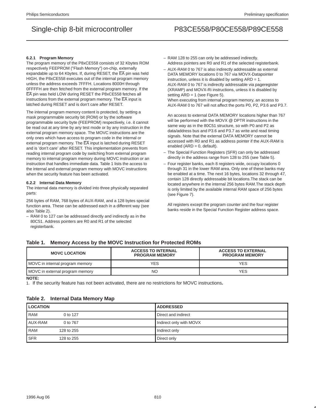### **6.2.1 Program Memory**

The program memory of the P8xCE558 consists of 32 Kbytes ROM respectively FEEPROM ("Flash Memory") on-chip, externally expandable up to 64 Kbytes. If, during RESET, the EA pin was held HIGH, the P8xCE558 executes out of the internal program memory unless the address exceeds 7FFFH. Locations 8000H through 0FFFFH are then fetched from the external program memory. If the EA pin was held LOW during RESET the P8xCE558 fetches all instructions from the external program memory. The  $\overline{EA}$  input is latched during RESET and is don't care after RESET.

The internal program memory content is protected, by setting a mask programmable security bit (ROM) or by the software programmable security byte (FEEPROM) respectively, i.e. it cannot be read out at any time by any test mode or by any instruction in the external program memory space. The MOVC instructions are the only ones which have access to program code in the internal or external program memory. The  $\overline{EA}$  input is latched during RESET and is 'don't care' after RESET. This implementation prevents from reading internal program code by switching from external program memory to internal program memory during MOVC instruction or an instruction that handles immediate data. Table 1 lists the access to the internal and external program memory with MOVC instructions when the security feature has been activated.

### **6.2.2 Internal Data Memory**

The internal data memory is divided into three physically separated parts:

256 bytes of RAM, 768 bytes of AUX-RAM, and a 128 bytes special function area. These can be addressed each in a different way (see also Table 2).

– RAM 0 to 127 can be addressed directly and indirectly as in the 80C51. Address pointers are R0 and R1 of the selected registerbank.

- RAM 128 to 255 can only be addressed indirectly. Address pointers are R0 and R1 of the selected registerbank.
- AUX-RAM 0 to 767 is also indirectly addressable as external DATA MEMORY locations 0 to 767 via MOVX-Datapointer instruction, unless it is disabled by setting ARD = 1. AUX-RAM 0 to 767 is indirectly addressable via pageregister (XRAMP) and MOVX-Ri instructions, unless it is disabled by setting ARD = 1 (see Figure 5). When executing from internal program memory, an access to

AUX-RAM 0 to 767 will not affect the ports P0, P2, P3.6 and P3.7.

An access to external DATA MEMORY locations higher than 767 will be performed with the MOVX @ DPTR instructions in the same way as in the 80C51 structure, so with P0 and P2 as data/address bus and P3.6 and P3.7 as write and read timing signals. Note that the external DATA MEMORY cannot be accessed with R0 and R1 as address pointer if the AUX-RAM is enabled (ARD = 0, default).

- The Special Function Registers (SFR) can only be addressed directly in the address range from 128 to 255 (see Table 5).
- Four register banks, each 8 registers wide, occupy locations 0 through 31 in the lower RAM area. Only one of these banks may be enabled at a time. The next 16 bytes, locations 32 through 47, contain 128 directly addressable bit locations.The stack can be located anywhere in the internal 256 bytes RAM.The stack depth is only limited by the available internal RAM space of 256 bytes (see Figure 7).

All registers except the program counter and the four register banks reside in the Special Function Register address space.

## **Table 1. Memory Access by the MOVC Instruction for Protected ROMs**

| <b>MOVC LOCATION</b>            | <b>ACCESS TO INTERNAL</b><br><b>PROGRAM MEMORY</b> | <b>ACCESS TO EXTERNAL</b><br><b>PROGRAM MEMORY</b> |
|---------------------------------|----------------------------------------------------|----------------------------------------------------|
| MOVC in internal program memory | YES                                                | <b>YES</b>                                         |
| MOVC in external program memory | <b>NC</b>                                          | YES                                                |

**NOTE:**

1. If the security feature has not been activated, there are no restrictions for MOVC instructions**.**

### **Table 2. Internal Data Memory Map**

| <b>LOCATION</b> |            | <b>ADDRESSED</b>        |
|-----------------|------------|-------------------------|
| <b>RAM</b>      | 0 to 127   | Direct and indirect     |
| l AUX-RAM       | 0 to 767   | Indirect only with MOVX |
| <b>RAM</b>      | 128 to 255 | Indirect only           |
| <b>SFR</b>      | 128 to 255 | Direct only             |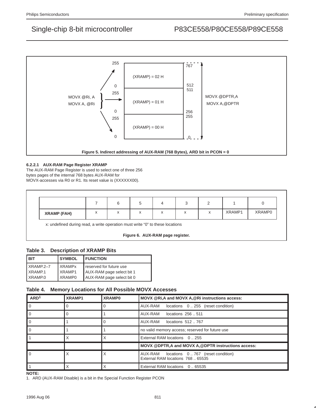

## **6.2.2.1 AUX-RAM Page Register XRAMP**

The AUX-RAM Page Register is used to select one of three 256 bytes pages of the internal 768 bytes AUX-RAM for

MOVX-accesses via R0 or R1. Its reset value is (XXXXXX00).

| <b>XRAMP (FAH)</b> | $\overline{\phantom{a}}$ |  | $\lambda$ | $\ddot{\phantom{1}}$<br>$\lambda$ | XRAMP1 | XRAMP0 |
|--------------------|--------------------------|--|-----------|-----------------------------------|--------|--------|

x: undefined during read, a write operation must write "0" to these locations

**Figure 6. AUX-RAM page register.**

## **Table 3. Description of XRAMP Bits**

| <b>SYMBOL</b><br>I BIT |              |                    | <b>I FUNCTION</b>         |
|------------------------|--------------|--------------------|---------------------------|
|                        | $X$ RAMP.2-7 | <b>XRAMPx</b>      | I reserved for future use |
|                        | $X$ RAMP.1   | XRAMP1             | AUX-RAM page select bit 1 |
|                        | $X$ RAMP.0   | XRAMP <sub>0</sub> | AUX-RAM page select bit 0 |

## **Table 4. Memory Locations for All Possible MOVX Accesses**

| ARD <sup>1</sup> | XRAMP1   | <b>XRAMP0</b> | MOVX @Ri, A and MOVX A, @Ri instructions access:                              |
|------------------|----------|---------------|-------------------------------------------------------------------------------|
| $\Omega$         | $\Omega$ |               | AUX-RAM<br>locations 0255 (reset condition)                                   |
|                  | $\Omega$ |               | AUX-RAM locations 256  511                                                    |
|                  |          |               | AUX-RAM locations 512767                                                      |
|                  |          |               | no valid memory access; reserved for future use                               |
|                  |          |               | External RAM locations 0255                                                   |
|                  |          |               | MOVX @DPTR, A and MOVX A, @DPTR instructions access:                          |
|                  |          |               | AUX-RAM locations 0767 (reset condition)<br>External RAM locations 768  65535 |
|                  |          |               | External RAM locations 065535                                                 |

**NOTE:**

1. ARD (AUX-RAM Disable) is a bit in the Special Function Register PCON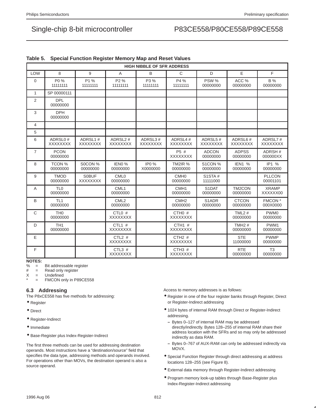|                |                             |                                 |                                        | <b>HIGH NIBBLE OF SFR ADDRESS</b> |                              |                                |                            |                                |
|----------------|-----------------------------|---------------------------------|----------------------------------------|-----------------------------------|------------------------------|--------------------------------|----------------------------|--------------------------------|
| <b>LOW</b>     | 8                           | 9                               | A                                      | B                                 | $\mathsf{C}$                 | D                              | E                          | F                              |
| $\Omega$       | P0 %<br>11111111            | P1 %<br>11111111                | P <sub>2</sub> %<br>11111111           | P3 %<br>11111111                  | P4 %<br>11111111             | PSW %<br>00000000              | ACC %<br>00000000          | <b>B</b> %<br>00000000         |
| $\mathbf{1}$   | SP 00000111                 |                                 |                                        |                                   |                              |                                |                            |                                |
| 2              | <b>DPL</b><br>00000000      |                                 |                                        |                                   |                              |                                |                            |                                |
| 3              | <b>DPH</b><br>00000000      |                                 |                                        |                                   |                              |                                |                            |                                |
| 4              |                             |                                 |                                        |                                   |                              |                                |                            |                                |
| 5              |                             |                                 |                                        |                                   |                              |                                |                            |                                |
| 6              | ADRSL0#<br><b>XXXXXXXX</b>  | ADRSL1#<br><b>XXXXXXXX</b>      | ADRSL <sub>2#</sub><br><b>XXXXXXXX</b> | ADRSL3#<br><b>XXXXXXXX</b>        | ADRSL4#<br><b>XXXXXXXX</b>   | ADRSL5#<br><b>XXXXXXXX</b>     | ADRSL6#<br><b>XXXXXXXX</b> | ADRSL7#<br><b>XXXXXXXX</b>     |
| $\overline{7}$ | <b>PCON</b><br>00000000     |                                 |                                        |                                   | P5 #<br><b>XXXXXXXX</b>      | <b>ADCON</b><br>00000000       | <b>ADPSS</b><br>00000000   | ADRSH#<br>000000XX             |
| 8              | <b>TCON %</b><br>00000000   | S0CON %<br>00000000             | IENO <sub>%</sub><br>00000000          | <b>IPO</b> %<br>X0000000          | <b>TM2IR %</b><br>00000000   | S1CON %<br>00000000            | <b>IEN1 %</b><br>00000000  | IP1 %<br>00000000              |
| 9              | <b>TMOD</b><br>00000000     | <b>SOBUF</b><br><b>XXXXXXXX</b> | CML <sub>0</sub><br>00000000           |                                   | CMH <sub>0</sub><br>00000000 | <b>S1STA#</b><br>11111000      |                            | <b>PLLCON</b><br>00001101      |
| A              | TL <sub>0</sub><br>00000000 |                                 | CML <sub>1</sub><br>00000000           |                                   | CMH <sub>1</sub><br>00000000 | S <sub>1</sub> DAT<br>00000000 | TM2CON<br>00000000         | <b>XRAMP</b><br>XXXXXX00       |
| B              | TL <sub>1</sub><br>00000000 |                                 | CML <sub>2</sub><br>00000000           |                                   | CMH <sub>2</sub><br>00000000 | S1ADR<br>00000000              | <b>CTCON</b><br>00000000   | FMCON <sup>*</sup><br>000X0000 |
| C              | TH <sub>0</sub><br>00000000 |                                 | $CTLO$ #<br><b>XXXXXXXX</b>            |                                   | $CTHO$ #<br><b>XXXXXXXX</b>  |                                | TML $2#$<br>00000000       | PWM <sub>0</sub><br>00000000   |
| D              | TH <sub>1</sub><br>00000000 |                                 | CTL1 $#$<br><b>XXXXXXXX</b>            |                                   | CTH1 $#$<br><b>XXXXXXXX</b>  |                                | TMH $2#$<br>00000000       | PWM1<br>00000000               |
| E              |                             |                                 | $CTL2$ #<br><b>XXXXXXXX</b>            |                                   | CTH2#<br><b>XXXXXXXX</b>     |                                | <b>STE</b><br>11000000     | <b>PWMP</b><br>00000000        |
| F              |                             |                                 | CTL3 $#$<br><b>XXXXXXXX</b>            |                                   | CTH3 $#$<br><b>XXXXXXXX</b>  |                                | <b>RTE</b><br>00000000     | T <sub>3</sub><br>00000000     |

## **Table 5. Special Function Register Memory Map and Reset Values**

# NOTES:<br>% =

= Bit addressable register

# = Read only register

- X = Undefined
	- = FMCON only in P89CE558

### **6.3 Addressing**

The P8xCE558 has five methods for addressing:

- Register
- Direct
- Register-Indirect
- Immediate
- Base-Register plus Index-Register-Indirect

The first three methods can be used for addressing destination operands. Most instructions have a "destination/source" field that specifies the data type, addressing methods and operands involved. For operations other than MOVs, the destination operand is also a source operand.

Access to memory addresses is as follows:

- Register in one of the four register banks through Register, Direct or Register-Indirect addressing
- 1024 bytes of internal RAM through Direct or Register-Indirect addressing.
	- **–** Bytes 0–127 of internal RAM may be addressed directly/indirectly. Bytes 128–255 of internal RAM share their address location with the SFRs and so may only be addressed indirectly as data RAM.
	- **–** Bytes 0–767 of AUX-RAM can only be addressed indirectly via MOVX.
- Special Function Register through direct addressing at address locations 128–255 (see Figure 8).
- External data memory through Register-Indirect addressing
- Program memory look-up tables through Base-Register plus Index-Register-Indirect addressing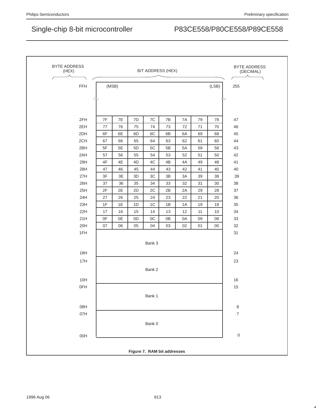| BYTE ADDRESS<br>(HEX) |       |    |    |                | <b>BIT ADDRESS (HEX)</b>    |    |    |       | <b>BYTE ADDRESS</b><br>(DECIMAL) |
|-----------------------|-------|----|----|----------------|-----------------------------|----|----|-------|----------------------------------|
| FFH                   | (MSB) |    |    |                |                             |    |    | (LSB) | 255                              |
|                       |       |    |    |                |                             |    |    |       |                                  |
|                       |       |    |    |                |                             |    |    |       |                                  |
|                       |       |    |    |                |                             |    |    |       |                                  |
| 2FH                   | 7F    | 7E | 7D | 7C             | 7B                          | 7A | 79 | 78    | 47                               |
| 2EH                   | 77    | 76 | 75 | 74             | 73                          | 72 | 71 | 70    | 46                               |
| 2DH                   | 6F    | 6E | 6D | 6C             | 6B                          | 6A | 69 | 68    | 45                               |
| 2CH                   | 67    | 66 | 65 | 64             | 63                          | 62 | 61 | 60    | 44                               |
| 2BH                   | 5F    | 5E | 5D | 5C             | 5B                          | 5A | 59 | 58    | 43                               |
| 2AH                   | 57    | 56 | 55 | 54             | 53                          | 52 | 51 | 50    | 42                               |
| 29H                   | 4F    | 4E | 4D | 4C             | 4B                          | 4A | 49 | 48    | 41                               |
| 28H                   | 47    | 46 | 45 | 44             | 43                          | 42 | 41 | 40    | 40                               |
| 27H                   | 3F    | 3E | 3D | 3C             | 3B                          | 3A | 39 | 38    | 39                               |
| 26H                   | 37    | 36 | 35 | 34             | 33                          | 32 | 31 | 30    | 38                               |
| 25H                   | 2F    | 2E | 2D | 2C             | 2B                          | 2A | 29 | 28    | 37                               |
| 24H                   | 27    | 26 | 25 | 24             | 23                          | 22 | 21 | 20    | 36                               |
| 23H                   | 1F    | 1E | 1D | 1 <sup>C</sup> | 1B                          | 1A | 19 | 18    | 35                               |
| 22H                   | 17    | 16 | 15 | 14             | 13                          | 12 | 11 | 10    | 34                               |
| 21H                   | 0F    | 0E | 0D | OC             | 0B                          | 0A | 09 | 08    | 33                               |
| 20H                   | 07    | 06 | 05 | 04             | 03                          | 02 | 01 | 00    | 32                               |
| 1FH                   |       |    |    |                |                             |    |    |       | 31                               |
|                       |       |    |    |                |                             |    |    |       |                                  |
|                       |       |    |    | Bank 3         |                             |    |    |       |                                  |
| 18H                   |       |    |    |                |                             |    |    |       | 24                               |
| 17H                   |       |    |    |                |                             |    |    |       | 23                               |
|                       |       |    |    | Bank 2         |                             |    |    |       |                                  |
|                       |       |    |    |                |                             |    |    |       |                                  |
| 10H                   |       |    |    |                |                             |    |    |       | 16                               |
| 0FH                   |       |    |    |                |                             |    |    |       | $15\,$                           |
|                       |       |    |    | Bank 1         |                             |    |    |       |                                  |
| 08H                   |       |    |    |                |                             |    |    |       | $\,8\,$                          |
| 07H                   |       |    |    |                |                             |    |    |       | $\overline{\mathcal{I}}$         |
|                       |       |    |    |                |                             |    |    |       |                                  |
|                       |       |    |    | Bank 0         |                             |    |    |       |                                  |
| 00H                   |       |    |    |                |                             |    |    |       | $\mbox{O}$                       |
|                       |       |    |    |                |                             |    |    |       |                                  |
|                       |       |    |    |                | Figure 7. RAM bit addresses |    |    |       |                                  |
|                       |       |    |    |                |                             |    |    |       |                                  |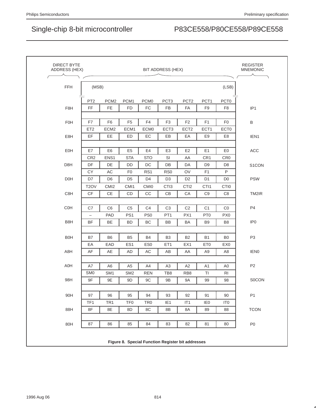|                  |                       |                  |                  |                  | BIT ADDRESS (HEX) |                  |                       |                     | <b>MNEMONIC</b>  |
|------------------|-----------------------|------------------|------------------|------------------|-------------------|------------------|-----------------------|---------------------|------------------|
| <b>FFH</b>       | (MSB)                 |                  |                  |                  |                   |                  |                       | (LSB)               |                  |
|                  | PT <sub>2</sub>       | PCM <sub>2</sub> | PCM1             | PCM <sub>0</sub> | PCT <sub>3</sub>  | PCT <sub>2</sub> | PCT1                  | PCT <sub>0</sub>    |                  |
| F8H              | FF                    | <b>FE</b>        | <b>FD</b>        | FC               | <b>FB</b>         | FA               | F <sub>9</sub>        | F <sub>8</sub>      | IP <sub>1</sub>  |
| FOH              | F7                    | F <sub>6</sub>   | F <sub>5</sub>   | F <sub>4</sub>   | F <sub>3</sub>    | F <sub>2</sub>   | F <sub>1</sub>        | F <sub>0</sub>      | B                |
|                  | ET <sub>2</sub>       | ECM <sub>2</sub> | ECM1             | ECM <sub>0</sub> | ECT <sub>3</sub>  | ECT <sub>2</sub> | ECT1                  | ECT <sub>0</sub>    |                  |
| E8H              | EF                    | EE               | ED               | EC               | EB                | EA               | E9                    | E <sub>8</sub>      | IEN1             |
|                  |                       |                  |                  |                  |                   |                  |                       |                     |                  |
| EOH              | E7                    | E <sub>6</sub>   | E <sub>5</sub>   | E4               | E <sub>3</sub>    | E <sub>2</sub>   | E1                    | E <sub>0</sub>      | ACC              |
| D <sub>8</sub> H | CR <sub>2</sub><br>DF | ENS1<br>DE       | <b>STA</b><br>DD | <b>STO</b><br>DC | SI<br>DB          | AA<br>DA         | CR1<br>D <sub>9</sub> | CR <sub>0</sub>     |                  |
|                  | <b>CY</b>             | AC               | F <sub>0</sub>   | RS <sub>1</sub>  | RS <sub>0</sub>   | OV               | F <sub>1</sub>        | D <sub>8</sub><br>P | S1CON            |
| D <sub>OH</sub>  | D7                    | D <sub>6</sub>   | D <sub>5</sub>   | D <sub>4</sub>   | D <sub>3</sub>    | D <sub>2</sub>   | D <sub>1</sub>        | D <sub>0</sub>      | <b>PSW</b>       |
|                  | T <sub>2</sub> OV     | CMI <sub>2</sub> | CMI1             | <b>CMI0</b>      | CTI <sub>3</sub>  | CTI <sub>2</sub> | CTI1                  | CTI <sub>0</sub>    |                  |
| C8H              | <b>CF</b>             | <b>CE</b>        | CD               | CC               | CB                | CA               | C <sub>9</sub>        | C <sub>8</sub>      | TM2IR            |
|                  |                       |                  |                  |                  |                   |                  |                       |                     |                  |
| <b>C0H</b>       | C7                    | C <sub>6</sub>   | C <sub>5</sub>   | C <sub>4</sub>   | C <sub>3</sub>    | C <sub>2</sub>   | C <sub>1</sub>        | CO                  | P <sub>4</sub>   |
|                  | -                     | PAD              | PS <sub>1</sub>  | PS <sub>0</sub>  | PT <sub>1</sub>   | PX1              | PT <sub>0</sub>       | PX <sub>0</sub>     |                  |
| B8H              | <b>BF</b>             | <b>BE</b>        | <b>BD</b>        | BC               | <b>BB</b>         | <b>BA</b>        | B <sub>9</sub>        | B <sub>8</sub>      | IP <sub>0</sub>  |
| <b>B0H</b>       | B7                    | B6               | B <sub>5</sub>   | <b>B4</b>        | B <sub>3</sub>    | <b>B2</b>        | <b>B1</b>             | B <sub>0</sub>      | P <sub>3</sub>   |
|                  | EA                    | EAD              | ES <sub>1</sub>  | ES <sub>0</sub>  | ET <sub>1</sub>   | EX1              | ET <sub>0</sub>       | EX <sub>0</sub>     |                  |
| A8H              | AF                    | AE               | AD               | AC               | AB                | AA               | A <sub>9</sub>        | A8                  | IEN <sub>0</sub> |
| A0H              | A7                    | A <sub>6</sub>   | A <sub>5</sub>   | A4               | A <sub>3</sub>    | A2               | A <sub>1</sub>        | A <sub>0</sub>      | P <sub>2</sub>   |
|                  | SM <sub>0</sub>       | SM <sub>1</sub>  | SM <sub>2</sub>  | <b>REN</b>       | TB8               | RB <sub>8</sub>  | TI                    | R <sub>l</sub>      |                  |
| 98H              | 9F                    | 9E               | 9D               | 9C               | 9Β                | 9A               | 99                    | 98                  | <b>SOCON</b>     |
|                  |                       |                  |                  |                  |                   |                  |                       |                     |                  |
| 90H              | 97                    | 96               | 95               | 94               | 93                | 92               | 91                    | 90                  | P <sub>1</sub>   |
|                  | TF1                   | TR <sub>1</sub>  | TF <sub>0</sub>  | TR <sub>0</sub>  | IE <sub>1</sub>   | IT1              | IE <sub>0</sub>       | IT <sub>0</sub>     |                  |
| 88H              | 8F                    | 8E               | 8D               | 8C               | 8B                | 8A               | 89                    | 88                  | <b>TCON</b>      |
| 80H              | 87                    | 86               | 85               | 84               | 83                | 82               | 81                    | 80                  | P <sub>0</sub>   |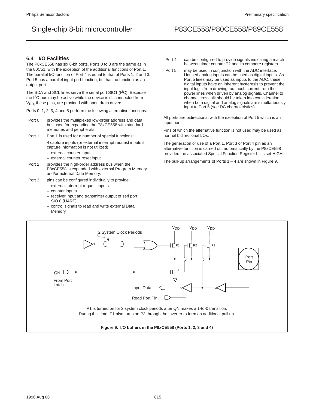### **6.4 I/O Facilities**

The P8xCE558 has six 8-bit ports. Ports 0 to 3 are the same as in the 80C51, with the exception of the additional functions of Port 1. The parallel I/O function of Port 4 is equal to that of Ports 1, 2 and 3. Port 5 has a parallel input port function, but has no function as an output port.

The SDA and SCL lines serve the serial port SIO1 (I<sup>2</sup>C). Because the I<sup>2</sup>C-bus may be active while the device is disconnected from  $V_{DD}$  these pins, are provided with open drain drivers.

Ports 0, 1, 2, 3, 4 and 5 perform the following alternative functions:

- Port 0 : provides the multiplexed low-order address and data bus used for expanding the P8xCE558 with standard memories and peripherals.
- Port 1 : Port 1 is used for a number of special functions:

4 capture inputs (or external interrupt request inputs if capture information is not utilized)

- external counter input
- external counter reset input
- Port 2 : provides the high-order address bus when the P8xCE558 is expanded with external Program Memory and/or external Data Memory.
- Port 3 : pins can be configured individually to provide:
	- external interrupt request inputs
	- counter inputs
	- receiver input and transmitter output of seri port SIO 0 (UART)
	- control signals to read and write external Data Memory
- Port 4 : can be configured to provide signals indicating a match between timer counter T2 and its compare registers.
- Port 5 : may be used in conjunction with the ADC interface. Unused analog inputs can be used as digital inputs. As Port 5 lines may be used as inputs to the ADC, these digital inputs have an inherent hysteresis to prevent the input logic from drawing too much current from the power lines when driven by analog signals. Channel to channel crosstalk should be taken into consideration when both digital and analog signals are simultaneously input to Port 5 (see DC characteristics).

All ports are bidirectional with the exception of Port 5 which is an input port.

Pins of which the alternative function is not used may be used as normal bidirectional I/Os.

The generation or use of a Port 1, Port 3 or Port 4 pin as an alternative function is carried out automatically by the P8xCE558 provided the associated Special Function Register bit is set HIGH.

The pull-up arrangements of Ports  $1 - 4$  are shown in Figure 9.

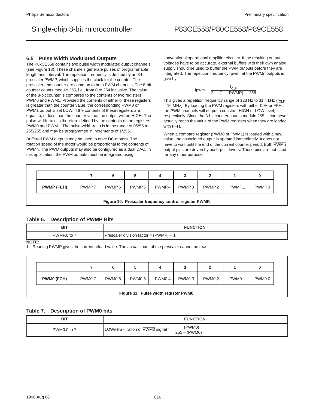## **6.5 Pulse Width Modulated Outputs**

The P8xCE558 contains two pulse width modulated output channels (see Figure 13). These channels generate pulses of programmable length and interval. The repetition frequency is defined by an 8-bit prescaler PWMP, which supplies the clock for the counter. The prescaler and counter are common to both PWM channels. The 8-bit counter counts module 255, i.e., from 0 to 254 inclusive. The value of the 8-bit counter is compared to the contents of two registers: PWM0 and PWM1. Provided the contents of either of these registers is greater than the counter value, the corresponding PWM0 or PWM1 output is set LOW. If the contents of these registers are equal to, or less than the counter value, the output will be HIGH. The pulse-width-ratio is therefore defined by the contents of the registers PWM0 and PWM1. The pulse-width-ratio is in the range of 0/255 to 255/255 and may be programmed in increments of 1/255.

Buffered PWM outputs may be used to drive DC motors. The rotation speed of the motor would be proportional to the contents of PWMn. The PWM outputs may also be configured as a dual DAC. In this application, the PWM outputs must be integrated using

conventional operational amplifier circuitry. If the resulting output voltages have to be accurate, external buffers with their own analog supply should be used to buffer the PWM outputs before they are integrated. The repetition frequency fpwm, at the PWMn outputs is give by:

$$
f\text{pwm} = \frac{f_{\text{CLK}}}{2 \times (1 + \text{PWMP}) \times 255}
$$

This gives a repetition frequency range of 123 Hz to 31.4 kHz ( $f_{\text{CLR}}$ ) = 16 MHz). By loading the PWM registers with either 00H or FFH, the PWM channels will output a constant HIGH or LOW level, respectively. Since the 8-bit counter counts modulo 255, it can never actually reach the value of the PWM registers when they are loaded with FFH.

When a compare register (PWM0 or PWM1) is loaded with a new value, the associated output is updated immediately. It does not have to wait until the end of the current counter period. Both PWMn output pins are driven by push-pull drivers. These pins are not used for any other purpose.

|                   |        | u      |                    |        |                   |                   |        |        |
|-------------------|--------|--------|--------------------|--------|-------------------|-------------------|--------|--------|
| <b>PWMP (FEH)</b> | PWMP.7 | PWMP.6 | PWMP <sub>.5</sub> | PWMP.4 | PWMP <sub>3</sub> | PWMP <sub>2</sub> | PWMP.1 | PWMP.0 |

**Figure 10. Prescaler frequency control register PWMP.**

## **Table 6. Description of PWMP Bits**

| <b>BI</b> | <b>HON</b><br>JN6<br>_____                                 |
|-----------|------------------------------------------------------------|
| PWMP.U    | PWMP <sup>®</sup><br>r division factor<br>Prescaler<br>- - |

**NOTE:**

1. Reading PWMP gives the current reload value. The actual count of the prescaler cannot be read.

|                   |        | 6      |        |        |        |               |                    |        |
|-------------------|--------|--------|--------|--------|--------|---------------|--------------------|--------|
| <b>PWM0 (FCH)</b> | PWM0.7 | PWM0.6 | PWM0.5 | PWM0.4 | PWM0.3 | <b>PWM0.2</b> | PWM <sub>0.1</sub> | PWM0.0 |

### **Table 7. Description of PWM0 bits**

| <b>BIT</b>  | <b>FUNCTION</b>                                                          |
|-------------|--------------------------------------------------------------------------|
| PWM0.0 to 7 | (PWM0)<br>LOW/HIGH ration of $\overline{PWMO}$ signal =<br>(PWM0)<br>255 |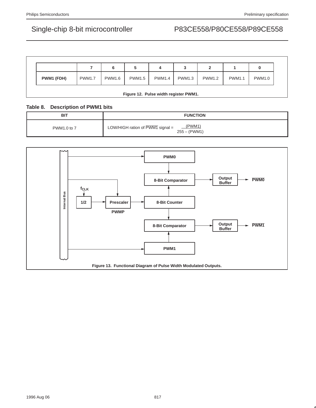|            |               | 6             |               |        |               |               |               |        |
|------------|---------------|---------------|---------------|--------|---------------|---------------|---------------|--------|
| PWM1 (FDH) | <b>PWM1.7</b> | <b>PWM1.6</b> | <b>PWM1.5</b> | PWM1.4 | <b>PWM1.3</b> | <b>PWM1.2</b> | <b>PWM1.1</b> | PWM1.0 |

## **Table 8. Description of PWM1 bits**

| <b>BIT</b>  | <b>FUNCTION</b>                                                           |
|-------------|---------------------------------------------------------------------------|
| PWM1.0 to 7 | (PWM1)<br>LOW/HIGH ration of $\overline{PWM1}$ signal =<br>$255 - (PWM1)$ |

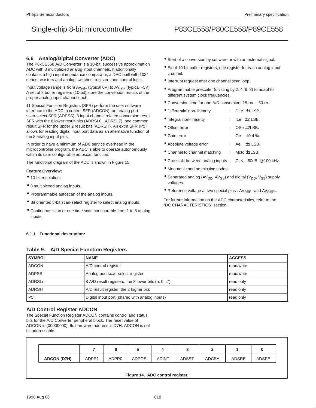## **6.6 Analog/Digital Converter (ADC)**

The P8xCE558 A/D Converter is a 10-bit, successive approximation ADC with 8 multiplexed analog input channels. It additionally contains a high input impedance comparator, a DAC built with 1024 series resistors and analog switches, registers and control logic.

Input voltage range is from  $AV_{ref-}$  (typical 0V) to  $AV_{ref+}$  (typical +5V). A set of 8 buffer registers (10-bit) store the conversion results of the proper analog input channel each.

11 Special Function Registers (SFR) perform the user software interface to the ADC: a control SFR (ADCON), an analog port scan-select SFR (ADPSS), 8 input channel related conversion result SFR with the 8 lower result bits (ADRSL0...ADRSL7), one common result SFR for the upper 2 result bits (ADRSH). An extra SFR (P5) allows for reading digital input port data as an alternative function of the 8 analog input pins.

In order to have a minimum of ADC service overhead in the microcontroller program, the ADC is able to operate autonomously within its user configurable autoscan function.

The functional diagram of the ADC is shown in Figure 15.

### **Feature Overview:**

- 10-bit resolution.
- 8 multiplexed analog inputs.
- Programmable autoscan of the analog inputs.
- Bit oriented 8-bit scan-select register to select analog inputs.
- Continuous scan or one time scan configurable from 1 to 8 analog inputs.

### **6.1.1 Functional description:**

### **Table 9. A/D Special Function Registers**

- Start of a conversion by software or with an external signal.
- Eight 10-bit buffer registers, one register for each analog input channel.
- Interrupt request after one channel scan loop.
- Programmable prescaler (dividing by 2, 4, 6, 8) to adapt to different system clock frequencies.
- Conversion time for one A/D conversion: 15  $\mu$ s ... 50  $\mu$ s
- Differential non-linearity : DLe  $\pm$ 1 LSB.
- Integral non-linearity : ILe  $\pm$ 2 LSB.
- Offset error : OSe  $\pm$ 2LSB.
- Gain error : Ge  $\pm 0.4$  %.
- Absolute voltage error : Ae  $\pm$ 3 LSB.
- Channel to channel matching : Mctc ±1LSB.
- Crosstalk between analog inputs : Ct < –60dB. @100 kHz.
- Monotonic and no missing codes.
- $\bullet$  Separated analog (AV<sub>DD</sub>, AV<sub>SS</sub>) and digital (V<sub>DD</sub>, V<sub>SS</sub>) supply voltages.
- Reference voltage at two special pins :  $AV_{REF-}$  and  $AV_{REF+}$ .

For further information on the ADC characteristics, refer to the "DC CHARACTERISTICS" section.

| <b>SYMBOL</b> | <b>NAME</b>                                      | <b>ACCESS</b> |
|---------------|--------------------------------------------------|---------------|
| <b>ADCON</b>  | A/D control register                             | read/write    |
| <b>ADPSS</b>  | Analog port scan-select register                 | read/write    |
| ADRSLn        | 8 A/D result registers, the 8 lower bits (n: 07) | read only     |
| <b>ADRSH</b>  | A/D result register, the 2 higher bits           | read only     |
| l P5          | Digital input port (shared with analog inputs)   | read only     |

## **A/D Control Register ADCON**

The Special Function Register ADCON contains control and status bits for the A/D Converter peripheral block. The reset value of ADCON is (00000000). Its hardware address is D7H. ADCON is not bit addressable.

| <b>ADCON (D7H)</b> | ADPR <sub>1</sub> | ADPR0 | <b>ADPOS</b> | <b>ADINT</b> | <b>ADSST</b> | <b>ADCSA</b> | <b>ADSRE</b> | <b>ADSFE</b> |
|--------------------|-------------------|-------|--------------|--------------|--------------|--------------|--------------|--------------|

**Figure 14. ADC control register.**

## Single-chip 8-bit microcontroller P83CE558/P80CE558/P89CE558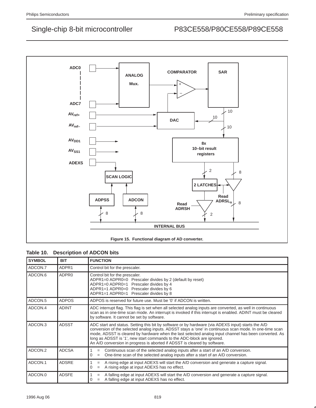

## **Table 10. Description of ADCON bits**

| <b>SYMBOL</b> | <b>BIT</b>        | <b>FUNCTION</b>                                                                                                                                                                                                                                                                                                                                                                                                                                                               |
|---------------|-------------------|-------------------------------------------------------------------------------------------------------------------------------------------------------------------------------------------------------------------------------------------------------------------------------------------------------------------------------------------------------------------------------------------------------------------------------------------------------------------------------|
| ADCON.7       | ADPR1             | Control bit for the prescaler.                                                                                                                                                                                                                                                                                                                                                                                                                                                |
| ADCON.6       | ADPR <sub>0</sub> | Control bit for the prescaler.<br>ADPR1=0 ADPR0=0 Prescaler divides by 2 (default by reset)<br>ADPR1=0 ADPR0=1 Prescaler divides by 4<br>ADPR1=1 ADPR0=0 Prescaler divides by 6<br>ADPR1=1 ADPR0=1 Prescaler divides by 8                                                                                                                                                                                                                                                     |
| ADCON.5       | <b>ADPOS</b>      | ADPOS is reserved for future use. Must be '0' if ADCON is written.                                                                                                                                                                                                                                                                                                                                                                                                            |
| ADCON.4       | <b>ADINT</b>      | ADC interrupt flag. This flag is set when all selected analog inputs are converted, as well in continuous<br>scan as in one-time scan mode. An interrupt is invoked if this interrupt is enabled. ADINT must be cleared<br>by software. It cannot be set by software.                                                                                                                                                                                                         |
| ADCON.3       | <b>ADSST</b>      | ADC start and status. Setting this bit by software or by hardware (via ADEXS input) starts the A/D<br>conversion of the selected analog inputs. ADSST stays a 'one' in continuous scan mode. In one-time scan<br>mode, ADSST is cleared by hardware when the last selected analog input channel has been converted. As<br>long as ADSST is '1', new start commands to the ADC-block are ignored.<br>An A/D conversion in progress is aborted if ADSST is cleared by software. |
| ADCON.2       | <b>ADCSA</b>      | Continuous scan of the selected analog inputs after a start of an A/D conversion.<br>$=$<br>One-time scan of the selected analog inputs after a start of an A/D conversion.<br>0<br>$=$                                                                                                                                                                                                                                                                                       |
| ADCON.1       | <b>ADSRE</b>      | A rising edge at input ADEXS will start the A/D conversion and generate a capture signal.<br>$=$<br>A rising edge at input ADEXS has no effect.<br>0<br>$=$                                                                                                                                                                                                                                                                                                                   |
| ADCON.0       | <b>ADSFE</b>      | A falling edge at input ADEXS will start the A/D conversion and generate a capture signal.<br>$=$<br>A falling edge at input ADEXS has no effect.<br>0<br>$=$                                                                                                                                                                                                                                                                                                                 |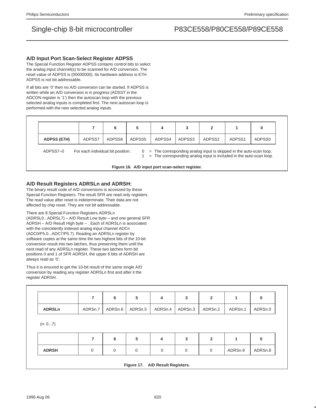### **A/D Input Port Scan-Select Register ADPSS**

The Special Function Register ADPSS contains control bits to select the analog input channel(s) to be scanned for A/D conversion. The reset value of ADPSS is (00000000). Its hardware address is E7H. ADPSS is not bit addressable.

If all bits are '0' then no A/D conversion can be started. If ADPSS is written while an A/D conversion is in progress (ADSST in the ADCON register is '1') then the autoscan loop with the previous selected analog inputs is completed first. The next autoscan loop is performed with the new selected analog inputs.

| <b>ADPSS (E7H)</b> | ADPSS7 | ADPSS6 | ADPSS5 | ADPSS4 | ADPSS3 | ADPSS2 | ADPSS1 | ADPSS0 |
|--------------------|--------|--------|--------|--------|--------|--------|--------|--------|

ADPSS7–0 For each individual bit position:  $0 =$ The corresponding analog input is skipped in the auto-scan loop.

1 = The corresponding analog input is included in the auto-scan loop.

|  |  | Figure 16. A/D input port scan-select register. |  |  |
|--|--|-------------------------------------------------|--|--|
|--|--|-------------------------------------------------|--|--|

## **A/D Result Registers ADRSLn and ADRSH:**

The binary result code of A/D conversions is accessed by these Special Function Registers. The result SFR are read only registers. The read value after reset is indeterminate. Their data are not affected by chip reset. They are not bit addressable.

There are 8 Special Function Registers ADRSLn

(ADRSL0...ADRSL7) – A/D Result Low byte – and one general SFR ADRSH – A/D Result High byte – . Each of ADRSLn is associated with the coincidently indexed analog input channel ADCn (ADC0/P5.0...ADC7/P5.7). Reading an ADRSLn register by software copies at the same time the two highest bits of the 10-bit conversion result into two latches, thus preserving them until the next read of any ADRSLn register. These two latches form bit positions 0 and 1 of SFR ADRSH, the upper 6 bits of ADRSH are always read as '0'.

Thus it is ensured to get the 10-bit result of the same single A/D conversion by reading any register ADRSLn first and after it the register ADRSH.

|               | 7       | 6       | 5       | 4       | 3       | $\overline{2}$ | 1       | 0       |
|---------------|---------|---------|---------|---------|---------|----------------|---------|---------|
| <b>ADRSLn</b> | ADRSn.7 | ADRSn.6 | ADRSn.5 | ADRSn.4 | ADRSn.3 | ADRSn.2        | ADRSn.1 | ADRSn.0 |
|               |         |         |         |         |         |                |         |         |
|               |         |         |         |         |         |                |         |         |
| (n: 07)       |         |         |         |         |         |                |         |         |
|               |         |         |         |         |         |                |         |         |
|               | 7       | 6       | 5       | 4       | 3       | $\overline{2}$ | 1       | 0       |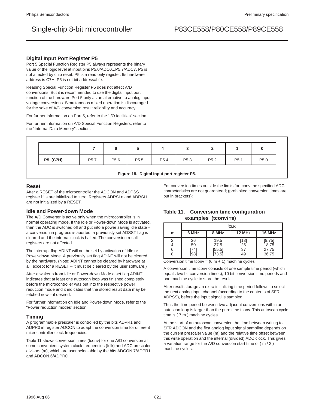### **Digital Input Port Register P5**

Port 5 Special Function Register P5 always represents the binary value of the logic level at input pins P5.0/ADC0...P5.7/ADC7. P5 is not affected by chip reset. P5 is a read only register. Its hardware address is C7H. P5 is not bit addressable.

Reading Special Function Register P5 does not affect A/D conversions. But it is recommended to use the digital input port function of the hardware Port 5 only as an alternative to analog input voltage conversions. Simultaneous mixed operation is discouraged for the sake of A/D conversion result reliability and accuracy.

For further information on Port 5, refer to the "I/O facilities" section.

For further information on A/D Special Function Registers, refer to the "Internal Data Memory" section.

|                 |                  |                  | J                |                  | ັ                | -                |                  |                  |
|-----------------|------------------|------------------|------------------|------------------|------------------|------------------|------------------|------------------|
| <b>P5 (C7H)</b> | P <sub>5.7</sub> | P <sub>5.6</sub> | P <sub>5.5</sub> | P <sub>5.4</sub> | P <sub>5.3</sub> | P <sub>5.2</sub> | P <sub>5.1</sub> | P <sub>5.0</sub> |

### **Figure 18. Digital input port register P5.**

### **Reset**

After a RESET of the microcontroller the ADCON and ADPSS register bits are initialized to zero. Registers ADRSLn and ADRSH are not initialized by a RESET.

### **Idle and Power-down Mode**

The A/D Converter is active only when the microcontroller is in normal operating mode. If the Idle or Power-down Mode is activated, then the ADC is switched off and put into a power saving idle state – a conversion in progress is aborted, a previously set ADSST flag is cleared and the internal clock is halted. The conversion result registers are not affected.

The interrupt flag ADINT will not be set by activation of Idle or Power-down Mode. A previously set flag ADINT will not be cleared by the hardware. (Note: ADINT cannot be cleared by hardware at all, except for a RESET – it must be cleared by the user software.)

After a wakeup from Idle or Power-down Mode a set flag ADINT indicates that at least one autoscan loop was finished completely before the microcontroller was put into the respective power reduction mode and it indicates that the stored result data may be fetched now – if desired.

For further information on Idle and Power-down Mode, refer to the "Power reduction modes" section.

### **Timing**

A programmable prescaler is controlled by the bits ADPR1 and ADPR0 in register ADCON to adapt the conversion time for different microcontroller clock frequencies.

Table 11 shows conversion times (tconv) for one A/D conversion at some convenient system clock frequencies (fclk) and ADC prescaler divisors (m), which are user selectable by the bits ADCON.7/ADPR1 and ADCON.6/ADPR0.

For conversion times outside the limits for tconv the specified ADC characteristics are not guaranteed; (prohibited conversion times are put in brackets):

## **Table 11. Conversion time configuration examples (tconv/**µ**s)**

|             | †c∟k                     |                                  |                          |                                   |  |  |  |
|-------------|--------------------------|----------------------------------|--------------------------|-----------------------------------|--|--|--|
| m           | 6 MHz                    | 8 MHz                            | 12 MHz                   | <b>16 MHz</b>                     |  |  |  |
| 2<br>6<br>8 | 26<br>50<br>[74]<br>[98] | 19.5<br>37.5<br>[55.5]<br>[73.5] | $[13]$<br>25<br>37<br>49 | [9.75]<br>18.75<br>27.75<br>36.75 |  |  |  |

Conversion time tconv =  $(6 m + 1)$  machine cycles

A conversion time tconv consists of one sample time period (which equals two bit conversion times), 10 bit conversion time periods and one machine cycle to store the result.

After result storage an extra initializing time period follows to select the next analog input channel (according to the contents of SFR ADPSS), before the input signal is sampled.

Thus the time period between two adjacent conversions within an autoscan loop is larger than the pure time tconv. This autoscan cycle time is ( 7 m ) machine cycles.

At the start of an autoscan conversion the time between writing to SFR ADCON and the first analog input signal sampling depends on the current prescaler value (m) and the relative time offset between this write operation and the internal (divided) ADC clock. This gives a variation range for the A/D conversion start time of ( m / 2 ) machine cycles.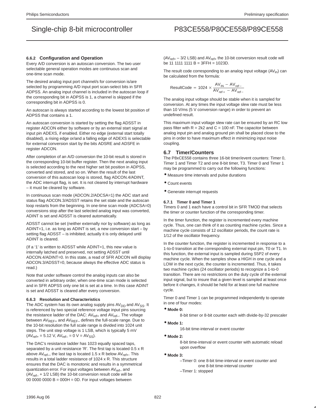### **6.6.2 Configuration and Operation**

Every A/D conversion is an autoscan conversion. The two user selectable general operation modes are continuous scan and one-time scan mode.

The desired analog input port channel/s for conversion is/are selected by programming A/D input port scan-select bits in SFR ADPSS. An analog input channel is included in the autoscan loop if the corresponding bit in ADPSS is 1, a channel is skipped if the corresponding bit in ADPSS is 0.

An autoscan is always started according to the lowest bit position of ADPSS that contains a 1.

An autoscan conversion is started by setting the flag ADSST in register ADCON either by software or by an external start signal at input pin ADEXS, if enabled. Either no edge (external start totally disabled), a rising edge or/and a falling edge of ADEXS is selectable for external conversion start by the bits ADSRE and ADSFE in register ADCON.

After completion of an A/D conversion the 10-bit result is stored in the corresponding 10-bit buffer register. Then the next analog input is selected according to the next higher set bit position in ADPSS, converted and stored, and so on. When the result of the last conversion of this autoscan loop is stored, flag ADCON.4/ADINT, the ADC interrupt flag, is set. It is not cleared by interrupt hardware – it must be cleared by software.

In continuous scan mode (ADCON.2/ADCSA=1) the ADC start and status flag ADCON.3/ADSST retains the set state and the autoscan loop restarts from the beginning. In one-time scan mode (ADCSA=0) conversions stop after the last selected analog input was converted, ADINT is set and ADSST is cleared automatically.

ADSST cannot be set (neither externally nor by software) as long as ADINT=1, i.e. as long as ADINT is set, a new conversion start – by setting flag ADSST – is inhibited; actually it is only delayed until ADINT is cleared.

(If a '1' is written to ADSST while ADINT=1, this new value is internally latched and preserved, not setting ADSST until ADCON.4/ADINT=0. In this state, a read of SFR ADCON will display ADCON.3/ADSST=0, because always the effective ADC status is read.)

Note that under software control the analog inputs can also be converted in arbitrary order, when one-time scan mode is selected and in SFR ADPSS only one bit is set at a time. In this case ADINT is set and ADSST is cleared after every conversion.

### **6.6.3 Resolution and Characteristics**

The ADC system has its own analog supply pins  $AV<sub>DD</sub>$  and  $AV<sub>SS</sub>$ . It is referenced by two special reference voltage input pins sourcing the resistance ladder of the DAC:  $AV_{ref+}$  and  $AV_{ref-}$ . The voltage between  $AV_{REF+}$  and  $AV_{REF-}$  defines the full-scale range. Due to the 10-bit resolution the full scale range is divided into 1024 unit steps. The unit step voltage is 1 LSB, which is typically 5 mV  $(AV_{ref+} = 5.12 V, AV_{ref-} = 0 V = AV_{SS}).$ 

The DAC's resistance ladder has 1023 equally spaced taps, separated by a unit resistance 'R'. The first tap is located 0.5 x R above  $AV_{ref-}$ , the last tap is located 1.5 x R below  $AV_{ref+}$ . This results in a total ladder resistance of 1024 x R. This structure ensures that the DAC is monotonic and results in a symmetrical quantization error. For input voltages between AV<sub>ref–</sub> and (AVref– + 1/2 LSB) the 10-bit conversion result code will be  $00 0000 0000 B = 000H = 0D$ . For input voltages between

 $(AV_{ref+} - 3/2$  LSB) and  $AV_{ref+}$  the 10-bit conversion result code will be 11 1111 1111  $B = 3$ FFH = 1023D.

The result code corresponding to an analog input voltage  $(AV<sub>in</sub>)$  can be calculated from the formula:

$$
ResultCode = 1024 \times \frac{AV_{IN} - AV_{ref-}}{AV_{ref+} - AV_{ref-}}
$$

The analog input voltage should be stable when it is sampled for conversion. At any times the input voltage slew rate must be less than 10 V/ms (5 V conversion range) in order to prevent an undefined result.

This maximum input voltage slew rate can be ensured by an RC low pass filter with  $R = 2k2$  and  $C = 100$  nF. The capacitor between analog input pin and analog ground pin shall be placed close to the pins in order to have maximum effect in minimizing input noise coupling.

### **6.7 Timer/Counters**

The P8xCE558 contains three 16-bit timer/event counters: Timer 0, Timer 1 and Timer T2 and one 8-bit timer, T3. Timer 0 and Timer 1 may be programmed to carry out the following functions:

- Measure time intervals and pulse durations
- Count events
- Generate interrupt requests

### **6.7.1 Timer 0 and Timer 1**

Timers 0 and 1 each have a control bit in SFR TMOD that selects the timer or counter function of the corresponding timer.

In the timer function, the register is incremented every machine cycle. Thus, one can think of it as counting machine cycles. Since a machine cycle consists of 12 oscillator periods, the count rate is 1/12 of the oscillator frequency.

In the counter function, the register is incremented in response to a 1-to-0 transition at the corresponding external input pin, T0 or T1. In this function, the external input is sampled during S5P2 of every machine cycle. When the samples show a HIGH in one cycle and a LOW in the next cycle, the counter is incremented. Thus, it takes two machine cycles (24 oscillator periods) to recognize a 1-to-0 transition. There are no restrictions on the duty cycle of the external input signal, but to insure that a given level is sampled at least once before it changes, it should be held for at least one full machine cycle.

Timer 0 and Timer 1 can be programmed independently to operate in one of four modes:

### • **Mode 0:**

8-bit timer or 8-bit counter each with divide-by-32 prescaler

• **Mode 1:**

16-bit time-interval or event counter

• **Mode 2:**

8-bit time-interval or event counter with automatic reload upon overflow

### • **Mode 3:**

- –Timer 0: one 8-bit time-interval or event counter and one 8-bit time-interval counter
- –Timer 1: stopped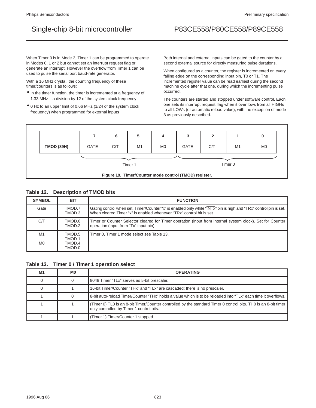When Timer 0 is in Mode 3, Timer 1 can be programmed to operate in Modes 0, 1 or 2 but cannot set an interrupt request flag or generate an interrupt. However the overflow from Timer 1 can be used to pulse the serial port baud-rate generator.

With a 16 MHz crystal, the counting frequency of these timer/counters is as follows:

- In the timer function, the timer is incremented at a frequency of 1.33 MHz – a division by 12 of the system clock frequency
- 0 Hz to an upper limit of 0.66 MHz (1/24 of the system clock frequency) when programmed for external inputs

Both internal and external inputs can be gated to the counter by a second external source for directly measuring pulse durations.

When configured as a counter, the register is incremented on every falling edge on the corresponding input pin, T0 or T1. The incremented register value can be read earliest during the second machine cycle after that one, during which the incrementing pulse occurred.

The counters are started and stopped under software control. Each one sets its interrupt request flag when it overflows from all HIGHs to all LOWs (or automatic reload value), with the exception of mode 3 as previously described.



## **Table 12. Description of TMOD bits**

| <b>SYMBOL</b>        | <b>BIT</b>                           | <b>FUNCTION</b>                                                                                                                                                                           |
|----------------------|--------------------------------------|-------------------------------------------------------------------------------------------------------------------------------------------------------------------------------------------|
| Gate                 | TMOD.7<br>TMOD.3                     | Gating control when set. Timer/Counter "x" is enabled only while "INTx" pin is high and "TRx" control pin is set.<br>When cleared Timer "x" is enabled whenever "TRx" control bit is set. |
| C/T                  | 6.COMT<br>TMOD.2                     | Timer or Counter Selector cleared for Timer operation (input from internal system clock). Set for Counter<br>operation (input from "Tx" input pin).                                       |
| M1<br>M <sub>0</sub> | TMOD.5<br>TMOD.1<br>TMOD.4<br>TMOD.0 | Timer 0, Timer 1 mode select see Table 13.                                                                                                                                                |

**Table 13. Timer 0 / Timer 1 operation select**

| M <sub>1</sub> | MО | <b>OPERATING</b>                                                                                                                                           |
|----------------|----|------------------------------------------------------------------------------------------------------------------------------------------------------------|
|                |    | 8048 Timer "TLx" serves as 5-bit prescaler.                                                                                                                |
|                |    | 16-bit Timer/Counter "THx" and "TLx" are cascaded; there is no prescaler.                                                                                  |
|                |    | 8-bit auto-reload Timer/Counter "THx" holds a value which is to be reloaded into "TLx" each time it overflows.                                             |
|                |    | (Timer 0) TL0 is an 8-bit Timer/Counter controlled by the standard Timer 0 control bits. TH0 is an 8-bit timer<br>only controlled by Timer 1 control bits. |
|                |    | (Timer 1) Timer/Counter 1 stopped.                                                                                                                         |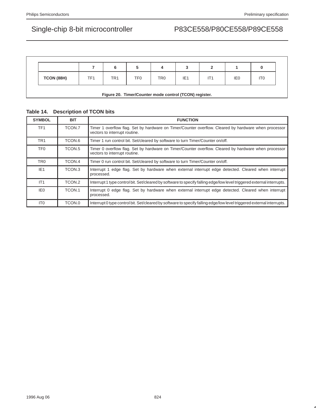|            |     | 6               | 5   |                 |                 |                 |                 |                 |
|------------|-----|-----------------|-----|-----------------|-----------------|-----------------|-----------------|-----------------|
| TCON (88H) | TF1 | TR <sub>1</sub> | TF0 | TR <sub>0</sub> | IE <sub>1</sub> | IT <sub>1</sub> | IE <sub>0</sub> | IT <sub>0</sub> |

## **Table 14. Description of TCON bits**

| <b>SYMBOL</b>   | <b>BIT</b> | <b>FUNCTION</b>                                                                                                                       |
|-----------------|------------|---------------------------------------------------------------------------------------------------------------------------------------|
| TF <sub>1</sub> | TCON.7     | Timer 1 overflow flag. Set by hardware on Timer/Counter overflow. Cleared by hardware when processor<br>vectors to interrupt routine. |
| TR <sub>1</sub> | TCON.6     | Timer 1 run control bit. Set/cleared by software to turn Timer/Counter on/off.                                                        |
| TF0             | TCON.5     | Timer 0 overflow flag. Set by hardware on Timer/Counter overflow. Cleared by hardware when processor<br>vectors to interrupt routine. |
| TR <sub>0</sub> | TCON.4     | Timer 0 run control bit. Set/cleared by software to turn Timer/Counter on/off.                                                        |
| IE <sub>1</sub> | TCON.3     | Interrupt 1 edge flag. Set by hardware when external interrupt edge detected. Cleared when interrupt<br>processed.                    |
| IT <sub>1</sub> | TCON.2     | Interrupt 1 type control bit. Set/cleared by software to specify falling edge/low level triggered external interrupts.                |
| IE <sub>0</sub> | TCON.1     | Interrupt 0 edge flag. Set by hardware when external interrupt edge detected. Cleared when interrupt<br>processed.                    |
| IT <sub>0</sub> | TCON.0     | Interrupt 0 type control bit. Set/cleared by software to specify falling edge/low level triggered external interrupts.                |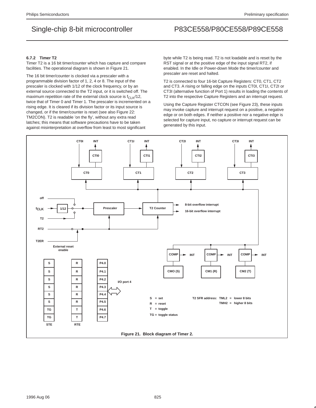### **6.7.2 Timer T2**

Timer T2 is a 16 bit timer/counter which has capture and compare facilities. The operational diagram is shown in Figure 21.

The 16 bit timer/counter is clocked via a prescaler with a programmable division factor of 1, 2, 4 or 8. The input of the prescaler is clocked with 1/12 of the clock frequency, or by an external source connected to the T2 input, or it is switched off. The maximum repetition rate of the external clock source is  $f_{CLK}/12$ , twice that of Timer 0 and Timer 1. The prescaler is incremented on a rising edge. It is cleared if its division factor or its input source is changed, or if the timer/counter is reset (see also Figure 22: TM2CON). T2 is readable 'on the fly', without any extra read latches; this means that software precautions have to be taken against misinterpretation at overflow from least to most significant

byte while T2 is being read. T2 is not loadable and is reset by the RST signal or at the positive edge of the input signal RT2, if enabled. In the Idle or Power-down Mode the timer/counter and prescaler are reset and halted.

T2 is connected to four 16-bit Capture Registers: CT0, CT1, CT2 and CT3. A rising or falling edge on the inputs CT0I, CT1I, CT2I or CT3I (alternative function of Port 1) results in loading the contents of T2 into the respective Capture Registers and an interrupt request.

Using the Capture Register CTCON (see Figure 23), these inputs may invoke capture and interrupt request on a positive, a negative edge or on both edges. If neither a positive nor a negative edge is selected for capture input, no capture or interrupt request can be generated by this input.

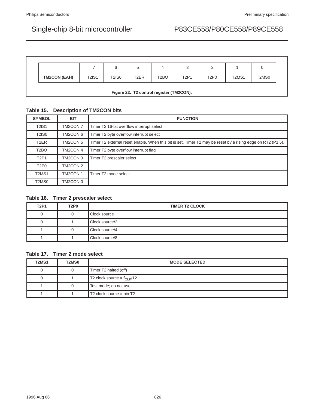|                                          |              | 6     |                   | 4                 | ٮ           |                               |                                |       |  |  |
|------------------------------------------|--------------|-------|-------------------|-------------------|-------------|-------------------------------|--------------------------------|-------|--|--|
| <b>TM2CON (EAH)</b>                      | <b>T2IS1</b> | T2IS0 | T <sub>2</sub> ER | T <sub>2</sub> BO | <b>T2P1</b> | T <sub>2</sub> P <sub>0</sub> | T <sub>2</sub> M <sub>S1</sub> | T2MS0 |  |  |
| Figure 22. T2 control register (TM2CON). |              |       |                   |                   |             |                               |                                |       |  |  |

## **Table 15. Description of TM2CON bits**

| <b>SYMBOL</b>                  | <b>BIT</b> | <b>FUNCTION</b>                                                                                             |
|--------------------------------|------------|-------------------------------------------------------------------------------------------------------------|
| <b>T2IS1</b>                   | TM2CON.7   | Timer T2 16-bit overflow interrupt select                                                                   |
| <b>T2IS0</b>                   | TM2CON.6   | Timer T2 byte overflow interrupt select                                                                     |
| T <sub>2</sub> ER              | TM2CON.5   | Timer T2 external reset enable. When this bit is set, Timer T2 may be reset by a rising edge on RT2 (P1.5). |
| T <sub>2</sub> BO              | TM2CON.4   | Timer T2 byte overflow interrupt flag                                                                       |
| T <sub>2</sub> P <sub>1</sub>  | TM2CON.3   | Timer T2 prescaler select                                                                                   |
| T <sub>2</sub> P <sub>0</sub>  | TM2CON.2   |                                                                                                             |
| T <sub>2</sub> MS <sub>1</sub> | TM2CON.1   | Timer T2 mode select                                                                                        |
| T <sub>2</sub> M <sub>S0</sub> | TM2CON.0   |                                                                                                             |

## **Table 16. Timer 2 prescaler select**

| <b>T2P1</b> | T <sub>2</sub> P <sub>0</sub> | <b>TIMER T2 CLOCK</b> |
|-------------|-------------------------------|-----------------------|
|             |                               | Clock source          |
|             |                               | Clock source/2        |
|             |                               | Clock source/4        |
|             |                               | Clock source/8        |

## **Table 17. Timer 2 mode select**

| <b>T2MS1</b> | <b>T2MS0</b> | <b>MODE SELECTED</b>                   |
|--------------|--------------|----------------------------------------|
| 0            |              | Timer T2 halted (off)                  |
| 0            |              | T2 clock source = $f_{CLK}/12$         |
|              |              | Test mode; do not use                  |
|              |              | T <sub>2</sub> clock source = $pin T2$ |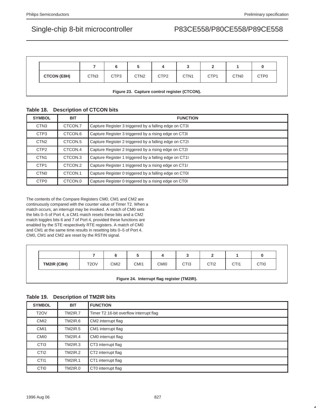|                                              |                  |                  | 5                |                  |                  |                  |                  |                  |  |  |
|----------------------------------------------|------------------|------------------|------------------|------------------|------------------|------------------|------------------|------------------|--|--|
| <b>CTCON (E8H)</b>                           | CTN <sub>3</sub> | CTP <sub>3</sub> | CTN <sub>2</sub> | CTP <sub>2</sub> | CTN <sub>1</sub> | CTP <sub>1</sub> | CTN <sub>0</sub> | CTP <sub>0</sub> |  |  |
| Figure 23. Capture control register (CTCON). |                  |                  |                  |                  |                  |                  |                  |                  |  |  |

## **Table 18. Description of CTCON bits**

| <b>SYMBOL</b>    | <b>BIT</b>          | <b>FUNCTION</b>                                        |
|------------------|---------------------|--------------------------------------------------------|
| CTN <sub>3</sub> | CTCON.7             | Capture Register 3 triggered by a falling edge on CT31 |
| CTP <sub>3</sub> | CTCON.6             | Capture Register 3 triggered by a rising edge on CT3I  |
| CTN <sub>2</sub> | CTCON <sub>.5</sub> | Capture Register 2 triggered by a falling edge on CT2I |
| CTP <sub>2</sub> | CTCON.4             | Capture Register 2 triggered by a rising edge on CT2I  |
| CTN <sub>1</sub> | CTCON.3             | Capture Register 1 triggered by a falling edge on CT11 |
| CTP <sub>1</sub> | CTCON.2             | Capture Register 1 triggered by a rising edge on CT11  |
| CTN <sub>0</sub> | CTCON.1             | Capture Register 0 triggered by a falling edge on CT0I |
| CTP <sub>0</sub> | CTCON.0             | Capture Register 0 triggered by a rising edge on CT01  |

The contents of the Compare Registers CM0, CM1 and CM2 are continuously compared with the counter value of Timer T2. When a match occurs, an interrupt may be invoked. A match of CM0 sets the bits 0–5 of Port 4, a CM1 match resets these bits and a CM2 match toggles bits 6 and 7 of Port 4, provided these functions are enabled by the STE respectively RTE registers. A match of CM0 and CM1 at the same time results in resetting bits 0–5 of Port 4. CM0, CM1 and CM2 are reset by the RSTIN signal.

| TM2IR (C8H) | T <sub>2</sub> OV | CMI <sub>2</sub> | CM <sub>1</sub> | CMI <sub>0</sub> | CTI <sub>3</sub> | CTI <sub>2</sub> | CTI <sub>1</sub> | CTI <sub>0</sub> |
|-------------|-------------------|------------------|-----------------|------------------|------------------|------------------|------------------|------------------|

## **Figure 24. Interrupt flag register (TM2IR).**

# **Table 19. Description of TM2IR bits**

| <b>SYMBOL</b>     | <b>BIT</b>     | <b>FUNCTION</b>                         |  |  |  |
|-------------------|----------------|-----------------------------------------|--|--|--|
| T <sub>2</sub> OV | <b>TM2IR.7</b> | Timer T2 16-bit overflow interrupt flag |  |  |  |
| CM <sub>12</sub>  | TM2IR.6        | CM2 interrupt flag                      |  |  |  |
| CM <sub>1</sub>   | <b>TM2IR.5</b> | CM1 interrupt flag                      |  |  |  |
| CM <sub>I0</sub>  | <b>TM2IR.4</b> | CM0 interrupt flag                      |  |  |  |
| CT <sub>13</sub>  | <b>TM2IR.3</b> | CT3 interrupt flag                      |  |  |  |
| CTI <sub>2</sub>  | <b>TM2IR.2</b> | CT2 interrupt flag                      |  |  |  |
| CT <sub>11</sub>  | <b>TM2IR.1</b> | CT1 interrupt flag                      |  |  |  |
| CTI <sub>0</sub>  | TM2IR.0        | CT0 interrupt flag                      |  |  |  |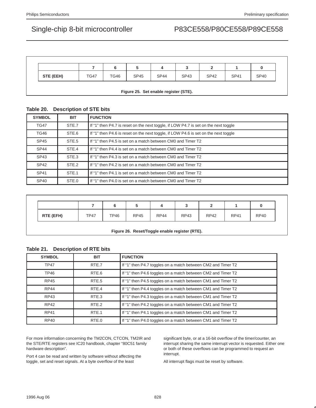|           |             |             |             | 4           | ◠           |             |             |             |
|-----------|-------------|-------------|-------------|-------------|-------------|-------------|-------------|-------------|
| STE (EEH) | <b>TG47</b> | <b>TG46</b> | <b>SP45</b> | <b>SP44</b> | <b>SP43</b> | <b>SP42</b> | <b>SP41</b> | <b>SP40</b> |

### **Figure 25. Set enable register (STE).**

# **Table 20. Description of STE bits**

| <b>SYMBOL</b>    | <b>BIT</b> | <b>FUNCTION</b>                                                                     |  |  |  |
|------------------|------------|-------------------------------------------------------------------------------------|--|--|--|
| <b>TG47</b>      | STE.7      | If "1" then P4.7 is reset on the next toggle, if LOW P4.7 is set on the next toggle |  |  |  |
| <b>TG46</b>      | STE.6      | If "1" then P4.6 is reset on the next toggle, if LOW P4.6 is set on the next toggle |  |  |  |
| <b>SP45</b>      | STE.5      | If "1" then P4.5 is set on a match between CM0 and Timer T2                         |  |  |  |
| <b>SP44</b>      | STE.4      | If "1" then P4.4 is set on a match between CM0 and Timer T2                         |  |  |  |
| SP43             | STE.3      | If "1" then P4.3 is set on a match between CM0 and Timer T2                         |  |  |  |
| SP <sub>42</sub> | STE.2      | If "1" then P4.2 is set on a match between CM0 and Timer T2                         |  |  |  |
| SP41             | STE.1      | If "1" then P4.1 is set on a match between CM0 and Timer T2                         |  |  |  |
| <b>SP40</b>      | STE.0      | If "1" then P4.0 is set on a match between CM0 and Timer T2                         |  |  |  |

|           |             |             |             | 4           | u           | -           |             |             |
|-----------|-------------|-------------|-------------|-------------|-------------|-------------|-------------|-------------|
| RTE (EFH) | <b>TP47</b> | <b>TP46</b> | <b>RP45</b> | <b>RP44</b> | <b>RP43</b> | <b>RP42</b> | <b>RP41</b> | <b>RP40</b> |

### **Figure 26. Reset/Toggle enable register (RTE).**

## **Table 21. Description of RTE bits**

| <b>SYMBOL</b> | <b>BIT</b> | <b>FUNCTION</b>                                              |
|---------------|------------|--------------------------------------------------------------|
| <b>TP47</b>   | RTE.7      | If "1" then P4.7 toggles on a match between CM2 and Timer T2 |
| <b>TP46</b>   | RTE.6      | If "1" then P4.6 toggles on a match between CM2 and Timer T2 |
| <b>RP45</b>   | RTE.5      | If "1" then P4.5 toggles on a match between CM1 and Timer T2 |
| <b>RP44</b>   | RTE.4      | If "1" then P4.4 toggles on a match between CM1 and Timer T2 |
| <b>RP43</b>   | RTE.3      | If "1" then P4.3 toggles on a match between CM1 and Timer T2 |
| RP42          | RTF.2      | If "1" then P4.2 toggles on a match between CM1 and Timer T2 |
| <b>RP41</b>   | RTE.1      | If "1" then P4.1 toggles on a match between CM1 and Timer T2 |
| <b>RP40</b>   | RTE.0      | If "1" then P4.0 toggles on a match between CM1 and Timer T2 |

For more information concerning the TM2CON, CTCON, TM2IR and the STE/RTE registers see IC20 handbook, chapter "80C51 family hardware description".

Port 4 can be read and written by software without affecting the toggle, set and reset signals. At a byte overflow of the least

significant byte, or at a 16-bit overflow of the timer/counter, an interrupt sharing the same interrupt vector is requested. Either one or both of these overflows can be programmed to request an interrupt.

All interrupt flags must be reset by software.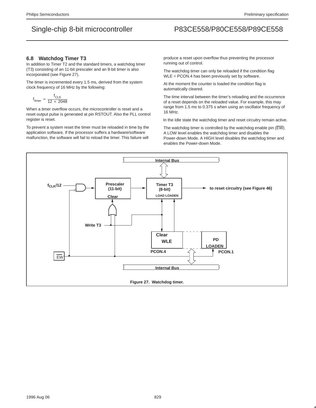### **6.8 Watchdog Timer T3**

In addition to Timer T2 and the standard timers, a watchdog timer (T3) consisting of an 11-bit prescaler and an 8-bit timer is also incorporated (see Figure 27).

The timer is incremented every 1.5 ms, derived from the system clock frequency of 16 MHz by the following:

$$
f_{\text{timer}} = \frac{f_{\text{CLK}}}{12 \times 2048}
$$

When a timer overflow occurs, the microcontroller is reset and a reset output pulse is generated at pin RSTOUT. Also the PLL control register is reset.

To prevent a system reset the timer must be reloaded in time by the application software. If the processor suffers a hardware/software malfunction, the software will fail to reload the timer. This failure will

produce a reset upon overflow thus preventing the processor running out of control.

The watchdog timer can only be reloaded if the condition flag WLE = PCON.4 has been previously set by software.

At the moment the counter is loaded the condition flag is automatically cleared.

The time interval between the timer's reloading and the occurrence of a reset depends on the reloaded value. For example, this may range from 1.5 ms to 0.375 s when using an oscillator frequency of 16 MHz.

In the Idle state the watchdog timer and reset circuitry remain active.

The watchdog timer is controlled by the watchdog enable pin (EW). A LOW level enables the watchdog timer and disables the Power-down Mode. A HIGH level disables the watchdog timer and enables the Power-down Mode.

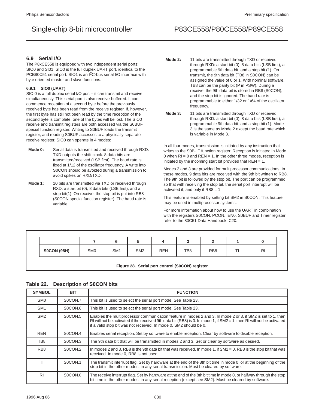### **6.9 Serial I/O**

The P8xCE558 is equipped with two independent serial ports: SIO0 and SI01. SIO0 is the full duplex UART port, identical to the PCB80C51 serial port. SIO1 is an I2C-bus serial I/O interface with byte oriented master and slave functions.

### **6.9.1 SIO0 (UART)**

SIO 0 is a full duplex serial I/O port – it can transmit and receive simultaneously. This serial port is also receive-buffered. It can commence reception of a second byte before the previously received byte has been read from the receive register. If, however, the first byte has still not been read by the time reception of the second byte is complete, one of the bytes will be lost. The SIO0 receive and transmit registers are both accessed via the S0BUF special function register. Writing to S0BUF loads the transmit register, and reading S0BUF accesses to a physically separate receive register. SIO0 can operate in 4 modes:

- **Mode 0:** Serial data is transmitted and received through RXD. TXD outputs the shift clock. 8 data bits are transmitted/received (LSB first). The baud rate is fixed at 1/12 of the oscillator frequency. A write into S0CON should be avoided during a transmission to avoid spikes on RXD/TXD.
- **Mode 1:** 10 bits are transmitted via TXD or received through RXD: a start bit (0), 8 data bits (LSB first), and a stop bit(1). On receive, the stop bit is put into RB8 (S0CON special function register). The baud rate is variable.
- **Mode 2:** 11 bits are transmitted through TXD or received through RXD: a start bit (0), 8 data bits (LSB first), a programmable 9th data bit, and a stop bit (1). On transmit, the 9th data bit (TB8 in S0CON) can be assigned the value of 0 or 1. With nominal software, TB8 can be the parity bit (P in PSW). During a receive, the 9th data bit is stored in RB8 (S0CON), and the stop bit is ignored. The baud rate is programmable to either 1/32 or 1/64 of the oscillator frequency.
- **Mode 3:** 11 bits are transmitted through TXD or received through RXD: a start bit (0), 8 data bits (LSB first), a programmable 9th data bit, and a stop bit (1). Mode 3 is the same as Mode 2 except the baud rate which is variable in Mode 3.

In all four modes, transmission is initiated by any instruction that writes to the S0BUF function register. Reception is initiated in Mode 0 when  $RI = 0$  and  $REN = 1$ . In the other three modes, reception is initiated by the incoming start bit provided that  $REN = 1$ .

Modes 2 and 3 are provided for multiprocessor communications. In these modes, 9 data bits are received with the 9th bit written to RB8. The 9th bit is followed by the stop bit. The port can be programmed so that with receiving the stop bit, the serial port interrupt will be activated if, and only if RB8 = 1.

This feature is enabled by setting bit SM2 in S0CON. This feature may be used in multiprocessor systems.

For more information about how to use the UART in combination with the registers S0CON, PCON, IEN0, S0BUF and Timer register refer to the 80C51 Data Handbook IC20.

|                    |                 |                 |                 |            |     | -               |   |                |
|--------------------|-----------------|-----------------|-----------------|------------|-----|-----------------|---|----------------|
| <b>S0CON (98H)</b> | SM <sub>0</sub> | SM <sub>1</sub> | SM <sub>2</sub> | <b>REN</b> | TB8 | RB <sub>8</sub> | ÷ | R <sub>l</sub> |

**Figure 28. Serial port control (S0CON) register.**

### **Table 22. Description of S0CON bits**

| <b>SYMBOL</b>   | <b>BIT</b>          | <b>FUNCTION</b>                                                                                                                                                                                                                                                                                               |
|-----------------|---------------------|---------------------------------------------------------------------------------------------------------------------------------------------------------------------------------------------------------------------------------------------------------------------------------------------------------------|
| SM <sub>0</sub> | S0CON.7             | This bit is used to select the serial port mode. See Table 23.                                                                                                                                                                                                                                                |
| SM <sub>1</sub> | SOCON <sub>.6</sub> | This bit is used to select the serial port mode. See Table 23.                                                                                                                                                                                                                                                |
| SM <sub>2</sub> | SOCON <sub>5</sub>  | Enables the multiprocessor communication feature in modes 2 and 3. In mode 2 or 3, if SM2 is set to 1, then<br>RI will not be activated if the received 9th data bit (RB8) is 0. In mode 1, if $SM2 = 1$ , then RI will not be activated<br>if a valid stop bit was not received. In mode 0, SM2 should be 0. |
| <b>REN</b>      | SOCON.4             | Enables serial reception. Set by software to enable reception. Clear by software to disable reception.                                                                                                                                                                                                        |
| TB8             | SOCON.3             | The 9th data bit that will be transmitted in modes 2 and 3. Set or clear by software as desired.                                                                                                                                                                                                              |
| RB <sub>8</sub> | S0CON.2             | In modes 2 and 3, RB8 is the 9th data bit that was received. In mode 1, if $SM2 = 0$ , RB8 is the stop bit that was<br>received. In mode 0, RB8 is not used.                                                                                                                                                  |
| ΤI              | S0CON.1             | The transmit interrupt flag. Set by hardware at the end of the 8th bit time in mode 0, or at the beginning of the<br>stop bit in the other modes, in any serial transmission. Must be cleared by software.                                                                                                    |
| R <sub>1</sub>  | S0CON.0             | The receive interrupt flag. Set by hardware at the end of the 8th bit time in mode 0, or halfway through the stop<br>bit time in the other modes, in any serial reception (except see SM2). Must be cleared by software.                                                                                      |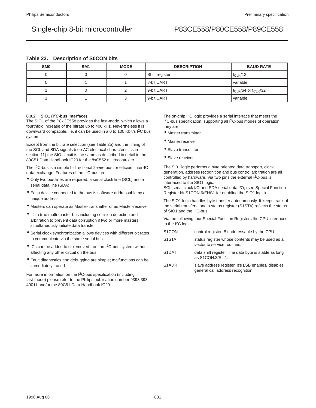## **Table 23. Description of S0CON bits**

| <b>SMO</b> | SM <sub>1</sub> | <b>MODE</b> | <b>DESCRIPTION</b> | <b>BAUD RATE</b>             |
|------------|-----------------|-------------|--------------------|------------------------------|
|            |                 | U           | Shift register     | $f_{CLK}/12$                 |
|            |                 |             | 8-bit UART         | variable                     |
|            |                 |             | 9-bit UART         | $f_{CLK}/64$ or $f_{CLK}/32$ |
|            |                 | ື           | 9-bit UART         | variable                     |

### **6.9.2 SIO1 (I2C-bus Interface)**

The SIO1 of the P8xCE558 provides the fast-mode, which allows a fourthfold increase of the bitrate up to 400 kHz. Nevertheless it is downward compatible, i.e. it can be used in a 0 to 100 Kbit/s I2C bus system.

Except from the bit rate selection (see Table 25) and the timing of the SCL and SDA signals (see AC electrical characteristics in section 11) the SIO circuit is the same as described in detail in the 80C51 Data Handbook IC20 for the 8xC552 microcontroller.

The I<sup>2</sup>C-bus is a simple bidirectional 2-wire bus for efficient inter-IC data exchange. Features of the I<sup>2</sup>C-bus are:

- Only two bus lines are required: a serial clock line (SCL) and a serial data line (SDA)
- Each device connected to the bus is software addressable by a unique address
- Masters can operate as Master-transmitter or as Master-receiver
- It's a true multi-master bus including collision detection and arbitration to prevent data corruption if two or more masters simultaneously initiate data transfer
- Serial clock synchronization allows devices with different bit rates to communicate via the same serial bus
- ICs can be added to or removed from an I2C-bus system without affecting any other circuit on the bus
- Fault diagnostics and debugging are simple; malfunctions can be immediately traced

For more information on the  $1<sup>2</sup>C$ -bus specification (including fast-mode) please refer to the Philips publication number 9398 393 40011 and/or the 80C51 Data Handbook IC20.

The on-chip I<sup>2</sup>C logic provides a serial interface that meets the 1<sup>2</sup>C-bus specification, supporting all <sup>12</sup>C-bus modes of operation, they are:

- Master transmitter
- Master receiver
- Slave transmitter
- Slave receiver

The SI01 logic performs a byte oriented data transport, clock generation, address recognition and bus control arbitration are all controlled by hardware. Via two pins the external I<sup>2</sup>C-bus is interfaced to the SIO1 logic:

SCL serial clock I/O and SDA serial data I/O, (see Special Function Register bit S1CON.6/ENS1 for enabling the SIO1 logic).

The SIO1 logic handles byte transfer autonomously. It keeps track of the serial transfers, and a status register (S1STA) reflects the status of SIO1 and the I<sup>2</sup>C-bus.

Via the following four Special Function Registers the CPU interfaces to the I2C logic.

| S <sub>1</sub> CON             | control register. Bit addressable by the CPU                                   |
|--------------------------------|--------------------------------------------------------------------------------|
| S <sub>1</sub> ST <sub>A</sub> | status register whose contents may be used as a<br>vector to service routines. |
| S <sub>1</sub> DAT             | data shift register. The data byte is stable as long<br>as S1CON.3/SI=1.       |

S1ADR slave address register. It's LSB enables/ disables general call address recognition.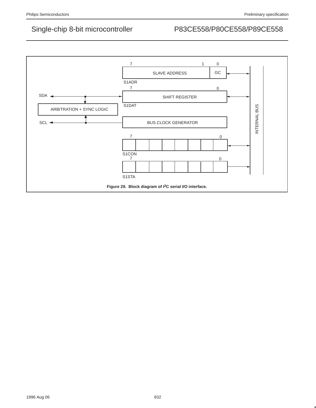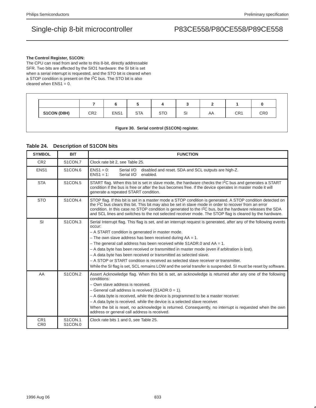### **The Control Register, S1CON:**

The CPU can read from and write to this 8-bit, directly addressable SFR. Two bits are affected by the SIO1 hardware: the SI bit is set when a serial interrupt is requested, and the STO bit is cleared when a STOP condition is present on the I<sup>2</sup>C bus. The STO bit is also cleared when  $ENS1 = 0$ .

| S1CON (D8H) | CR <sub>2</sub> | ENS <sub>1</sub> | <b>STA</b> | <b>CTO</b><br>ں ر | c١<br>ত। | AA | CR1 | CR <sub>0</sub> |
|-------------|-----------------|------------------|------------|-------------------|----------|----|-----|-----------------|

### **Figure 30. Serial control (S1CON) register.**

## **Table 24. Description of S1CON bits**

| <b>SYMBOL</b>                      | <b>BIT</b>                       | <b>FUNCTION</b>                                                                                                                                                                                                                                                                                                                                                                                                                                                                                                                                                                                                                                                                                          |
|------------------------------------|----------------------------------|----------------------------------------------------------------------------------------------------------------------------------------------------------------------------------------------------------------------------------------------------------------------------------------------------------------------------------------------------------------------------------------------------------------------------------------------------------------------------------------------------------------------------------------------------------------------------------------------------------------------------------------------------------------------------------------------------------|
| CR <sub>2</sub>                    | S1CON.7                          | Clock rate bit 2, see Table 25.                                                                                                                                                                                                                                                                                                                                                                                                                                                                                                                                                                                                                                                                          |
| ENS <sub>1</sub>                   | S <sub>1</sub> CON <sub>.6</sub> | $ENS1 = 0$ :<br>Serial I/O<br>disabled and reset. SDA and SCL outputs are high-Z.<br>$ENS1 = 1:$<br>Serial I/O<br>enabled.                                                                                                                                                                                                                                                                                                                                                                                                                                                                                                                                                                               |
| <b>STA</b>                         | S1CON.5                          | START flag. When this bit is set in slave mode, the hardware checks the I <sup>2</sup> C bus and generates a START<br>condition if the bus is free or after the bus becomes free. If the device operates in master mode it will<br>generate a repeated START condition.                                                                                                                                                                                                                                                                                                                                                                                                                                  |
| <b>STO</b>                         | S1CON.4                          | STOP flag. If this bit is set in a master mode a STOP condition is generated. A STOP condition detected on<br>the I <sup>2</sup> C bus clears this bit. This bit may also be set in slave mode in order to recover from an error<br>condition. In this case no STOP condition is generated to the $12C$ bus, but the hardware releases the SDA<br>and SCL lines and switches to the not selected receiver mode. The STOP flag is cleared by the hardware.                                                                                                                                                                                                                                                |
| SI                                 | S <sub>1</sub> CON <sub>3</sub>  | Serial Interrupt flag. This flag is set, and an interrupt request is generated, after any of the following events<br>occur:<br>- A START condition is generated in master mode.<br>$-$ The own slave address has been received during $AA = 1$ .<br>$-$ The general call address has been received while S1ADR.0 and AA = 1.<br>- A data byte has been received or transmitted in master mode (even if arbitration is lost).<br>- A data byte has been received or transmitted as selected slave.<br>- A STOP or START condition is received as selected slave receiver or transmitter.<br>While the SI flag is set, SCL remains LOW and the serial transfer is suspended. SI must be reset by software. |
| AA                                 | S1CON.2                          | Assert Acknowledge flag. When this bit is set, an acknowledge is returned after any one of the following<br>conditions:<br>- Own slave address is received.<br>$-$ General call address is received (S1ADR.0 = 1).<br>- A data byte is received, while the device is programmed to be a master receiver.<br>- A data byte is received. while the device is a selected slave receiver.<br>When the bit is reset, no acknowledge is returned. Consequently, no interrupt is requested when the own<br>address or general call address is received.                                                                                                                                                         |
| CR <sub>1</sub><br>CR <sub>0</sub> | S1CON.1<br>S1CON.0               | Clock rate bits 1 and 0, see Table 25.                                                                                                                                                                                                                                                                                                                                                                                                                                                                                                                                                                                                                                                                   |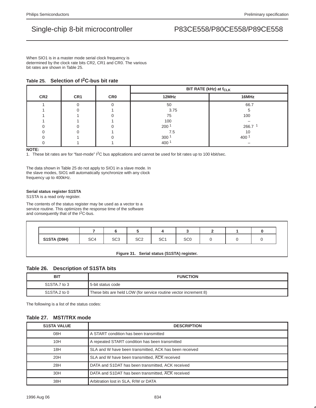When SIO1 is in a master mode serial clock frequency is determined by the clock rate bits CR2, CR1 and CR0. The various bit rates are shown in Table 25.

## **Table 25. Selection of I2C-bus bit rate**

|                 |                 |            | BIT RATE (kHz) at f <sub>CLK</sub> |         |  |
|-----------------|-----------------|------------|------------------------------------|---------|--|
| CR <sub>2</sub> | CR <sub>1</sub> | <b>CRO</b> | 12MHz                              | 16MHz   |  |
|                 |                 |            | 50                                 | 66.7    |  |
|                 |                 |            | 3.75                               |         |  |
|                 |                 |            | 75                                 | 100     |  |
|                 |                 |            | 100                                |         |  |
|                 |                 |            | 200 <sup>1</sup>                   | 266.7 1 |  |
|                 |                 |            | 7.5                                | 10      |  |
|                 |                 |            | 300 <sup>1</sup>                   | 400     |  |
|                 |                 |            | 400                                |         |  |

**NOTE:**

1. These bit rates are for "fast-mode" I<sup>2</sup>C bus applications and cannot be used for bit rates up to 100 kbit/sec.

The data shown in Table 25 do not apply to SIO1 in a slave mode. In the slave modes, SIO1 will automatically synchronize with any clock frequency up to 400kHz.

### **Serial status register S1STA**

S1STA is a read only register.

The contents of the status register may be used as a vector to a service routine. This optimizes the response time of the software and consequently that of the I2C-bus.

| SC <sub>0</sub> |                                            |  |
|-----------------|--------------------------------------------|--|
|                 |                                            |  |
|                 |                                            |  |
|                 | Figure 31. Serial status (S1STA) register. |  |

## **Table 26. Description of S1STA bits**

| BIT          | <b>FUNCTION</b>                                                  |
|--------------|------------------------------------------------------------------|
| S1STA.7 to 3 | l 5-bit status code                                              |
| S1STA.2 to 0 | These bits are held LOW (for service routine vector increment 8) |

The following is a list of the status codes:

## **Table 27. MST/TRX mode**

| <b>S1STA VALUE</b> | <b>DESCRIPTION</b>                                     |  |  |  |  |  |
|--------------------|--------------------------------------------------------|--|--|--|--|--|
| 08H                | A START condition has been transmitted                 |  |  |  |  |  |
| 10H                | A repeated START condition has been transmitted        |  |  |  |  |  |
| 18H                | SLA and W have been transmitted, ACK has been received |  |  |  |  |  |
| 20H                | SLA and W have been transmitted, ACK received          |  |  |  |  |  |
| 28H                | DATA and S1DAT has been transmitted, ACK received      |  |  |  |  |  |
| 30H                | DATA and S1DAT has been transmitted, ACK received      |  |  |  |  |  |
| 38H                | Arbitration lost in SLA, R/W or DATA                   |  |  |  |  |  |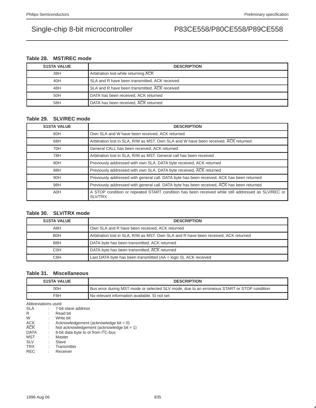## **Table 28. MST/REC mode**

| <b>S1STA VALUE</b> | <b>DESCRIPTION</b>                            |  |  |  |  |
|--------------------|-----------------------------------------------|--|--|--|--|
| 38H                | Arbitration lost while returning ACK          |  |  |  |  |
| 40H                | SLA and R have been transmitted, ACK received |  |  |  |  |
| 48H                | SLA and R have been transmitted, ACK received |  |  |  |  |
| 50H                | DATA has been received, ACK returned          |  |  |  |  |
| 58H                | DATA has been received, ACK returned          |  |  |  |  |

## **Table 29. SLV/REC mode**

| <b>S1STA VALUE</b> | <b>DESCRIPTION</b>                                                                                                   |
|--------------------|----------------------------------------------------------------------------------------------------------------------|
| 60H                | Own SLA and W have been received, ACK returned                                                                       |
| 68H                | Arbitration lost in SLA, R/W as MST. Own SLA and W have been received, ACK returned                                  |
| 70H                | General CALL has been received, ACK returned                                                                         |
| 78H                | Arbitration lost in SLA, R/W as MST. General call has been received                                                  |
| 80H                | Previously addressed with own SLA. DATA byte received, ACK returned                                                  |
| 88H                | Previously addressed with own SLA. DATA byte received, ACK returned                                                  |
| 90H                | Previously addressed with general call. DATA byte has been received, ACK has been returned                           |
| 98H                | Previously addressed with general call. DATA byte has been received, ACK has been returned                           |
| A0H                | A STOP condition or repeated START condition has been received while still addressed as SLV/REC or<br><b>SLV/TRX</b> |

## **Table 30. SLV/TRX mode**

| <b>S1STA VALUE</b> | <b>DESCRIPTION</b>                                                                  |
|--------------------|-------------------------------------------------------------------------------------|
| A8H                | Own SLA and R have been received, ACK returned                                      |
| B <sub>0</sub> H   | Arbitration lost in SLA, R/W as MST. Own SLA and R have been received, ACK returned |
| B <sub>8</sub> H   | DATA byte has been transmitted, ACK returned                                        |
| C <sub>0</sub> H   | DATA byte has been transmitted, ACK returned                                        |
| C8H                | Last DATA byte has been transmitted $(AA = logic 0)$ , ACK received                 |

## **Table 31. Miscellaneous**

| <b>S1STA VALUE</b> | <b>DESCRIPTION</b>                                                                          |
|--------------------|---------------------------------------------------------------------------------------------|
| 00H                | Bus error during MST mode or selected SLV mode, due to an erroneous START or STOP condition |
| F8H                | No relevant information available, SI not set                                               |

Abbreviations used:

| <b>SLA</b>  |   | 7-bit slave address                             |
|-------------|---|-------------------------------------------------|
| R           |   | Read bit                                        |
| W           |   | Write bit                                       |
| <b>ACK</b>  |   | Acknowledgement (acknowledge bit $= 0$ )        |
| <b>ACK</b>  |   | Not acknowledgement (acknowledge bit $= 1$ )    |
| <b>DATA</b> |   | 8-bit data byte to or from I <sup>2</sup> C-bus |
| <b>MST</b>  |   | Master                                          |
| <b>SLV</b>  | ÷ | Slave                                           |
| <b>TRX</b>  |   | Transmitter                                     |
| <b>REC</b>  |   | Receiver                                        |
|             |   |                                                 |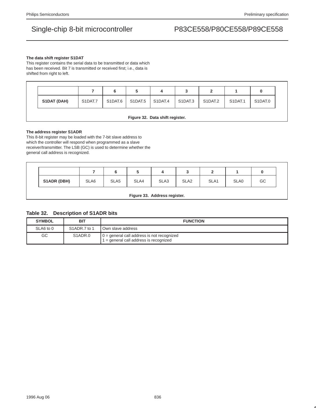### **The data shift register S1DAT**

This register contains the serial data to be transmitted or data which has been received. Bit 7 is transmitted or received first; i.e., data is shifted from right to left.

|                                 |         | 6       | 5       | 4       | J       |         |         |         |
|---------------------------------|---------|---------|---------|---------|---------|---------|---------|---------|
| S1DAT (DAH)                     | S1DAT.7 | S1DAT.6 | S1DAT.5 | S1DAT.4 | S1DAT.3 | S1DAT.2 | S1DAT.1 | S1DAT.0 |
| Figure 32. Data shift register. |         |         |         |         |         |         |         |         |

### **The address register S1ADR**

This 8-bit register may be loaded with the 7-bit slave address to which the controller will respond when programmed as a slave receiver/transmitter. The LSB (GC) is used to determine whether the general call address is recognized.

|             |      |                  | ັ    | 4    | ◡                |      |      |    |
|-------------|------|------------------|------|------|------------------|------|------|----|
| S1ADR (DBH) | SLA6 | SLA <sub>5</sub> | SLA4 | SLA3 | SLA <sub>2</sub> | SLA1 | SLA0 | GC |

**Figure 33. Address register.**

### **Table 32. Description of S1ADR bits**

| <b>SYMBOL</b> | BIT                             | <b>FUNCTION</b>                                                                        |  |  |  |
|---------------|---------------------------------|----------------------------------------------------------------------------------------|--|--|--|
| SLA6 to 0     | S1ADR.7 to 1                    | <b>Own slave address</b>                                                               |  |  |  |
| GC            | S <sub>1</sub> ADR <sub>0</sub> | $0 =$ general call address is not recognized<br>$=$ general call address is recognized |  |  |  |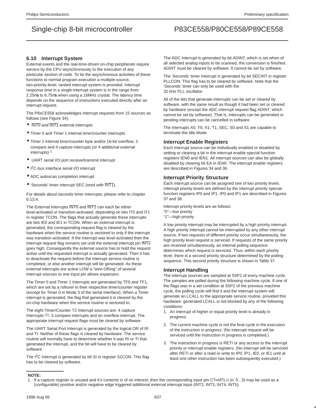### **6.10 Interrupt System**

External events and the real-time-driven on-chip peripherals require service by the CPU asynchronously to the execution of any particular section of code. To tie the asynchronous activities of these functions to normal program execution a multiple-source, two-priority-level, nested interrupt system is provided. Interrupt response time in a single-interrupt system is in the range from 2.25µs to 6.75µs when using a 16MHz crystal. The latency time depends on the sequence of instructions executed directly after an interrupt request.

The P8xCE558 acknowledges interrupt requests from 15 sources as follows (see Figure 34):

- **INTO and INT1** external interrupts
- Timer 0 and Timer 1 internal timer/counter interrupts
- Timer 2 internal timer/counter byte and/or 16-bit overflow, 3 compare and 4 capture interrupts (or 4 additional external interrupts)<sup>1</sup>
- UART serial I/O port receive/transmit interrupt
- I 2C-bus interface serial I/O interrupt
- ADC autoscan completion interrupt
- 'Seconds' timer interrupt SEC (ored with INT1).

For details about seconds timer interrupts, please refer to chapter 6.13.4.

The External Interrupts INTO and INTT can each be either level-activated or transition-activated, depending on bits IT0 and IT1 in register TCON. The flags that actually generate these interrupts are bits IE0 and IE1 in TCON. When an external interrupt is generated, the corresponding request flag is cleared by the hardware when the service routine is vectored to only if the interrupt was transition-activated. If the interrupt was level-activated then the interrupt request flag remains set until the external interrupt pin INTx goes high. Consequently the external source has to hold the request active until the requested interrupt is actually generated. Then it has to deactivate the request before the interrupt service routine is completed, or else another interrupt will be generated. As these external interrupts are active LOW a "wire-ORing" of several interrupt sources to one input pin allows expansion.

The Timer 0 and Timer 1 Interrupts are generated by TF0 and TF1, which are set by a rollover in their respective timer/counter register (except for Timer 0 in Mode 3 of the serial interface). When a Timer interrupt is generated, the flag that generated it is cleared by the on-chip hardware when the service routine is vectored to.

The eight Timer/Counter T2 Interrupt sources are: 4 capture Interrupts <sup>(1)</sup>, 3 compare interrupts and an overflow interrupt. The appropriate interrupt request flags must be cleared by software.

The UART Serial Port Interrupt is generated by the logical OR of RI and TI. Neither of these flags is cleared by hardware. The service routine will normally have to determine whether it was RI or TI that generated the interrupt, and the bit will have to be cleared by software.

The I<sup>2</sup>C Interrupt is generated by bit SI in register S1CON. This flag has to be cleared by software.

The ADC Interrupt is generated by bit ADINT, which is set when of all selected analog inputs to be scanned, the conversion is finished. ADINT must be cleared by software. It cannot be set by software.

The 'Seconds' timer Interrupt is generated by bit SECINT in register PLLCON. This flag has to be cleared by software. Note that the 'Seconds' timer can only be used with the 32 kHz PLL oscillator.

All of the bits that generate interrupts can be set or cleared by software, with the same result as though it had been set or cleared by hardware (except the ADC interrupt request flag ADINT, which cannot be set by software). That is, interrupts can be generated or pending interrupts can be cancelled in software.

The Interrupts X0, T0, X1, T1, SEC, S0 and S1 are capable to terminate the Idle Mode.

### **Interrupt Enable Registers**

Each interrupt source can be individually enabled or disabled by setting or clearing a bit in the interrupt enable special function registers IEN0 and IEN1. All interrupt sources can also be globally disabled by clearing bit EA in IEN0. The interrupt enable registers are described in Figures 34 and 36.

### **Interrupt Priority Structure**

Each interrupt source can be assigned one of two priority levels. Interrupt priority levels are defined by the interrupt priority special function registers IP0 and IP1. IP0 and IP1 are described in Figures 37 and 38.

Interrupt priority levels are as follows: "0"—low priority "1"—high priority

A low priority interrupt may be interrupted by a high priority interrupt. A high priority interrupt cannot be interrupted by any other interrupt source. If two requests of different priority occur simultaneously, the high priority level request is serviced. If requests of the same priority are received simultaneously, an internal polling sequence determines which request is serviced. Thus, within each priority level, there is a second priority structure determined by the polling sequence. This second priority structure is shown in Table 37.

### **Interrupt Handling**

The interrupt sources are sampled at S5P2 of every machine cycle. The samples are polled during the following machine cycle. If one of the flags was in a set condition at S5P2 of the previous machine cycle, the polling cycle will find it and the interrupt system will generate an LCALL to the appropriate service routine, provided this hardware- generated LCALL is not blocked by any of the following conditions:

- 1. An interrupt of higher or equal priority level is already in progress.
- 2. The current machine cycle is not the final cycle in the execution of the instruction in progress. (No interrupt request will be serviced until the instruction in progress is completed.)
- 3. The instruction in progress is RETI or any access to the interrupt priority or interrupt enable registers. (No interrupt will be serviced after RETI or after a read or write to IP0, IP1, IE0, or IE1 until at least one other instruction has been subsequently executed.)

### **NOTE:**

<sup>1.</sup> If a capture register is unused and it's contents is of no interest, then the corresponding input pin CTnI/P1.n (n: 0...3) may be used as a (configurable) positive and/or negative edge triggered additional external interrupt input (INT2, INT3, INT4, INT5).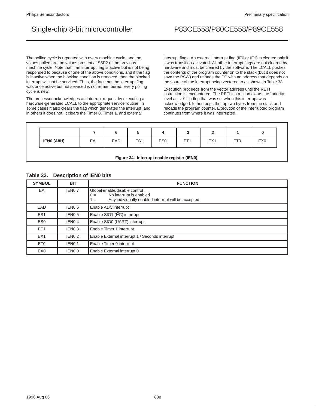The polling cycle is repeated with every machine cycle, and the values polled are the values present at S5P2 of the previous machine cycle. Note that if an interrupt flag is active but is not being responded to because of one of the above conditions, and if the flag is inactive when the blocking condition is removed, then the blocked interrupt will not be serviced. Thus, the fact that the interrupt flag was once active but not serviced is not remembered. Every polling cycle is new.

The processor acknowledges an interrupt request by executing a hardware-generated LCALL to the appropriate service routine. In some cases it also clears the flag which generated the interrupt, and in others it does not. It clears the Timer 0, Timer 1, and external

interrupt flags. An external interrupt flag (IE0 or IE1) is cleared only if it was transition-activated. All other interrupt flags are not cleared by hardware and must be cleared by the software. The LCALL pushes the contents of the program counter on to the stack (but it does not save the PSW) and reloads the PC with an address that depends on the source of the interrupt being vectored to as shown in Table 38.

Execution proceeds from the vector address until the RETI instruction is encountered. The RETI instruction clears the "priority level active" flip-flop that was set when this interrupt was acknowledged. It then pops the top two bytes from the stack and reloads the program counter. Execution of the interrupted program continues from where it was interrupted.

| IENO (A8H)                                   | EA | EAD | ES <sub>1</sub> | ES <sub>0</sub> | ET <sub>1</sub> | EX <sub>1</sub> | ET <sub>0</sub> | EX <sub>0</sub> |
|----------------------------------------------|----|-----|-----------------|-----------------|-----------------|-----------------|-----------------|-----------------|
| Figure 34. Interrupt enable register (IEN0). |    |     |                 |                 |                 |                 |                 |                 |

### **Table 33. Description of IEN0 bits**

| <b>SYMBOL</b>   | <b>BIT</b>         | <b>FUNCTION</b>                                                                                                                      |
|-----------------|--------------------|--------------------------------------------------------------------------------------------------------------------------------------|
| EA              | IEN0.7             | Global enable/disable control<br>No interrupt is enabled<br>$0 =$<br>Any individually enabled interrupt will be accepted<br>$\equiv$ |
| EAD             | IEN0.6             | Enable ADC interrupt                                                                                                                 |
| ES <sub>1</sub> | IEN <sub>0.5</sub> | Enable SIO1 (I <sup>2</sup> C) interrupt                                                                                             |
| ES <sub>0</sub> | IEN <sub>0.4</sub> | Enable SIO0 (UART) interrupt                                                                                                         |
| ET <sub>1</sub> | IEN <sub>0.3</sub> | Enable Timer 1 interrupt                                                                                                             |
| EX <sub>1</sub> | IEN <sub>0.2</sub> | Enable External interrupt 1 / Seconds interrupt                                                                                      |
| ET <sub>0</sub> | IEN <sub>0.1</sub> | Enable Timer 0 interrupt                                                                                                             |
| EX <sub>0</sub> | IEN0.0             | Enable External interrupt 0                                                                                                          |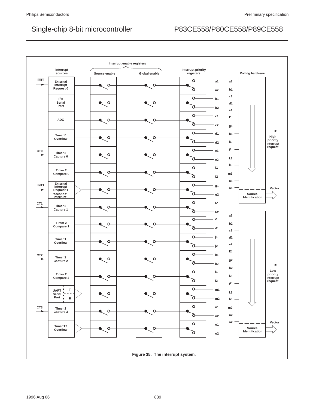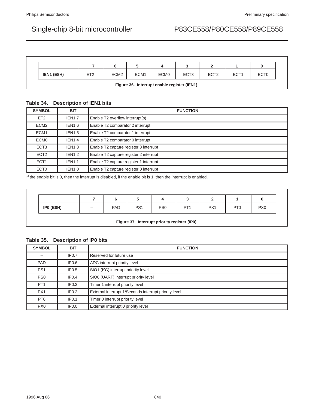| IEN1 (E8H)                                   | ET <sub>2</sub> | ECM <sub>2</sub> | ECM <sub>1</sub> | ECM <sub>0</sub> | ECT <sub>3</sub> | ECT <sub>2</sub> | ECT <sub>1</sub> | ECT <sub>0</sub> |
|----------------------------------------------|-----------------|------------------|------------------|------------------|------------------|------------------|------------------|------------------|
| Figure 36. Interrupt enable register (IEN1). |                 |                  |                  |                  |                  |                  |                  |                  |

### **Table 34. Description of IEN1 bits**

| <b>SYMBOL</b>    | <b>BIT</b>    | <b>FUNCTION</b>                        |
|------------------|---------------|----------------------------------------|
| ET <sub>2</sub>  | <b>IEN1.7</b> | Enable T2 overflow interrupt(s)        |
| ECM <sub>2</sub> | <b>IEN1.6</b> | Enable T2 comparator 2 interrupt       |
| ECM <sub>1</sub> | <b>IEN1.5</b> | Enable T2 comparator 1 interrupt       |
| ECM <sub>0</sub> | <b>IEN1.4</b> | Enable T2 comparator 0 interrupt       |
| ECT <sub>3</sub> | <b>IEN1.3</b> | Enable T2 capture register 3 interrupt |
| ECT <sub>2</sub> | <b>IEN1.2</b> | Enable T2 capture register 2 interrupt |
| ECT <sub>1</sub> | <b>IEN1.1</b> | Enable T2 capture register 1 interrupt |
| ECT <sub>0</sub> | <b>IEN1.0</b> | Enable T2 capture register 0 interrupt |

If the enable bit is 0, then the interrupt is disabled, if the enable bit is 1, then the interrupt is enabled.

| <b>IPO (B8H)</b> | <b>PAD</b> | PS <sub>1</sub> | PS <sub>0</sub> | PT <sub>1</sub> | PX1 | PT <sub>0</sub> | PX <sub>0</sub> |
|------------------|------------|-----------------|-----------------|-----------------|-----|-----------------|-----------------|

### **Table 35. Description of IP0 bits**

| <b>SYMBOL</b>   | <b>BIT</b>        | <b>FUNCTION</b>                                       |  |  |  |
|-----------------|-------------------|-------------------------------------------------------|--|--|--|
|                 | IP0.7             | Reserved for future use                               |  |  |  |
| <b>PAD</b>      | IP <sub>0.6</sub> | ADC interrupt priority level                          |  |  |  |
| PS <sub>1</sub> | IP <sub>0.5</sub> | SIO1 (I <sup>2</sup> C) interrupt priority level      |  |  |  |
| PS <sub>0</sub> | IP <sub>0.4</sub> | SIO0 (UART) interrupt priority level                  |  |  |  |
| PT <sub>1</sub> | IP <sub>0.3</sub> | Timer 1 interrupt priority level                      |  |  |  |
| PX <sub>1</sub> | IP <sub>0.2</sub> | External interrupt 1/Seconds interrupt priority level |  |  |  |
| PT <sub>0</sub> | IP <sub>0.1</sub> | Timer 0 interrupt priority level                      |  |  |  |
| PX <sub>0</sub> | IP <sub>0.0</sub> | External interrupt 0 priority level                   |  |  |  |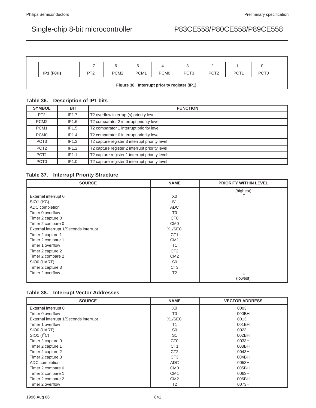| <b>IP1 (F8H)</b>                              | PT <sub>2</sub> | PCM <sub>2</sub> | PCM <sub>1</sub> | PCM <sub>0</sub> | PCT <sub>3</sub> | PCT <sub>2</sub> | PCT <sub>1</sub> | PCT <sub>0</sub> |
|-----------------------------------------------|-----------------|------------------|------------------|------------------|------------------|------------------|------------------|------------------|
| Figure 38. Interrupt priority register (IP1). |                 |                  |                  |                  |                  |                  |                  |                  |

## **Table 36. Description of IP1 bits**

| <b>SYMBOL</b>    | <b>BIT</b>        | <b>FUNCTION</b>                                |
|------------------|-------------------|------------------------------------------------|
| PT <sub>2</sub>  | IP1.7             | T2 overflow interrupt(s) priority level        |
| PCM <sub>2</sub> | IP1.6             | T2 comparator 2 interrupt priority level       |
| PCM <sub>1</sub> | IP <sub>1.5</sub> | T2 comparator 1 interrupt priority level       |
| PCM <sub>0</sub> | IP1.4             | T2 comparator 0 interrupt priority level       |
| PCT <sub>3</sub> | IP1.3             | T2 capture register 3 interrupt priority level |
| PCT <sub>2</sub> | IP1.2             | T2 capture register 2 interrupt priority level |
| PCT <sub>1</sub> | IP1.1             | T2 capture register 1 interrupt priority level |
| PCT <sub>0</sub> | IP1.0             | T2 capture register 0 interrupt priority level |

### **Table 37. Interrupt Priority Structure**

| <b>SOURCE</b>                          | <b>NAME</b>      | <b>PRIORITY WITHIN LEVEL</b> |
|----------------------------------------|------------------|------------------------------|
|                                        |                  | (highest)                    |
| External interrupt 0                   | X0               |                              |
| SIO1 (I <sup>2</sup> C)                | S <sub>1</sub>   |                              |
| ADC completion                         | <b>ADC</b>       |                              |
| Timer 0 overflow                       | T <sub>0</sub>   |                              |
| Timer 2 capture 0                      | C <sub>T0</sub>  |                              |
| Timer 2 compare 0                      | CM <sub>0</sub>  |                              |
| External interrupt 1/Seconds interrupt | X1/SEC           |                              |
| Timer 2 capture 1                      | CT <sub>1</sub>  |                              |
| Timer 2 compare 1                      | CM <sub>1</sub>  |                              |
| Timer 1 overflow                       | T1               |                              |
| Timer 2 capture 2                      | CT <sub>2</sub>  |                              |
| Timer 2 compare 2                      | CM <sub>2</sub>  |                              |
| SIO0 (UART)                            | S <sub>0</sub>   |                              |
| Timer 2 capture 3                      | C <sub>T</sub> 3 |                              |
| Timer 2 overflow                       | T <sub>2</sub>   | Jz                           |
|                                        |                  | (lowest)                     |

### **Table 38. Interrupt Vector Addresses**

| <b>SOURCE</b>                          | <b>NAME</b>      | <b>VECTOR ADDRESS</b> |
|----------------------------------------|------------------|-----------------------|
| External interrupt 0                   | X0               | 0003H                 |
| Timer 0 overflow                       | T0               | 000BH                 |
| External interrupt 1/Seconds interrupt | X1/SEC           | 0013H                 |
| Timer 1 overflow                       | Τ1               | 001BH                 |
| SIO0 (UART)                            | S <sub>0</sub>   | 0023H                 |
| $SIO1$ ( $I2C$ )                       | S <sub>1</sub>   | 002BH                 |
| Timer 2 capture 0                      | C <sub>T0</sub>  | 0033H                 |
| Timer 2 capture 1                      | CT <sub>1</sub>  | 003BH                 |
| Timer 2 capture 2                      | CT <sub>2</sub>  | 0043H                 |
| Timer 2 capture 3                      | C <sub>T</sub> 3 | 004BH                 |
| ADC completion                         | <b>ADC</b>       | 0053H                 |
| Timer 2 compare 0                      | CM <sub>0</sub>  | 005BH                 |
| Timer 2 compare 1                      | CM <sub>1</sub>  | 0063H                 |
| Timer 2 compare 2                      | CM <sub>2</sub>  | 006BH                 |
| Timer 2 overflow                       | T <sub>2</sub>   | 0073H                 |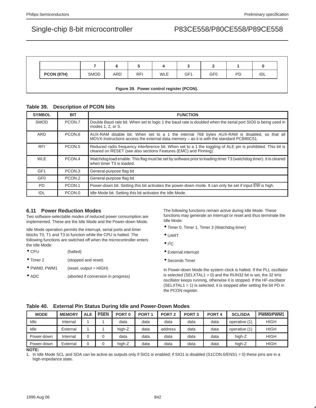| <b>PCON (87H)</b>                         | <b>SMOD</b> | <b>ARD</b> | <b>RFI</b> | <b>WLE</b> | GF1 | GF <sub>0</sub> | PD | IDL |
|-------------------------------------------|-------------|------------|------------|------------|-----|-----------------|----|-----|
| Figure 39. Power control register (PCON). |             |            |            |            |     |                 |    |     |

### **Table 39. Description of PCON bits**

| <b>SYMBOL</b>   | <b>BIT</b>         | <b>FUNCTION</b>                                                                                                                                                                             |
|-----------------|--------------------|---------------------------------------------------------------------------------------------------------------------------------------------------------------------------------------------|
| <b>SMOD</b>     | PCON.7             | Double Baud rate bit. When set to logic 1 the baud rate is doubled when the serial port SIO0 is being used in<br>modes 1, 2, or 3.                                                          |
| ARD             | PCON.6             | AUX-RAM disable bit. When set to a 1 the internal 768 bytes AUX-RAM is disabled, so that all<br>$MOVX$ -Instructions access the external data memory – as it is with the standard PCB80C51. |
| <b>RFI</b>      | PCON <sub>.5</sub> | Reduced radio frequency interference bit. When set to a 1 the toggling of ALE pin is prohibited. This bit is<br>cleared on RESET (see also sections Features (EMC) and Pinning).            |
| <b>WLE</b>      | PCON.4             | Watchdog load enable. This flag must be set by software prior to loading timer T3 (watchdog timer). It is cleared<br>when timer T3 is loaded.                                               |
| GF <sub>1</sub> | PCON.3             | General-purpose flag bit                                                                                                                                                                    |
| GF <sub>0</sub> | PCON.2             | General-purpose flag bit                                                                                                                                                                    |
| <b>PD</b>       | PCON.1             | Power-down bit. Setting this bit activates the power-down mode. It can only be set if input EW is high.                                                                                     |
| IDL             | PCON.0             | Idle Mode bit. Setting this bit activates the Idle Mode.                                                                                                                                    |

### **6.11 Power Reduction Modes**

Two software-selectable modes of reduced power consumption are implemented. These are the Idle Mode and the Power-down Mode.

Idle Mode operation permits the interrupt, serial ports and timer blocks T0, T1 and T3 to function while the CPU is halted. The following functions are switched off when the microcontroller enters the Idle Mode:

| $\bullet$ CPU     | (halted)                            |
|-------------------|-------------------------------------|
| $\bullet$ Timer 2 | (stopped and reset)                 |
| • PWM0, PWM1      | $(reset, output = HIGH)$            |
| $\bullet$ ADC     | (aborted if conversion in progress) |

The following functions remain active during Idle Mode. These functions may generate an interrupt or reset and thus terminate the Idle Mode:

- Timer 0, Timer 1, Timer 3 (Watchdog timer)
- UART
- $\bullet$   $l^2C$
- External interrupt
- Seconds Timer

In Power-down Mode the system clock is halted. If the PLL oscillator is selected (SELXTAL1 = 0) and the RUN32 bit is set, the 32 kHz oscillator keeps running, otherwise it is stopped. If the HF-oscillator (SELXTAL1 = 1) is selected, it is stopped after setting the bit PD in the PCON register.

## **Table 40. External Pin Status During Idle and Power-Down Modes**

| <b>MODE</b> | <b>MEMORY</b> | <b>PSEN</b><br><b>ALE</b><br>PORT <sub>0</sub><br>PORT <sub>1</sub> |  |        |      |         | PORT <sub>3</sub> | PORT <sub>4</sub> | <b>SCL/SDA</b> | PWM0/PWM1   |
|-------------|---------------|---------------------------------------------------------------------|--|--------|------|---------|-------------------|-------------------|----------------|-------------|
| Idle        | Internal      |                                                                     |  | data   | data | data    | data              | data              | operative (1)  | HIGH        |
| Idle        | External      |                                                                     |  | high-Z | data | address | data              | data              | operative (1)  | <b>HIGH</b> |
| Power-down  | Internal      |                                                                     |  | data   | data | data    | data              | data              | high-Z         | <b>HIGH</b> |
| Power-down  | External      |                                                                     |  | high-Z | data | data    | data              | data              | high-Z         | <b>HIGH</b> |

**NOTE:**

1. In Idle Mode SCL and SDA can be active as outputs only if SIO1 is enabled; if SIO1 is disabled (S1CON.6/ENS1 = 0) these pins are in a high-impedance state.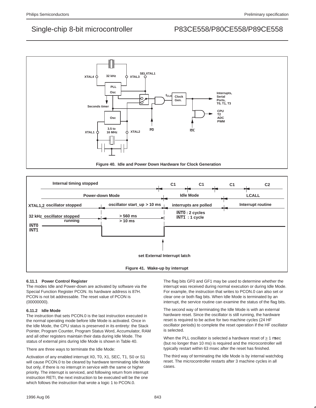



### **6.11.1 Power Control Register**

The modes Idle and Power-down are activated by software via the Special Function Register PCON. Its hardware address is 87H. PCON is not bit addressable. The reset value of PCON is  $(00000000)$ .

### **6.11.2 Idle Mode**

The instruction that sets PCON.0 is the last instruction executed in the normal operating mode before Idle Mode is activated. Once in the Idle Mode, the CPU status is preserved in its entirety: the Stack Pointer, Program Counter, Program Status Word, Accumulator, RAM and all other registers maintain their data during Idle Mode. The status of external pins during Idle Mode is shown in Table 40.

There are three ways to terminate the Idle Mode:

Activation of any enabled interrupt X0, T0, X1, SEC, T1, S0 or S1 will cause PCON.0 to be cleared by hardware terminating Idle Mode but only, if there is no interrupt in service with the same or higher priority. The interrupt is serviced, and following return from interrupt instruction RETI, the next instruction to be executed will be the one which follows the instruction that wrote a logic 1 to PCON.0.

The flag bits GF0 and GF1 may be used to determine whether the interrupt was received during normal execution or during Idle Mode. For example, the instruction that writes to PCON.0 can also set or clear one or both flag bits. When Idle Mode is terminated by an interrupt, the service routine can examine the status of the flag bits.

The second way of terminating the Idle Mode is with an external hardware reset. Since the oscillator is still running, the hardware reset is required to be active for two machine cycles (24 HF oscillator periods) to complete the reset operation if the HF oscillator is selected.

When the PLL oscillator is selected a hardware reset of  $\geq 1$  usec (but no longer than 10 ms) is required and the microcontroller will typically restart within 63 msec after the reset has finished.

The third way of terminating the Idle Mode is by internal watchdog reset. The microcontroller restarts after 3 machine cycles in all cases.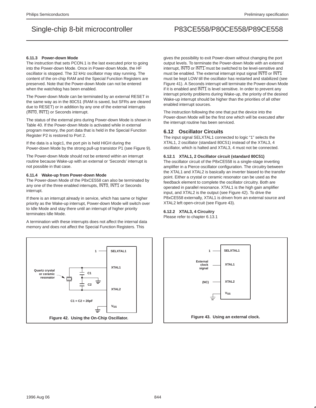#### **6.11.3 Power-down Mode**

The instruction that sets PCON.1 is the last executed prior to going into the Power-down Mode. Once in Power-down Mode, the HF oscillator is stopped. The 32 kHz oscillator may stay running. The content of the on-chip RAM and the Special Function Registers are preserved. Note that the Power-down Mode can not be entered when the watchdog has been enabled.

The Power-down Mode can be terminated by an external RESET in the same way as in the 80C51 (RAM is saved, but SFRs are cleared due to RESET) or in addition by any one of the external interrupts (INT0, INT1) or Seconds interrupt.

The status of the external pins during Power-down Mode is shown in Table 40. If the Power-down Mode is activated while in external program memory, the port data that is held in the Special Function Register P2 is restored to Port 2.

If the data is a logic1, the port pin is held HIGH during the Power-down Mode by the strong pull-up transistor P1 (see Figure 9).

The Power-down Mode should not be entered within an interrupt routine because Wake-up with an external or 'Seconds' interrupt is not possible in that case.

#### **6.11.4 Wake-up from Power-down Mode**

The Power-down Mode of the P8xCE558 can also be terminated by any one of the three enabled interrupts, INT0, INT1 or Seconds interrupt.

If there is an interrupt already in service, which has same or higher priority as the Wake-up interrupt, Power-down Mode will switch over to Idle Mode and stay there until an interrupt of higher priority terminates Idle Mode.

A termination with these interrupts does not affect the internal data memory and does not affect the Special Function Registers. This



gives the possibility to exit Power-down without changing the port output levels. To terminate the Power-down Mode with an external interrupt,  $\overline{\text{INT0}}$  or  $\overline{\text{INT1}}$  must be switched to be level-sensitive and must be enabled. The external interrupt input signal INT0 or INT1 must be kept LOW till the oscillator has restarted and stabilized (see Figure 41). A Seconds interrupt will terminate the Power-down Mode if it is enabled and  $\overline{\text{INT1}}$  is level sensitive. In order to prevent any interrupt priority problems during Wake-up, the priority of the desired Wake-up interrupt should be higher than the priorities of all other enabled interrupt sources.

The instruction following the one that put the device into the Power-down Mode will be the first one which will be executed after the interrupt routine has been serviced.

### **6.12 Oscillator Circuits**

The input signal SELXTAL1 connected to logic "1" selects the XTAL1, 2 oscillator (standard 80C51) instead of the XTAL3, 4 oscillator, which is halted and XTAL3, 4 must not be connected.

#### **6.12.1 XTAL1, 2 Oscillator circuit (standard 80C51)**

The oscillator circuit of the P8xCE558 is a single-stage inverting amplifier in a Pierce oscillator configuration. The circuitry between the XTAL1 and XTAL2 is basically an inverter biased to the transfer point. Either a crystal or ceramic resonator can be used as the feedback element to complete the oscillator circuitry. Both are operated in parallel resonance. XTAL1 is the high gain amplifier input, and XTAL2 is the output (see Figure 42). To drive the P8xCE558 externally, XTAL1 is driven from an external source and XTAL2 left open-circuit (see Figure 43).

### **6.12.2 XTAL3, 4 Circuitry**

Please refer to chapter 6.13.1

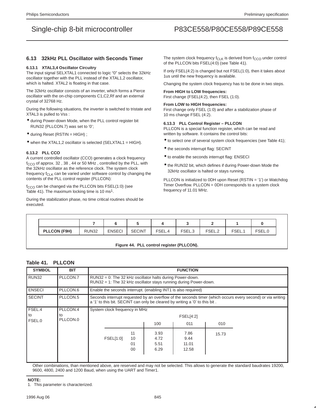### **6.13 32kHz PLL Oscillator with Seconds Timer**

#### **6.13.1 XTAL3,4 Oscillator Circuitry**

The input signal SELXTAL1 connected to logic "0" selects the 32kHz oscillator together with the PLL instead of the XTAL1,2 oscillator, which is halted. XTAL2 is floating in that case.

The 32kHz oscillator consists of an inverter, which forms a Pierce oscillator with the on-chip components C1,C2,Rf and an external crystal of 32768 Hz.

During the following situations, the inverter is switched to tristate and XTAL3 is pulled to Vss :

- during Power-down Mode, when the PLL control register bit RUN32 (PLLCON.7) was set to '0';
- during Reset (RSTIN = HIGH) ;
- when the XTAL1,2 oscillator is selected (SELXTAL1 = HIGH).

#### **6.13.2 PLL CCO**

A current controlled oscillator (CCO) generates a clock frequency  $f_{CCO}$  of approx. 32, 38, 44 or 50 MHz, controlled by the PLL, with the 32kHz oscillator as the reference clock. The system clock frequency  $f_{CLK}$  can be varied under software control by changing the contents of the PLL control register (PLLCON):

f<sub>CCO</sub> can be changed via the PLLCON bits FSEL(1:0) (see Table 41). The maximum locking time is 10 ms<sup>1</sup>.

During the stabilization phase, no time critical routines should be executed.

The system clock frequency  $f_{CLK}$  is derived from  $f_{CCO}$  under control of the PLLCON bits FSEL(4:0) (see Table 41).

If only FSEL(4:2) is changed but not FSEL(1:0), then it takes about 1us until the new frequency is available.

Changing the system clock frequency has to be done in two steps.

#### **From HIGH to LOW frequencies:** First change (FSEL(4:2), then FSEL (1:0).

#### **From LOW to HIGH frequencies:**

First change only FSEL (1:0) and after a stabilization phase of 10 ms change FSEL (4:2).

#### **6.13.3 PLL Control Register – PLLCON**

PLLCON is a special function register, which can be read and written by software. It contains the control bits:

- to select one of several system clock frequencies (see Table 41);
- the seconds interrupt flag: SECINT
- to enable the seconds interrupt flag: ENSECI
- the RUN32 bit, which defines if during Power-down Mode the 32kHz oscillator is halted or stays running.

PLLCON is initialized to 0DH upon Reset (RSTIN = '1') or Watchdog Timer Overflow. PLLCON = 0DH corresponds to a system clock frequency of 11.01 MHz.

| <b>LCON (F9H)</b><br>PI | <b>JN32</b> | . FNSEC'<br>_______ | <b>SECINT</b> | FSEL. | ১⊏∟.ර | ᄃᄋᄃ<br>. JLL.4 | ---<br>◡––– | $\blacksquare$ |
|-------------------------|-------------|---------------------|---------------|-------|-------|----------------|-------------|----------------|

#### **Figure 44. PLL control register (PLLCON).**

#### **Table 41. PLLCON**

| <b>SYMBOL</b> | <b>BIT</b>     |                               | <b>FUNCTION</b>                                                                                                                                                                           |                              |                                                                |       |  |  |  |  |  |  |
|---------------|----------------|-------------------------------|-------------------------------------------------------------------------------------------------------------------------------------------------------------------------------------------|------------------------------|----------------------------------------------------------------|-------|--|--|--|--|--|--|
| RUN32         | PLLCON.7       |                               | $RUN32 = 0$ : The 32 kHz oscillator halts during Power-down.<br>RUN32 = 1: The 32 kHz oscillator stays running during Power-down.                                                         |                              |                                                                |       |  |  |  |  |  |  |
| <b>ENSECI</b> | PLLCON.6       |                               |                                                                                                                                                                                           |                              | Enable the seconds interrupt. (enabling INT1 is also required) |       |  |  |  |  |  |  |
| <b>SECINT</b> | PLLCON.5       |                               | Seconds interrupt requested by an overflow of the seconds timer (which occurs every second) or via writing<br>a '1' to this bit. SECINT can only be cleared by writing a '0' to this bit. |                              |                                                                |       |  |  |  |  |  |  |
| FSEL.4        | PLLCON.4       | System clock frequency in MHz |                                                                                                                                                                                           |                              |                                                                |       |  |  |  |  |  |  |
| to            | to<br>PLLCON.0 |                               |                                                                                                                                                                                           |                              | FSEL[4:2]                                                      |       |  |  |  |  |  |  |
| FSEL.0        |                |                               |                                                                                                                                                                                           | 100                          | 011                                                            | 010   |  |  |  |  |  |  |
|               |                | <b>FSEL[1:0]</b>              | 11<br>10<br>01<br>00                                                                                                                                                                      | 3.93<br>4.72<br>5.51<br>6.29 | 7.86<br>9.44<br>11.01<br>12.58                                 | 15.73 |  |  |  |  |  |  |

Other combinations, than mentioned above, are reserved and may not be selected. This allows to generate the standard baudrates 19200, 9600, 4800, 2400 and 1200 Baud, when using the UART and Timer1.

#### **NOTE:**

1. This parameter is characterized.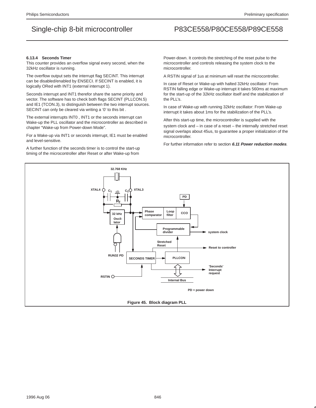#### **6.13.4 Seconds Timer**

This counter provides an overflow signal every second, when the 32kHz oscillator is running.

The overflow output sets the interrupt flag SECINT. This interrupt can be disabled/enabled by ENSECI. If SECINT is enabled, it is logically ORed with INT1 (external interrupt 1).

Seconds interrupt and INT1 therefor share the same priority and vector. The software has to check both flags SECINT (PLLCON.5) and IE1 (TCON.3), to distinguish between the two interrupt sources. SECINT can only be cleared via writing a '0' to this bit .

The external interrupts INT0 , INT1 or the seconds interrupt can Wake-up the PLL oscillator and the microcontroller as described in chapter "Wake-up from Power-down Mode".

For a Wake-up via INT1 or seconds interrupt, IE1 must be enabled and level-sensitive.

A further function of the seconds timer is to control the start-up timing of the microcontroller after Reset or after Wake-up from

Power-down. It controls the stretching of the reset pulse to the microcontroller and controls releasing the system clock to the microcontroller.

A RSTIN signal of 1us at minimum will reset the microcontroller.

In case of Reset or Wake-up with halted 32kHz oscillator: From RSTIN falling edge or Wake-up interrupt it takes 560ms at maximum for the start-up of the 32kHz oscillator itself and the stabilization of the PLL's.

In case of Wake-up with running 32kHz oscillator: From Wake-up interrupt it takes about 1ms for the stabilization of the PLL's.

After this start-up time, the microcontroller is supplied with the system clock and – in case of a reset – the internally stretched reset signal overlaps about 45us, to guarantee a proper initialization of the microcontroller.

For further information refer to section **6.11 Power reduction modes**.

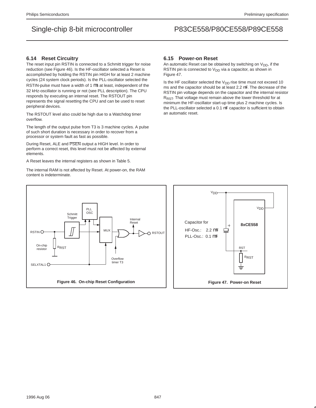### **6.14 Reset Circuitry**

The reset input pin RSTIN is connected to a Schmitt trigger for noise reduction (see Figure 46). Is the HF-oscillator selected a Reset is accomplished by holding the RSTIN pin HIGH for at least 2 machine cycles (24 system clock periods). Is the PLL-oscillator selected the RSTIN-pulse must have a width of 1 µs at least, independent of the 32 kHz-oscillator is running or not (see PLL description). The CPU responds by executing an internal reset. The RSTOUT pin represents the signal resetting the CPU and can be used to reset peripheral devices.

The RSTOUT level also could be high due to a Watchdog timer overflow.

The length of the output pulse from T3 is 3 machine cycles. A pulse of such short duration is necessary in order to recover from a processor or system fault as fast as possible.

During Reset, ALE and PSEN output a HIGH level. In order to perform a correct reset, this level must not be affected by external elements.

A Reset leaves the internal registers as shown in Table 5.

The internal RAM is not affected by Reset. At power-on, the RAM content is indeterminate.

### **6.15 Power-on Reset**

An automatic Reset can be obtained by switching on  $V_{DD}$ , if the RSTIN pin is connected to  $V_{DD}$  via a capacitor, as shown in Figure 47.

Is the HF oscillator selected the  $V_{DD}$  rise time must not exceed 10 ms and the capacitor should be at least 2.2 µF. The decrease of the RSTIN pin voltage depends on the capacitor and the internal resistor R<sub>RST</sub>. That voltage must remain above the lower threshold for at minimum the HF-oscillator start-up time plus 2 machine cycles. Is the PLL-oscillator selected a 0.1 µF capacitor is sufficient to obtain an automatic reset.



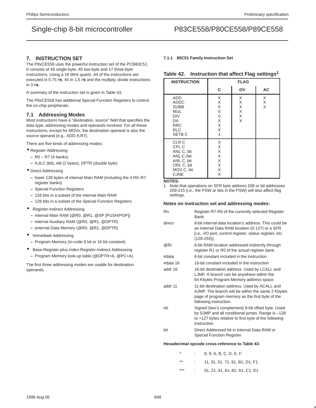### **7. INSTRUCTION SET**

The P8xCE558 uses the powerful instruction set of the PCB80C51. It consists of 49 single-byte, 45 two-byte and 17 three-byte instructions. Using a 16 MHz quartz, 64 of the instructions are executed in 0.75 µs, 45 in 1,5 µs and the multiply, divide instructions in  $3 \mu s$ .

A summary of the instruction set is given in Table 43.

The P8xCE558 has additional Special Function Registers to control the on-chip peripherals.

### **7.1 Addressing Modes**

Most instructions have a "destination, source" field that specifies the data type, addressing modes and operands involved. For all these instructions, except for MOVs, the destination operand is also the source operand (e.g., ADD A,R7).

There are five kinds of addressing modes:

- Register Addressing
	- **–** R0 R7 (4 banks)
	- **–** A,B,C (bit), AB (2 bytes), DPTR (double byte)
- Direct Addressing
	- **–** lower 128 bytes of internal Main RAM (including the 4 R0–R7 register banks)
	- **–** Special Function Registers
	- **–** 128 bits in a subset of the internal Main RAM
	- **–** 128 bits in a subset of the Special Function Registers
- Register-Indirect Addressing
	- **–** internal Main RAM (@R0, @R1, @SP [PUSH/POP])
- **–** internal Auxiliary RAM (@R0, @R1, @DPTR)
- **–** external Data Memory (@R0, @R1, @DPTR)
- Immediate Addressing
	- **–** Program Memory (in-code 8 bit or 16 bit constant)
- Base-Register-plus Index-Register-Indirect Addressing
	- **–** Program Memory look-up table (@DPTR+A, @PC+A)

The first three addressing modes are usable for destination operands.

#### **7.1.1 80C51 Family Instruction Set**

### **Table 42. Instruction that affect Flag settings1**

| <b>INSTRUCTION</b>                                                                                             |                                                          | <b>FLAG</b>                |             |
|----------------------------------------------------------------------------------------------------------------|----------------------------------------------------------|----------------------------|-------------|
|                                                                                                                | C                                                        | OV                         | <b>AC</b>   |
| <b>ADD</b><br><b>ADDC</b><br><b>SUBB</b><br>MUL<br>DIV<br>DA<br><b>RRC</b><br><b>RLC</b><br>SETB <sub>C</sub>  | X<br>X<br>Χ<br>$\mathbf 0$<br>0<br>Χ<br>Χ<br>X<br>1      | X<br>Χ<br>Χ<br>Χ<br>Χ<br>X | X<br>X<br>X |
| CLR <sub>C</sub><br>CPL C<br>ANL C, bit<br>ANL C,/bit<br>ANL C, bit<br>ORL C, bit<br>MOV C, bit<br><b>CJNE</b> | 0<br>Χ<br>X<br>Χ<br>$\mathsf X$<br>$\mathsf X$<br>Χ<br>X |                            |             |

#### **NOTES:**

1. Note that operations on SFR byte address 208 or bit addresses 209-215 (i.e., the PSW or bits in the PSW) will also affect flag settings.

#### **Notes on instruction set and addressing modes:**

| Rn                                              | Register R7-R0 of the currently selected Register<br>Bank.                                                                                                                            |  |  |  |  |  |  |  |
|-------------------------------------------------|---------------------------------------------------------------------------------------------------------------------------------------------------------------------------------------|--|--|--|--|--|--|--|
| direct                                          | 8-bit internal data location's address. This could be<br>an Internal Data RAM location (0-127) or a SFR<br>[i.e., I/O port, control register, status register, etc.<br>$(128-255)$ ]. |  |  |  |  |  |  |  |
| @Ri                                             | 8-bit RAM location addressed indirectly through<br>register R1 or R0 of the actual register bank.                                                                                     |  |  |  |  |  |  |  |
| #data                                           | 8-bit constant included in the instruction.                                                                                                                                           |  |  |  |  |  |  |  |
| #data 16                                        | 16-bit constant included in the instruction                                                                                                                                           |  |  |  |  |  |  |  |
| addr 16                                         | 16-bit destination address. Used by LCALL and<br>LJMP. A branch can be anywhere within the<br>64 Kbytes Program Memory address space.                                                 |  |  |  |  |  |  |  |
| addr 11                                         | 11-bit destination address. Used by ACALL and<br>AJMP. The branch will be within the same 2 Kbytes<br>page of program memory as the first byte of the<br>following instruction.       |  |  |  |  |  |  |  |
| rel                                             | Signed (two's complement) 8-bit offset byte. Used<br>by SJMP and all conditional jumps. Range is -128<br>to $+127$ bytes relative to first byte of the following<br>instruction.      |  |  |  |  |  |  |  |
| bit                                             | Direct Addressed bit in Internal Data RAM or<br>Special Function Register.                                                                                                            |  |  |  |  |  |  |  |
| Hexadecimal opcode cross-reference to Table 43: |                                                                                                                                                                                       |  |  |  |  |  |  |  |

| $\star$ | 8, 9, A, B, C, D, E, F.         |
|---------|---------------------------------|
| $***$   | 11, 31, 51, 71, 91, B1, D1, F1. |
| ***     | 01, 21, 41, 61, 81, A1, C1, E1. |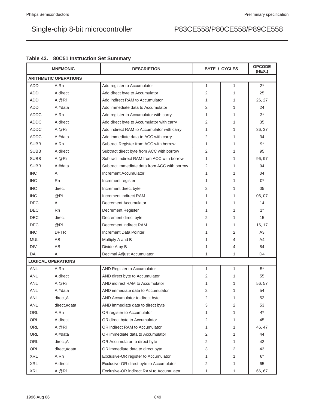|             | <b>MNEMONIC</b>              | <b>DESCRIPTION</b>                           |                | <b>BYTE / CYCLES</b> | <b>OPCODE</b><br>(HEX.) |
|-------------|------------------------------|----------------------------------------------|----------------|----------------------|-------------------------|
|             | <b>ARITHMETIC OPERATIONS</b> |                                              |                |                      |                         |
| <b>ADD</b>  | A,Rn                         | Add register to Accumulator                  | 1              | $\mathbf{1}$         | $2^*$                   |
| <b>ADD</b>  | A, direct                    | Add direct byte to Accumulator               | 2              | 1                    | 25                      |
| ADD         | A, @Ri                       | Add indirect RAM to Accumulator              | 1              | 1                    | 26, 27                  |
| <b>ADD</b>  | A,#data                      | Add immediate data to Accumulator            | $\overline{2}$ | 1                    | 24                      |
| ADDC        | A,Rn                         | Add register to Accumulator with carry       | 1              | 1                    | $3^*$                   |
| <b>ADDC</b> | A, direct                    | Add direct byte to Accumulator with carry    | 2              | 1                    | 35                      |
| <b>ADDC</b> | A, @Ri                       | Add indirect RAM to Accumulator with carry   | 1              | 1                    | 36, 37                  |
| <b>ADDC</b> | A,#data                      | Add immediate data to ACC with carry         | 2              | 1                    | 34                      |
| <b>SUBB</b> | A,Rn                         | Subtract Register from ACC with borrow       | 1              | 1                    | $9*$                    |
| <b>SUBB</b> | A, direct                    | Subtract direct byte from ACC with borrow    | $\overline{2}$ | 1                    | 95                      |
| <b>SUBB</b> | A, @Ri                       | Subtract indirect RAM from ACC with borrow   | 1              | 1                    | 96, 97                  |
| <b>SUBB</b> | A,#data                      | Subtract immediate data from ACC with borrow | 2              | 1                    | 94                      |
| <b>INC</b>  | Α                            | Increment Accumulator                        | 1              | 1                    | 04                      |
| <b>INC</b>  | <b>Rn</b>                    | Increment register                           | 1              | 1                    | $0^*$                   |
| <b>INC</b>  | direct                       | Increment direct byte                        | 2              | 1                    | 05                      |
| <b>INC</b>  | @Ri                          | Increment indirect RAM                       | 1              | 1                    | 06, 07                  |
| DEC         | A                            | Decrement Accumulator                        | 1              | 1                    | 14                      |
| <b>DEC</b>  | Rn                           | Decrement Register                           | 1              | 1                    | $1^*$                   |
| <b>DEC</b>  | direct                       | Decrement direct byte                        | 2              | 1                    | 15                      |
| DEC         | @Ri                          | Decrement indirect RAM                       | 1              | 1                    | 16, 17                  |
| <b>INC</b>  | <b>DPTR</b>                  | Increment Data Pointer                       | 1              | 2                    | A <sub>3</sub>          |
| <b>MUL</b>  | AB                           | Multiply A and B                             | 1              | 4                    | A4                      |
| DIV         | AB                           | Divide A by B                                | 1              | 4                    | 84                      |
| DA          | A                            | Decimal Adjust Accumulator                   | 1              | 1                    | D <sub>4</sub>          |
|             | <b>LOGICAL OPERATIONS</b>    |                                              |                |                      |                         |
| <b>ANL</b>  | A,Rn                         | AND Register to Accumulator                  | 1              | 1                    | $5*$                    |
| ANL         | A, direct                    | AND direct byte to Accumulator               | 2              | 1                    | 55                      |
| ANL         | A,@Ri                        | AND indirect RAM to Accumulator              | 1              | 1                    | 56, 57                  |
| ANL         | A,#data                      | AND immediate data to Accumulator            | $\overline{2}$ | 1                    | 54                      |
| ANL         | direct, A                    | AND Accumulator to direct byte               | 2              | 1                    | 52                      |
| ANL         | direct,#data                 | AND immediate data to direct byte            | 3              | 2                    | 53                      |
| ORL         | A,Rn                         | OR register to Accumulator                   | $\mathbf{1}$   | 1                    | $4^*$                   |
| ORL         | A, direct                    | OR direct byte to Accumulator                | 2              | 1                    | 45                      |
| ORL         | A, @Ri                       | OR indirect RAM to Accumulator               | $\mathbf{1}$   | 1                    | 46, 47                  |
| ORL         | A,#data                      | OR immediate data to Accumulator             | 2              | 1                    | 44                      |
| ORL         | direct, A                    | OR Accumulator to direct byte                | 2              | 1                    | 42                      |
| ORL         | direct,#data                 | OR immediate data to direct byte             | 3              | 2                    | 43                      |
| <b>XRL</b>  | A,Rn                         | Exclusive-OR register to Accumulator         | 1              | 1                    | $6*$                    |
| <b>XRL</b>  | A, direct                    | Exclusive-OR direct byte to Accumulator      | 2              | 1                    | 65                      |
| <b>XRL</b>  | A, @Ri                       | Exclusive-OR indirect RAM to Accumulator     | $\mathbf{1}$   | 1                    | 66, 67                  |

## **Table 43. 80C51 Instruction Set Summary**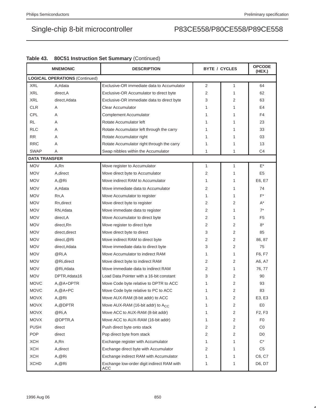|                      | <b>MNEMONIC</b>                       | <b>DESCRIPTION</b>                                | <b>BYTE / CYCLES</b> |   | <b>OPCODE</b><br>(HEX.)         |  |  |
|----------------------|---------------------------------------|---------------------------------------------------|----------------------|---|---------------------------------|--|--|
|                      | <b>LOGICAL OPERATIONS (Continued)</b> |                                                   |                      |   |                                 |  |  |
| <b>XRL</b>           | A,#data                               | Exclusive-OR immediate data to Accumulator        | 2                    | 1 | 64                              |  |  |
| <b>XRL</b>           | direct, A                             | Exclusive-OR Accumulator to direct byte           | 2                    | 1 | 62                              |  |  |
| <b>XRL</b>           | direct,#data                          | Exclusive-OR immediate data to direct byte        | 3                    | 2 | 63                              |  |  |
| <b>CLR</b>           | A                                     | <b>Clear Accumulator</b>                          | 1                    | 1 | E4                              |  |  |
| CPL                  | A                                     | <b>Complement Accumulator</b>                     | 1                    | 1 | F4                              |  |  |
| <b>RL</b>            | A                                     | Rotate Accumulator left                           | 1                    | 1 | 23                              |  |  |
| <b>RLC</b>           | A                                     | Rotate Accumulator left through the carry         | 1                    | 1 | 33                              |  |  |
| <b>RR</b>            | A                                     | Rotate Accumulator right                          | 1                    | 1 | 03                              |  |  |
| <b>RRC</b>           | Α                                     | Rotate Accumulator right through the carry        | 1                    | 1 | 13                              |  |  |
| <b>SWAP</b>          | Α                                     | Swap nibbles within the Accumulator               | 1                    | 1 | C4                              |  |  |
| <b>DATA TRANSFER</b> |                                       |                                                   |                      |   |                                 |  |  |
| <b>MOV</b>           | A,Rn                                  | Move register to Accumulator                      | $\mathbf{1}$         | 1 | $\mathsf{E}^\star$              |  |  |
| <b>MOV</b>           | A, direct                             | Move direct byte to Accumulator                   | 2                    | 1 | E <sub>5</sub>                  |  |  |
| <b>MOV</b>           | A, @Ri                                | Move indirect RAM to Accumulator                  | 1                    | 1 | E6, E7                          |  |  |
| <b>MOV</b>           | A.#data                               | Move immediate data to Accumulator                | 2                    | 1 | 74                              |  |  |
| <b>MOV</b>           | Rn,A                                  | Move Accumulator to register                      | 1                    | 1 | $F^*$                           |  |  |
| <b>MOV</b>           | Rn, direct                            | Move direct byte to register                      | 2                    | 2 | A*                              |  |  |
| <b>MOV</b>           | RN,#data                              | Move immediate data to register                   | 2                    | 1 | $7^*$                           |  |  |
| <b>MOV</b>           | direct, A                             | Move Accumulator to direct byte                   | $\overline{2}$       | 1 | F <sub>5</sub>                  |  |  |
| <b>MOV</b>           | direct, Rn                            | Move register to direct byte                      | 2                    | 2 | $8*$                            |  |  |
| <b>MOV</b>           | direct, direct                        | Move direct byte to direct                        | 3                    | 2 | 85                              |  |  |
| <b>MOV</b>           | direct, @Ri                           | Move indirect RAM to direct byte                  | 2                    | 2 | 86, 87                          |  |  |
| <b>MOV</b>           | direct,#data                          | Move immediate data to direct byte                | 3                    | 2 | 75                              |  |  |
| <b>MOV</b>           | @Ri,A                                 | Move Accumulator to indirect RAM                  | 1                    | 1 | F6, F7                          |  |  |
| <b>MOV</b>           | @Ri,direct                            | Move direct byte to indirect RAM                  | 2                    | 2 | A6, A7                          |  |  |
| <b>MOV</b>           | @Ri,#data                             | Move immediate data to indirect RAM               | 2                    | 1 | 76, 77                          |  |  |
| <b>MOV</b>           | DPTR,#data16                          | Load Data Pointer with a 16-bit constant          | 3                    | 2 | 90                              |  |  |
| <b>MOVC</b>          | A, @A+DPTR                            | Move Code byte relative to DPTR to ACC            | 1                    | 2 | 93                              |  |  |
| <b>MOVC</b>          | $A, @A+PC$                            | Move Code byte relative to PC to ACC              | 1                    | 2 | 83                              |  |  |
| <b>MOVX</b>          | A,@Ri                                 | Move AUX-RAM (8-bit addr) to ACC                  | 1                    | 2 | E3, E3                          |  |  |
| <b>MOVX</b>          | A, @DPTR                              | Move AUX-RAM (16-bit addr) to A <sub>CC</sub>     | 1                    | 2 | E <sub>0</sub>                  |  |  |
| <b>MOVX</b>          | @Ri,A                                 | Move ACC to AUX-RAM (8-bit addr)                  | 1                    | 2 | F <sub>2</sub> , F <sub>3</sub> |  |  |
| <b>MOVX</b>          | @DPTR,A                               | Move ACC to AUX-RAM (16-bit addr)                 | 1                    | 2 | F <sub>0</sub>                  |  |  |
| <b>PUSH</b>          | direct                                | Push direct byte onto stack                       | 2                    | 2 | CO                              |  |  |
| POP                  | direct                                | Pop direct byte from stack                        | 2                    | 2 | D <sub>0</sub>                  |  |  |
| <b>XCH</b>           | A,Rn                                  | Exchange register with Accumulator                | 1                    | 1 | $C^*$                           |  |  |
| <b>XCH</b>           | A, direct                             | Exchange direct byte with Accumulator             | 2                    | 1 | C5                              |  |  |
| <b>XCH</b>           | A,@Ri                                 | Exchange indirect RAM with Accumulator            | 1                    | 1 | C6, C7                          |  |  |
| <b>XCHD</b>          | A,@Ri                                 | Exchange low-order digit indirect RAM with<br>ACC | 1                    | 1 | D6, D7                          |  |  |

## **Table 43. 80C51 Instruction Set Summary** (Continued)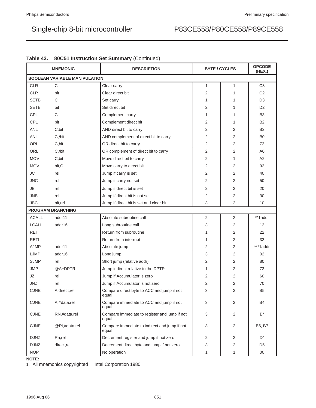|                          | <b>MNEMONIC</b>                      | <b>DESCRIPTION</b>                                     | <b>BYTE / CYCLES</b> |   | <b>OPCODE</b><br>(HEX.) |  |  |
|--------------------------|--------------------------------------|--------------------------------------------------------|----------------------|---|-------------------------|--|--|
|                          | <b>BOOLEAN VARIABLE MANIPULATION</b> |                                                        |                      |   |                         |  |  |
| <b>CLR</b>               | $\mathsf{C}$                         | Clear carry                                            | $\mathbf{1}$         | 1 | C <sub>3</sub>          |  |  |
| <b>CLR</b>               | bit                                  | Clear direct bit                                       | $\overline{2}$       | 1 | C <sub>2</sub>          |  |  |
| <b>SETB</b>              | C                                    | Set carry                                              | $\mathbf{1}$         | 1 | D <sub>3</sub>          |  |  |
| <b>SETB</b>              | bit                                  | Set direct bit                                         | 2                    | 1 | D <sub>2</sub>          |  |  |
| CPL                      | C                                    | Complement carry                                       | $\mathbf{1}$         | 1 | B <sub>3</sub>          |  |  |
| CPL                      | bit                                  | Complement direct bit                                  | $\overline{2}$       | 1 | <b>B2</b>               |  |  |
| <b>ANL</b>               | C,bit                                | AND direct bit to carry                                | $\overline{2}$       | 2 | <b>B2</b>               |  |  |
| ANL                      | C,/bit                               | AND complement of direct bit to carry                  | 2                    | 2 | B <sub>0</sub>          |  |  |
| ORL                      | C,bit                                | OR direct bit to carry                                 | 2                    | 2 | 72                      |  |  |
| ORL                      | $C$ ,/bit                            | OR complement of direct bit to carry                   | 2                    | 2 | A <sub>0</sub>          |  |  |
| <b>MOV</b>               | C,bit                                | Move direct bit to carry                               | 2                    | 1 | A2                      |  |  |
| <b>MOV</b>               | bit,C                                | Move carry to direct bit                               | 2                    | 2 | 92                      |  |  |
| <b>JC</b>                | rel                                  | Jump if carry is set                                   | $\overline{2}$       | 2 | 40                      |  |  |
| JNC                      | rel                                  | Jump if carry not set                                  | 2                    | 2 | 50                      |  |  |
| <b>JB</b>                | rel                                  | Jump if direct bit is set                              | 2                    | 2 | 20                      |  |  |
| <b>JNB</b>               | rel                                  | Jump if direct bit is not set                          | $\overline{2}$       | 2 | 30                      |  |  |
| JBC                      | bit,rel                              | Jump if direct bit is set and clear bit                | 3                    | 2 | 10                      |  |  |
| <b>PROGRAM BRANCHING</b> |                                      |                                                        |                      |   |                         |  |  |
| <b>ACALL</b>             | addr11                               | Absolute subroutine call                               | 2                    | 2 | **1addr                 |  |  |
| <b>LCALL</b>             | addr16                               | Long subroutine call                                   | 3                    | 2 | 12                      |  |  |
| <b>RET</b>               |                                      | Return from subroutine                                 | $\mathbf{1}$         | 2 | 22                      |  |  |
| <b>RETI</b>              |                                      | Return from interrupt                                  | $\mathbf{1}$         | 2 | 32                      |  |  |
| <b>AJMP</b>              | addr11                               | Absolute jump                                          | $\overline{2}$       | 2 | ***1addr                |  |  |
| LJMP                     | addr16                               | Long jump                                              | 3                    | 2 | 02                      |  |  |
| <b>SJMP</b>              | rel                                  | Short jump (relative addr)                             | 2                    | 2 | 80                      |  |  |
| <b>JMP</b>               | @A+DPTR                              | Jump indirect relative to the DPTR                     | $\mathbf{1}$         | 2 | 73                      |  |  |
| JZ                       | rel                                  | Jump if Accumulator is zero                            | $\overline{2}$       | 2 | 60                      |  |  |
| JNZ                      | rel                                  | Jump if Accumulator is not zero                        | 2                    | 2 | 70                      |  |  |
| <b>CJNE</b>              | A, direct, rel                       | Compare direct byte to ACC and jump if not<br>equal    | 3                    | 2 | B <sub>5</sub>          |  |  |
| <b>CJNE</b>              | A,#data,rel                          | Compare immediate to ACC and jump if not<br>equal      | 3                    | 2 | <b>B4</b>               |  |  |
| <b>CJNE</b>              | RN,#data,rel                         | Compare immediate to register and jump if not<br>equal | 3                    | 2 | B*                      |  |  |
| <b>CJNE</b>              | @Ri,#data,rel                        | Compare immediate to indirect and jump if not<br>equal | 3                    | 2 | B6, B7                  |  |  |
| <b>DJNZ</b>              | Rn,rel                               | Decrement register and jump if not zero                | 2                    | 2 | D*                      |  |  |
| <b>DJNZ</b>              | direct,rel                           | Decrement direct byte and jump if not zero             | 3                    | 2 | D5                      |  |  |
| <b>NOP</b>               |                                      | No operation                                           | 1                    | 1 | $00\,$                  |  |  |

| Table 43. 80C51 Instruction Set Summary (Continued) |
|-----------------------------------------------------|
|-----------------------------------------------------|

**NOTE:**

1. All mnemonics copyrighted © Intel Corporation 1980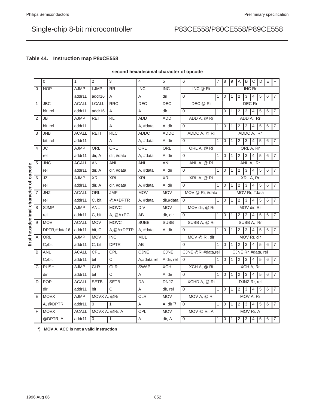## **Table 44. Instruction map P8xCE558**

|                                       |                | $\mathbf 0$  | $\mathbf{1}$ | 2                | 3              | 4           | 5                     | 6                  | 7            | 8                | 9 | A                   | В             | С              | D | Ε | F                |
|---------------------------------------|----------------|--------------|--------------|------------------|----------------|-------------|-----------------------|--------------------|--------------|------------------|---|---------------------|---------------|----------------|---|---|------------------|
|                                       | $\Omega$       | <b>NOP</b>   | <b>AJMP</b>  | LJMP             | <b>RR</b>      | <b>INC</b>  | <b>INC</b>            | INC @ Ri           |              |                  |   |                     | <b>INC Rr</b> |                |   |   |                  |
|                                       |                |              | addr11       | addr16           | Α              | Α           | dir                   | 0                  | 1            | 0                | 1 | 2                   | 3             | 4              | 5 | 6 | 7                |
|                                       | $\mathbf{1}$   | <b>JBC</b>   | <b>ACALL</b> | <b>LCALL</b>     | <b>RRC</b>     | DEC         | DEC                   | DEC @ Ri           |              |                  |   |                     |               | DEC Rr         |   |   |                  |
|                                       |                | bit, rel     | addr11       | addr16           | Α              | Α           | dir                   | $\Omega$           | $\mathbf{1}$ | $\boldsymbol{0}$ | 1 | 2                   | 3             | 4              | 5 | 6 | $\boldsymbol{7}$ |
|                                       | $\overline{2}$ | <b>JB</b>    | <b>AJMP</b>  | <b>RET</b>       | <b>RL</b>      | <b>ADD</b>  | <b>ADD</b>            | ADD A, @ Ri        |              |                  |   |                     |               | ADD A, Rr      |   |   |                  |
|                                       |                | bit, rel     | addr11       |                  | Α              | A, #data    | A, dir                | $\mathbf 0$        | 1            | $\mathbf 0$      | 1 | $\sqrt{2}$          | $\mathsf 3$   | 4              | 5 | 6 | $\overline{7}$   |
|                                       | 3              | <b>JNB</b>   | <b>ACALL</b> | <b>RETI</b>      | <b>RLC</b>     | ADDC        | ADDC                  | ADDC A, @ Ri       |              |                  |   |                     |               | ADDC A, Rr     |   |   |                  |
|                                       |                | bit, rel     | addr11       |                  | A              | A, #data    | A, dir                | $\Omega$           | 1            | $\overline{0}$   | 1 | $\overline{2}$      | 3             | $\overline{4}$ | 5 | 6 | $\overline{7}$   |
|                                       | 4              | <b>JC</b>    | <b>AJMP</b>  | ORL              | ORL            | ORL         | ORL                   | ORL A, @ Ri        |              |                  |   |                     |               | ORL A, Rr      |   |   |                  |
|                                       |                | rel          | addr11       | dir, A           | dir, #data     | A, #data    | A, dir                | $\mathbf 0$        | $\mathbf{1}$ | 0                | 1 | 2                   | 3             | 4              | 5 | 6 | $\overline{7}$   |
|                                       | 5              | <b>JNC</b>   | <b>ACALL</b> | <b>ANL</b>       | <b>ANL</b>     | <b>ANL</b>  | <b>ANL</b>            | ANL A, @ Ri        |              |                  |   |                     |               | ANL A, Rr      |   |   |                  |
|                                       |                | rel          | addr11       | dir, A           | dir, #data     | A, #data    | A, dir                | $\mathbf 0$        | $\mathbf{1}$ | $\mathbf 0$      | 1 | 2                   | 3             | 4              | 5 | 6 | $\overline{7}$   |
|                                       | 6              | JZ           | <b>AJMP</b>  | <b>XRL</b>       | <b>XRL</b>     | <b>XRL</b>  | <b>XRL</b>            | XRL A, @ Ri        |              |                  |   |                     |               | XRL A, Rr      |   |   |                  |
|                                       |                | rel          | addr11       | dir, A           | dir, #data     | A, #data    | A, dir                | 0                  | 1            | $\mathbf 0$      | 1 | 2                   | 3             | $\overline{4}$ | 5 | 6 | $\overline{7}$   |
|                                       | 7              | <b>JNZ</b>   | <b>ACALL</b> | ORL              | <b>JMP</b>     | <b>MOV</b>  | <b>MOV</b>            | MOV @ Ri, #data    |              | MOV Rr. #data    |   |                     |               |                |   |   |                  |
|                                       |                | rel          | addr11       | C, bit           | @A+DPTR        | A, #data    | dir,#data             | 0                  | $\mathbf 1$  | 0                | 1 | 2                   | 3             | 4              | 5 | 6 | $\overline{7}$   |
|                                       | 8              | <b>SJMP</b>  | <b>AJMP</b>  | <b>ANL</b>       | <b>MOVC</b>    | <b>DIV</b>  | <b>MOV</b>            | MOV dir, @ Ri      |              |                  |   |                     |               | MOV dir, Rr    |   |   |                  |
|                                       |                | rel          | addr11       | C, bit           | $A, @A+PC$     | AB          | dir, dir              | $\mathbf 0$        | 1            | 0                | 1 | $\overline{2}$      | 3             | $\overline{4}$ | 5 | 6 | $\boldsymbol{7}$ |
|                                       | 9              | <b>MOV</b>   | <b>ACALL</b> | <b>MOV</b>       | <b>MOVC</b>    | <b>SUBB</b> | <b>SUBB</b>           | SUBB A, @ Ri       |              |                  |   |                     |               | SUBB A, Rr     |   |   |                  |
| first hexadecimal character of opcode |                | DPTR,#data16 | addr11       | bit, C           | A, @A+DPTR     | A, #data    | A, dir                | $\mathbf 0$        | $\mathbf{1}$ | $\overline{0}$   | 1 | 2                   | 3             | 4              | 5 | 6 | $\overline{7}$   |
|                                       | Α              | ORL          | <b>AJMP</b>  | <b>MOV</b>       | <b>INC</b>     | <b>MUL</b>  |                       | MOV @ Ri, dir      |              |                  |   |                     |               | MOV Rr, dir    |   |   |                  |
|                                       |                | C./bit       | addr11       | C, bit           | <b>DPTR</b>    | AB          |                       | $\Omega$           | $\mathbf 1$  | $\Omega$         | 1 | 2                   | 3             | 4              | 5 | 6 | $\overline{7}$   |
|                                       | B              | ANL          | <b>ACALL</b> | CPL              | CPL            | CJNE        | <b>CJNE</b>           | CJNE @Ri,#data,rel |              |                  |   | CJNE Rr, #data, rel |               |                |   |   |                  |
|                                       |                | C./bit       | addr11       | bit              | С              | A,#data,rel | A, dir, rel           | 0                  | $\mathbf{1}$ | $\mathbf 0$      | 1 | 2                   | 3             | $\overline{4}$ | 5 | 6 | $\overline{7}$   |
|                                       | C              | <b>PUSH</b>  | <b>AJMP</b>  | <b>CLR</b>       | <b>CLR</b>     | <b>SWAP</b> | <b>XCH</b>            | XCH A, @ Ri        |              |                  |   |                     |               | XCH A, Rr      |   |   |                  |
|                                       |                | dir          | addr11       | bit              | C              | Α           | A, dir                | $\mathbf 0$        | 1            | 0                | 1 | 2                   | 3             | 4              | 5 | 6 | $\sqrt{7}$       |
|                                       | D              | <b>POP</b>   | <b>ACALL</b> | <b>SETB</b>      | <b>SETB</b>    | DA          | <b>DNJZ</b>           | XCHD A, @ Ri       |              |                  |   |                     |               | DJNZ Rr, rel   |   |   |                  |
|                                       |                | dir          | addr11       | bit              | C              | Α           | dir, rel              | $\mathbf 0$        | $\mathbf{1}$ | $\mathbf 0$      | 1 | $\overline{2}$      | 3             | 4              | 5 | 6 | $\overline{7}$   |
|                                       | E              | <b>MOVX</b>  | <b>AJMP</b>  | MOVX A, @Ri      |                | <b>CLR</b>  | <b>MOV</b>            | MOV A, @ Ri        |              |                  |   |                     |               | MOV A, Rr      |   |   |                  |
|                                       |                | A, @DPTR     | addr11       | 0                | $\mathbf{1}$   | Α           | A, dir <sup>*</sup> ) | 0                  | 1            | 0                | 1 | 2                   | $\sqrt{3}$    | 4              | 5 | 6 | 7                |
|                                       | F              | <b>MOVX</b>  | <b>ACALL</b> |                  | MOVX A, @Ri, A | <b>CPL</b>  | <b>MOV</b>            | MOV @ Ri, A        |              |                  |   |                     |               | MOV Rr, A      |   |   |                  |
|                                       |                | @DPTR, A     | addr11       | $\boldsymbol{0}$ | $\mathbf{1}$   | Α           | dir, A                | 0                  | $\mathbf{1}$ | $\boldsymbol{0}$ | 1 | $\overline{2}$      | 3             | 4              | 5 | 6 | $\overline{7}$   |

### **second hexadecimal character of opcode**

**\*) MOV A, ACC is not a valid instruction**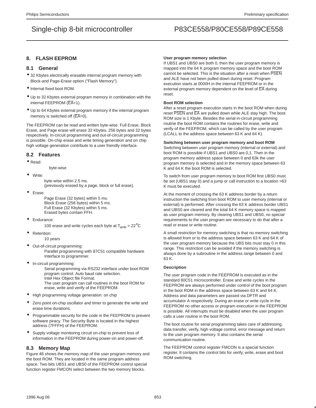### **8. FLASH EEPROM**

### **8.1 General**

- 32 Kbytes electrically erasable internal program memory with Block-and Page-Erase option ("Flash Memory").
- Internal fixed boot ROM.
- Up to 32 Kbytes external program memory in combination with the internal FEEPROM (EA=1).
- Up to 64 Kbytes external program memory if the internal program memory is switched off  $(EA=0)$ .

The FEEPROM can be read and written byte-wise. Full Erase, Block Erase, and Page erase will erase 32 Kbytes, 256 bytes and 32 bytes respectively. In-circuit programming and out-of-circuit programming is possible. On-chip erase and write timing generation and on chip high voltage generation contribute to a user friendly interface.

#### **8.2 Features**

• Read:

byte-wise

• Write:

byte-wise within 2.5 ms. (previously erased by a page, block or full erase).

• Erase:

Page Erase (32 bytes) within 5 ms. Block Erase (256 bytes) within 5 ms. Full Erase (32 Kbytes) within 5 ms. Erased bytes contain FFH.

• Endurance:

100 erase and write cycles each byte at  $T_{amb} = 22^{\circ}C$ 

Retention:

10 years

- Out-of-circuit programming: Parallel programming with 87C51 compatible hardware Interface to programmer.
- In-circuit programming: Serial programming via RS232 interface under boot ROM program control. Auto baud rate selection. Intel Hex Object file Format. The user program can call routines in the boot ROM for erase, write and verify of the FEEPROM.
- High programming voltage generation: on chip
- Zero point on-chip oscillator and timer to generate the write and erase time durations.
- Programmable security for the code in the FEEPROM to prevent software piracy. The Security Byte is located in the highest address (7FFFH) of the FEEPROM.
- Supply voltage monitoring circuit on-chip to prevent loss of information in the FEEPROM during power-on and power-off.

#### **8.3 Memory Map**

Figure 48 shows the memory map of the user program memory and the boot ROM. They are located in the same program address space. Two bits UBS1 and UBS0 of the FEEPROM control special function register FMCON select between the two memory blocks.

#### **User program memory selection**

If UBS1 and UBS0 are both 0, then the user program memory is mapped into the 64 K program memory space and the boot ROM cannot be selected. This is the situation after a reset when PSEN and ALE have not been pulled down during reset. Program execution starts at 0000H in the internal FEEPROM or in the external program memory dependent on the level of  $\overline{\mathsf{EA}}$  during reset.

#### **Boot ROM selection**

After a reset program execution starts in the boot ROM when during reset PSEN and EA are pulled down while ALE stay high. The boot ROM size is 1 Kbyte. Besides the serial in-circuit programming routine the boot ROM contains the routines for erase, write and verify of the FEEPROM, which can be called by the user program (LCALL to the address space between 63 K and 64 K).

#### **Switching between user program memory and boot ROM**

Switching between user program memory (internal or external) and boot ROM is possible if UBS1 and UBS0 are 0,1. Then in the program memory address space between 0 and 63k the user program memory is selected and in the memory space between 63 K and 64 K the boot ROM is selected.

To switch from user program memory to boot ROM first UBS0 must be set (UBS1 stay 0) and a jump or call instruction to a location >63 K must be executed.

At the moment of crossing the 63 K address border by a return instruction the switching from boot ROM to user memory (internal or external) is performed. After crossing the 63 K address border UBS1 and UBS0 are cleared and the total 64 K memory space is mapped as user program memory. By clearing UBS1 and UBS0, no special requirements to the user program are necessary to do that after a read or erase or write routine.

A small restriction for memory switching is that no memory switching is allowed from or to the address space between 63 K and 64 K of the user program memory because the UBS bits must stay 0 in this range. This restriction can be avoided if the memory switching is always done by a subroutine in the address range between 0 and 63 K.

#### **Description**

The user program code in the FEEPROM is executed as in the standard 80C51 microcontroller. Erase and write cycles in the FEEPROM are always performed under control of the boot program in the boot ROM in the address space between 63 K and 64 K. Address and data parameters are passed via DPTR and accumulator A respectively. During an erase or write cycle in the FEEPROM no other access or program execution in the FEEPROM is possible. All interrupts must be disabled when the user program calls a user routine in the boot ROM.

The boot routine for serial programming takes care of addressing, data transfer, verify, high voltage control, error message and return to the user program memory. It also contains the serial communication routine.

The FEEPROM control register FMCON is a special function register. It contains the control bits for verify, write, erase and boot ROM switching.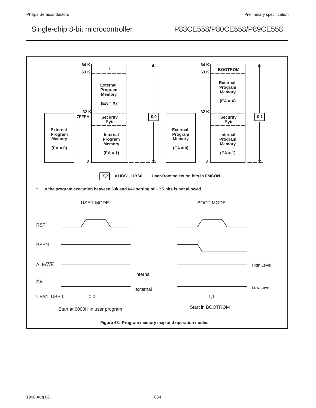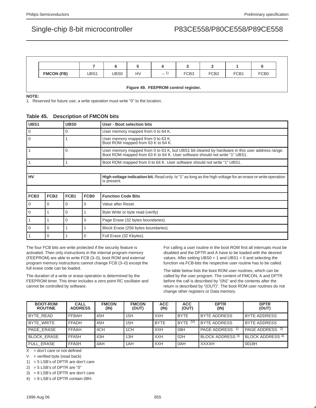|                   |      |      | w         |                     |                  |                  |      |                  |
|-------------------|------|------|-----------|---------------------|------------------|------------------|------|------------------|
| <b>FMCON (FB)</b> | UBS1 | UBS0 | <b>HV</b> | $\mathbf{A}$<br>$-$ | FCB <sub>3</sub> | FCB <sub>2</sub> | FCB1 | FCB <sub>0</sub> |

## **Figure 49. FEEPROM control register.**

**NOTE:**

1. Reserved for future use; a write operation must write "0" to the location.

|  |  | Table 45. Description of FMCON bits |
|--|--|-------------------------------------|
|--|--|-------------------------------------|

| UBS1             |                  | UBS <sub>0</sub> |                                                                          | User - Boot selection bits                                                                                                                                                     |  |
|------------------|------------------|------------------|--------------------------------------------------------------------------|--------------------------------------------------------------------------------------------------------------------------------------------------------------------------------|--|
| 0<br>O           |                  |                  | User memory mapped from 0 to 64 K.                                       |                                                                                                                                                                                |  |
| $\Omega$         |                  |                  | User memory mapped from 0 to 63 K.<br>Boot ROM mapped from 63 K to 64 K. |                                                                                                                                                                                |  |
|                  |                  | 0                |                                                                          | User memory mapped from 0 to 63 K, but UBS1 bit cleared by hardware in this user address range.<br>Boot ROM mapped from 63 K to 64 K. User software should not write "1" UBS1. |  |
|                  |                  |                  |                                                                          | Boot ROM mapped from 0 to 64 K. User software should not write "1" UBS1.                                                                                                       |  |
|                  |                  |                  |                                                                          |                                                                                                                                                                                |  |
| <b>HV</b>        |                  |                  |                                                                          | High voltage indication bit. Read only. Is "1" as long as the high voltage for an erase or write operation<br>is present.                                                      |  |
|                  |                  |                  |                                                                          |                                                                                                                                                                                |  |
| FCB <sub>3</sub> | FCB <sub>2</sub> | FCB1             | FCB <sub>0</sub>                                                         | <b>Function Code Bits</b>                                                                                                                                                      |  |
| $\mathbf{0}$     | $\Omega$         | $\Omega$         | 0                                                                        | Value after Reset.                                                                                                                                                             |  |
| $\overline{0}$   |                  | $\Omega$         |                                                                          | Byte Write or byte read (verify)                                                                                                                                               |  |
| $\mathbf{1}$     |                  | $\Omega$         | $\Omega$                                                                 | Page Erase (32 bytes boundaries).                                                                                                                                              |  |
| $\Omega$         | $\Omega$         |                  |                                                                          | Block Erase (256 bytes boundaries).                                                                                                                                            |  |
|                  | 0                |                  | $\Omega$                                                                 | Full Erase (32 Kbytes).                                                                                                                                                        |  |

The four FCB bits are write protected if the security feature is activated. Then only instructions in the internal program memory (FEEPROM) are able to write FCB (3–0), boot ROM and external program memory instructions cannot change FCB (3–0) except the full erase code can be loaded.

The duration of a write or erase operation is determined by the FEEPROM timer. This timer includes a zero point RC oscillator and cannot be controlled by software.

For calling a user routine in the boot ROM first all interrupts must be disabled and the DPTR and A have to be loaded with the desired values. After setting UBS0 = 1 and UBS1 = 0 and selecting the function via FCB-bits the respective user routine has to be called.

The table below lists the boot ROM user routines, which can be called by the user program. The content of FMCON, A and DPTR before the call is described by "(IN)" and the contents after the return is described by "(OUT)". The boot ROM user routines do not change other registers or Data memory.

| <b>BOOT-ROM</b><br><b>ROUTINE</b> | <b>CALL</b><br><b>ADDRESS</b> | <b>FMCON</b><br>(IN) | <b>FMCON</b><br>(OUT) | <b>ACC</b><br>(IN) | <b>ACC</b><br>(OUT) | <b>DPTR</b><br>(IN) | <b>DPTR</b><br>(OUT)       |
|-----------------------------------|-------------------------------|----------------------|-----------------------|--------------------|---------------------|---------------------|----------------------------|
| BYTE READ                         | FFBAH                         | 45H                  | 15H                   | <b>XXH</b>         | <b>BYTE</b>         | <b>BYTE ADDRESS</b> | <b>BYTE ADDRESS</b>        |
| <b>BYTE WRITE</b>                 | FFADH                         | 45H                  | 15H                   | <b>BYTE</b>        | BYTE (V)            | <b>BYTE ADDRESS</b> | <b>BYTE ADDRESS</b>        |
| PAGE ERASE                        | <b>FFAAH</b>                  | 4CH                  | 1 <sub>CH</sub>       | <b>XXH</b>         | 08H                 | PAGE ADDRESS        | PAGE ADDRESS <sup>2)</sup> |
| <b>BLOCK ERASE</b>                | FFA5H                         | 43H                  | 13H                   | <b>XXH</b>         | l 02H               | BLOCK ADDRESS 3)    | BLOCK ADDRESS 4)           |
| <b>FULL ERASE</b>                 | <b>FFA0H</b>                  | 4AH                  | 1AH                   | <b>XXH</b>         | l OAH               | <b>XXXXH</b>        | 0018H                      |

 $X =$  don't care or not defined

 $V =$  verified byte (read back)

1) = 5 LSB's of DPTR are don't care

 $2) = 5$  LSB's of DPTR are "0"

3) = 8 LSB's of DPTR are don't care

4) = 8 LSB's of DPTR contain 08H.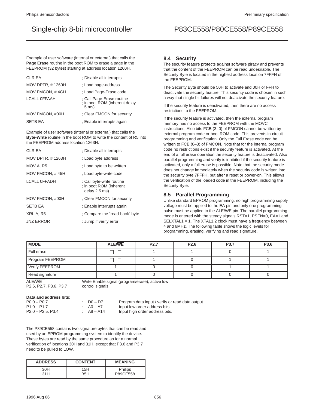Example of user software (internal or external) that calls the **Page Erase** routine in the boot ROM to erase a page in the FEEPROM (32 bytes) starting at address location 1260H.

| <b>CLR EA</b>           | : Disable all interrupts                                                     |
|-------------------------|------------------------------------------------------------------------------|
| <b>MOV DPTR, #1260H</b> | ; Load page-address                                                          |
| MOV FMCON, #4CH         | ; Load Page-Erase code                                                       |
| <b>LCALL OFFAAH</b>     | ; Call Page-Erase routine<br>; in boot ROM (inherent delay<br>$5 \text{ ms}$ |
| MOV FMCON, #00H         | : Clear FMCON for security                                                   |
| <b>SETB EA</b>          | : Enable interrupts again                                                    |

Example of user software (internal or external) that calls the **Byte-Write** routine in the boot ROM to write the content of R5 into the FEEPROM address location 1263H.

| <b>CLR EA</b>           | : Disable all interrupts                                              |
|-------------------------|-----------------------------------------------------------------------|
| <b>MOV DPTR, #1263H</b> | : Load byte address                                                   |
| MOV A, R5               | : Load byte to be written                                             |
| MOV FMCON, #45H         | : Load byte-write code                                                |
| <b>LCALL OFFADH</b>     | ; Call byte-write routine<br>: in boot ROM (inherent<br>delay 2.5 ms) |
| MOV FMCON, #00H         | : Clear FMCON for security                                            |
| <b>SETB EA</b>          | : Enable interrupts again                                             |
| XRL A, R5               | : Compare the "read-back" byte                                        |
| <b>JNZ ERROR</b>        | : Jump if verify error                                                |

### **8.4 Security**

The security feature protects against software piracy and prevents that the content of the FEEPROM can be read undesirable. The Security Byte is located in the highest address location 7FFFH of the FEEPROM.

The Security Byte should be 50H to activate and 00H or FFH to deactivate the security feature. This security code is chosen in such a way that single bit failures will not deactivate the security feature.

If the security feature is deactivated, then there are no access restrictions to the FEEPROM.

If the security feature is activated, then the external program memory has no access to the FEEPROM with the MOVC instructions. Also bits FCB (3–0) of FMCON cannot be written by external program code or boot ROM code. This prevents in-circuit programming and verification. Only the Full Erase code can be written to FCB (0–3) of FMCON. Note that for the internal program code no restrictions exist if the security feature is activated. At the end of a full erase operation the security feature is deactivated. Also parallel programming and verify is inhibited if the security feature is activated, only a full erase is possible. Note that the security mode does not change immediately when the security code is written into the security byte 7FFFH, but after a reset or power-on. This allows the verification of the loaded code in the FEEPROM, including the Security Byte.

### **8.5 Parallel Programming**

Unlike standard EPROM programming, no high programming supply voltage must be applied to the  $\overline{\mathsf{EA}}$  pin and only one programming pulse must be applied to the ALE/WE pin. The parallel programming mode is entered with the steady signals RST=1, PSEN=0,  $\overline{EA}$ =1 and SELXTAL1 = 1. The XTAL1,2 clock must have a frequency between 4 and 6MHz. The following table shows the logic levels for programming, erasing, verifying and read signature.

| <b>MODE</b>     | <b>ALE/WE</b> | P <sub>2.7</sub> | P <sub>2.6</sub> | P3.7 | P3.6 |
|-----------------|---------------|------------------|------------------|------|------|
| Full erase      | ┑             |                  |                  |      |      |
| Program FEEPROM |               |                  |                  |      |      |
| Verify FEEPROM  |               |                  |                  |      |      |
| Read signature  |               |                  |                  |      |      |

P2.6, P2.7, P3.6, P3.7 control signals

ALE/WE MERRY Mrite Enable signal (program/erase), active low

**Data and address bits:**

| $P0.0 - P0.7$       |  |
|---------------------|--|
| $P1.0 - P1.7$       |  |
| $P2.0 - P2.5, P3.4$ |  |

-<br>Po.0 – D7.0 Program data input / verify or read data output<br>No – A7 Proput low order address bits. Input low order address bits. A8 – A14 Input high order address bits.

The P89CE558 contains two signature bytes that can be read and used by an EPROM programming system to identify the device. These bytes are read by the same procedure as for a normal verification of locations 30H and 31H, except that P3.6 and P3.7 need to be pulled to LOW.

| <b>ADDRESS</b> | <b>CONTENT</b> | <b>MEANING</b> |
|----------------|----------------|----------------|
| 30H            | 15H            | <b>Philips</b> |
| 31H            | B5H            | P89CE558       |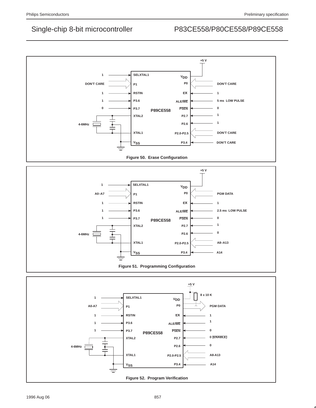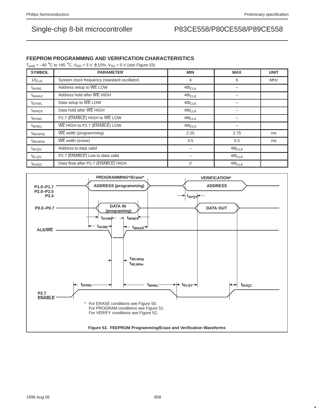### **FEEPROM PROGRAMMING AND VERIFICATION CHARACTERISTICS**

 $T_{amb} = -40$  °C to +85 °C,  $V_{DD} = 5$  V  $\pm$  10%,  $V_{SS} = 0$  V (see Figure 53)

| <b>SYMBOL</b>      | <b>PARAMETER</b>                             | <b>MIN</b>  | <b>MAX</b>           | <b>UNIT</b> |
|--------------------|----------------------------------------------|-------------|----------------------|-------------|
| $1/t_{CLK}$        | System clock frequency (standard oscillator) | 4           | 6                    | <b>MHz</b>  |
| t <sub>AVWL</sub>  | Address setup to WE LOW                      | $48t_{CLK}$ |                      |             |
| t <sub>WHAX</sub>  | Address hold after WE HIGH                   | $48t$ CLK   |                      |             |
| t <sub>DVWL</sub>  | Data setup to WE LOW                         | $48t$ CLK   |                      |             |
| t <sub>WHDX</sub>  | Data hold after WE HIGH                      | $48t_{CLK}$ |                      |             |
| <sup>t</sup> EHWL  | P2.7 (ENABLE) HIGH to WE LOW                 | $48t_{CLK}$ |                      |             |
| t <sub>WHEL</sub>  | WE HIGH to P2.7 (ENABLE) LOW                 | $48t$ CLK   |                      |             |
| t <sub>WLWHp</sub> | WE width (programming)                       | 2.25        | 2.75                 | ms          |
| <sup>t</sup> WLWHe | WE width (erase)                             | 4.5         | 5.5                  | ms          |
| t <sub>AVQV</sub>  | Address to data valid                        |             | $48t$ <sub>CLK</sub> |             |
| t <sub>ELQV</sub>  | P2.7 (ENABLE) Low to data valid              |             | $48t$ <sub>CLK</sub> |             |
| <sup>t</sup> EHQZ  | Data float after P2.7 (ENABLE) HIGH          | $\Omega$    | $48t_{CLK}$          |             |

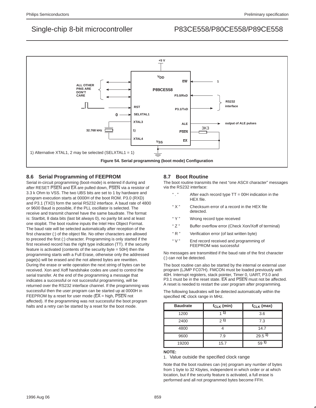

### **8.6 Serial Programming of FEEPROM**

Serial in-circuit programming (boot-mode) is entered if during and after RESET PSEN and EA are pulled down, PSEN via a resistor of 3.3 k Ohm to VSS. The two UBS bits are set to 1 by hardware and program execution starts at 0000H of the boot ROM. P3.0 (RXD) and P3.1 (TXD) form the serial RS232 interface. A baud rate of 4800 or 9600 Baud is possible, if the PLL oscillator is selected. The receive and transmit channel have the same baudrate. The format is: Startbit, 8 data bits (last bit always 0), no parity bit and at least one stopbit. The boot routine inputs the Intel Hex Object Format. The baud rate will be selected automatically after reception of the first character (:) of the object file. No other characters are allowed to preceed the first (:) character. Programming is only started if the first received record has the right type indication (TT). If the security feature is activated (contents of the security byte = 50H) then the programming starts with a Full Erase, otherwise only the addressed page(s) will be erased and the not altered bytes are rewritten. During the erase or write operation the next string of bytes can be received. Xon and Xoff handshake codes are used to control the serial transfer. At the end of the programming a message that indicates a successful or not successful programming, will be returned over the RS232 interface channel. If the programming was successful then the user program can be started up at 0000H in FEEPROM by a reset for user mode ( $\overline{EA}$  = high,  $\overline{PSEN}$  not affected). If the programming was not successful the boot program halts and a retry can be started by a reset for the boot mode.

### **8.7 Boot Routine**

The boot routine transmits the next "one ASCII character" messages via the RS232 interface:

- " . " After each record type TT = 00H indication in the HEX file.
- " X " Checksum error of a record in the HEX file detected.
- " Y " Wrong record type received
- " Z " Buffer overflow error (Check Xon/Xoff of terminal)
- " R " Verification error (of last written byte)
- " V " End record received and programming of FEEPROM was successful

No messages are transmitted if the baud rate of the first character (:) can not be detected.

The boot routine can also be started by the internal or external user program (LJMP FC07H). FMCON must be loaded previously with 40H. Interrupt registers, stack pointer, Timer 0, UART, P3.0 and P3.1 must be in the reset state. EA and PSEN must not be affected. A reset is needed to restart the user program after programming.

The following baudrates will be detected automatically within the specified µC clock range in MHz.

| <b>Baudrate</b> | $f_{CLK}$ (min) | $f_{CLK}$ (max)   |
|-----------------|-----------------|-------------------|
| 1200            |                 | 3.6               |
| 2400            | 21)             | 7.3               |
| 4800            |                 | 14.7              |
| 9600            | 7.9             | 29.5 <sup>1</sup> |
| 19200           | 15.7            | 591               |

#### **NOTE:**

1. Value outside the specified clock range

Note that the boot routines can (re) program any number of bytes from 1 byte to 32 Kbytes, independent in which order or at which location, but if the security feature is activated, a full erase is performed and all not programmed bytes become FFH.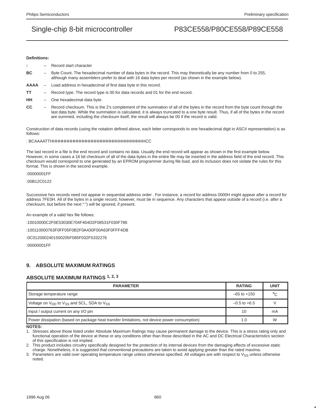#### **Definitions:**

- **:** Record start character
- **BC** Byte Count. The hexadecimal number of data bytes in the record. This may theoretically be any number from 0 to 255, although many assemblers prefer to deal with 16 data bytes per record (as shown in the example below).
- **AAAA** Load address in hexadecimal of first data byte in this record.
- **TT** Record type. The record type is 00 for data records and 01 for the end record.
- **HH** One hexadecimal data byte.
- **CC** Record checksum. This is the 2's complement of the summation of all of the bytes in the record from the byte count through the last data byte. While the summation is calculated, it is always truncated to a one byte result. Thus, if all of the bytes in the record are summed, including the checksum itself, the result will always be 00 if the record is valid.

Construction of data records (using the notation defined above, each letter corresponds to one hexadecimal digit in ASCII representation) is as follows:

: BCAAAATTHHHHHHHHHHHHHHHHHHHHHHHHHHHHHHHHCC

The last record in a file is the end record and contains no data. Usually the end record will appear as shown in the first example below. However, in some cases a 16 bit checksum of all of the data bytes in the entire file may be inserted in the address field of the end record. This checksum would correspond to one generated by an EPROM programmer during file load, and its inclusion does not violate the rules for this format. This is shown in the second example.

:00000001FF

:00B12C0122

Successive hex records need not appear in sequential address order . For instance, a record for address 0000H might appear after a record for address 7FE0H. All of the bytes in a single record, however, must be in sequence. Any characters that appear outside of a record (i.e. after a checksum, but before the next ":") will be ignored, if present.

An example of a valid hex file follows:

:10010000C2F0E53030E704F404D2F08531F030F786

:100110000763F0FF05F0B2F0A430F00A63F0FFF4DB

:0C0120002401500205F085F032F5332276

:00000001FF

### **9. ABSOLUTE MAXIMUM RATINGS**

### **ABSOLUTE MAXIMUM RATINGS 1, 2, 3**

| <b>PARAMETER</b>                                                                             | <b>RATING</b>    | <b>UNIT</b> |
|----------------------------------------------------------------------------------------------|------------------|-------------|
| Storage temperature range                                                                    | $-65$ to $+150$  | $\circ$     |
| Voltage on $V_{DD}$ to $V_{SS}$ and SCL, SDA to $V_{SS}$                                     | $-0.5$ to $+6.5$ |             |
| Input / output current on any I/O pin                                                        | 10               | mA          |
| Power dissipation (based on package heat transfer limitations, not device power consumption) | 1.0              | W           |

**NOTES:**

1. Stresses above those listed under Absolute Maximum Ratings may cause permanent damage to the device. This is a stress rating only and functional operation of the device at these or any conditions other than those described in the AC and DC Electrical Characteristics section of this specification is not implied.

2. This product includes circuitry specifically designed for the protection of its internal devices from the damaging effects of excessive static charge. Nonetheless, it is suggested that conventional precautions are taken to avoid applying greater than the rated maxima.

3. Parameters are valid over operating temperature range unless otherwise specified. All voltages are with respect to V<sub>SS</sub> unless otherwise noted.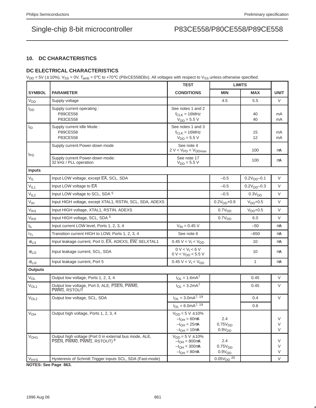### **10. DC CHARACTERISTICS**

### **DC ELECTRICAL CHARACTERISTICS**

 $V_{DD}$  = 5V ( $\pm$  10%),  $V_{SS}$  = 0V, T<sub>amb</sub> = 0°C to +70°C (P8xCE558EBx). All voltages with respect to  $V_{SS}$  unless otherwise specified.

|                        |                                                                                       | <b>TEST</b>                                                                         | <b>LIMITS</b>                                    |                         |                  |
|------------------------|---------------------------------------------------------------------------------------|-------------------------------------------------------------------------------------|--------------------------------------------------|-------------------------|------------------|
| <b>SYMBOL</b>          | <b>PARAMETER</b>                                                                      | <b>CONDITIONS</b>                                                                   | <b>MIN</b>                                       | <b>MAX</b>              | <b>UNIT</b>      |
| <b>V<sub>DD</sub></b>  | Supply voltage                                                                        |                                                                                     | 4.5                                              | 5.5                     | V                |
| <b>I</b> <sub>DD</sub> | Supply current operating:<br>P89CE558<br>P83CE558                                     | See notes 1 and 2<br>$f_{CLK} = 16 MHz$<br>$V_{DD} = 5.5 V$                         |                                                  | 40<br>40                | mA<br>mA         |
| $I_{ID}$               | Supply current Idle Mode:<br>P89CE558<br>P83CE558                                     | See notes 1 and 3<br>$f_{CLK} = 16 MHz$<br>$V_{DD} = 5.5 V$                         |                                                  | 15<br>$12 \overline{ }$ | mA<br>mA         |
|                        | Supply current Power-down mode                                                        | See note 4<br>$2 V < VPD < VDDmax$                                                  |                                                  | 100                     | μA               |
| $I_{PD}$               | Supply current Power-down mode:<br>32 kHz / PLL operation                             | See note 17<br>$V_{DD} = 5.5 V$                                                     |                                                  | 100                     | μA               |
| <b>Inputs</b>          |                                                                                       |                                                                                     |                                                  |                         |                  |
| $V_{IL}$               | Input LOW voltage, except EA, SCL, SDA                                                |                                                                                     | $-0.5$                                           | $0.2V_{DD} - 0.1$       | V                |
| $V_{IL1}$              | Input LOW voltage to EA                                                               |                                                                                     | $-0.5$                                           | $0.2V_{DD} - 0.3$       | V                |
| V <sub>IL2</sub>       | Input LOW voltage to SCL, SDA 5                                                       |                                                                                     | $-0.5$                                           | 0.3V <sub>DD</sub>      | V                |
| V <sub>IH</sub>        | Input HIGH voltage, except XTAL1, RSTIN, SCL, SDA, ADEXS                              |                                                                                     | $0.2VDD+0.9$                                     | $VDD+0.5$               | $\vee$           |
| V <sub>IH1</sub>       | Input HIGH voltage, XTAL1, RSTIN, ADEXS                                               |                                                                                     | 0.7V <sub>DD</sub>                               | $VDD+0.5$               | $\vee$           |
| V <sub>IH2</sub>       | Input HIGH voltage, SCL, SDA 5                                                        |                                                                                     | 0.7V <sub>DD</sub>                               | 6.0                     | V                |
| ΙL.                    | Input current LOW level, Ports 1, 2, 3, 4                                             | $V_{IN} = 0.45 V$                                                                   |                                                  | $-50$                   | μA               |
| I <sub>TL</sub>        | Transition current HIGH to LOW, Ports 1, 2, 3, 4                                      | See note 6                                                                          |                                                  | $-650$                  | μA               |
| $\pm I_{L11}$          | Input leakage current, Port 0, EA, ADEXS, EW, SELXTAL1                                | $0.45 V < V_1 < V_{DD}$                                                             |                                                  | 10                      | μA               |
| $\pm I_{L12}$          | Input leakage current, SCL, SDA                                                       | 0 V < V <sub>1</sub> < 6 V<br>$0 V < V_{DD} < 5.5 V$                                |                                                  | 10                      | μA               |
| $\pm I_{L13}$          | Input leakage current, Port 5                                                         | $0.45 V < V_1 < V_{DD}$                                                             |                                                  | 1                       | μA               |
| <b>Outputs</b>         |                                                                                       |                                                                                     |                                                  |                         |                  |
| V <sub>OL</sub>        | Output low voltage, Ports 1, 2, 3, 4                                                  | $I_{OL} = 1.6mA^7$                                                                  |                                                  | 0.45                    | V                |
| V <sub>OL1</sub>       | Output low voltage, Port 0, ALE, PSEN, PWM0,<br>PWM <sub>1</sub> , RSTOUT             | $I_{\Omega I} = 3.2 \text{mA}^7$                                                    |                                                  | 0.45                    | V                |
| V <sub>OL2</sub>       | Output low voltage, SCL, SDA                                                          | $I_{OL} = 3.0mA^{7, 19}$                                                            |                                                  | 0.4                     | $\vee$           |
|                        |                                                                                       | $I_{OL} = 6.0 \text{mA}^{7, 19}$                                                    |                                                  | 0.6                     |                  |
| $\overline{V}_{OH}$    | Output high voltage, Ports 1, 2, 3, 4                                                 | $V_{DD} = 5 V \pm 10\%$<br>$-IOH = 60µA$<br>$-IOH = 25µA$<br>$-IOH = 10µA$          | 2.4<br>0.75V <sub>DD</sub><br>0.9V <sub>DD</sub> |                         | $\vee$<br>V<br>V |
| V <sub>OH1</sub>       | Output high voltage (Port 0 in external bus mode, ALE,<br>PSEN, PWM0, PWM1, RSTOUT) 8 | $V_{DD} = 5 V \pm 10\%$<br>$-I_{OH} = 800 \mu A$<br>$-IOH = 300µA$<br>$-IOH = 80µA$ | 2.4<br>0.75V <sub>DD</sub><br>0.9V <sub>DD</sub> |                         | V<br>$\vee$<br>V |
| <b>V<sub>HYS</sub></b> | Hysteresis of Schmitt Trigger inputs SCL, SDA (Fast-mode)                             |                                                                                     | $0.05V_{DD}$ $^{20}$                             |                         | V                |

**NOTES: See Page 863.**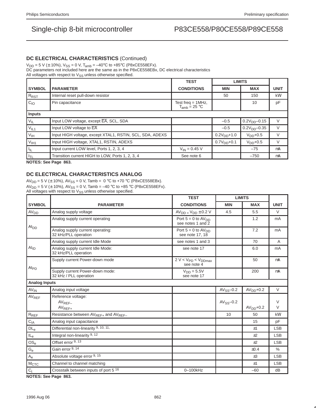### **DC ELECTRICAL CHARACTERISTICS** (Continued)

 $V_{DD} = 5$  V ( $\pm$  10%),  $V_{SS} = 0$  V,  $T_{amb} = -40$ °C to +85°C (P8xCE558EFx).

DC parameters not included here are the same as in the P8xCE558EBx, DC electrical characteristics

All voltages with respect to  $V_{SS}$  unless otherwise specified.

|                             |                                                           | <b>TEST</b>                                      | <b>LIMITS</b>   |               |             |
|-----------------------------|-----------------------------------------------------------|--------------------------------------------------|-----------------|---------------|-------------|
| <b>SYMBOL</b>               | <b>PARAMETER</b>                                          | <b>CONDITIONS</b>                                | <b>MIN</b>      | <b>MAX</b>    | <b>UNIT</b> |
| R <sub>RST</sub>            | Internal reset pull-down resistor                         |                                                  | 50              | 150           | $k\Omega$   |
| $C_{10}$                    | Pin capacitance                                           | Test freq = $1MHz$ ,<br>$T_{amb} = 25 \degree C$ |                 | 10            | pF          |
| <b>Inputs</b>               |                                                           |                                                  |                 |               |             |
| $V_{\parallel L}$           | Input LOW voltage, except EA, SCL, SDA                    |                                                  | $-0.5$          | $0.2VDD-0.15$ | $\vee$      |
| $V_{IL1}$                   | Input LOW voltage to EA                                   |                                                  | $-0.5$          | $0.2VDD-0.35$ | $\vee$      |
| $V_{\text{IH}}$             | Input HIGH voltage, except XTAL1, RSTIN, SCL, SDA, ADEXS  |                                                  | $0.2V_{DD}+1.0$ | $V_{DD}$ +0.5 | V           |
| V <sub>IH1</sub>            | Input HIGH voltage, XTAL1, RSTIN, ADEXS                   |                                                  | $0.7V_{DD}+0.1$ | $V_{DD}$ +0.5 | $\vee$      |
| ЧL                          | Input current LOW level, Ports 1, 2, 3, 4                 | $V_{IN} = 0.45 V$                                |                 | $-75$         | μA          |
| I <sub>TL</sub><br>$\cdots$ | Transition current HIGH to LOW, Ports 1, 2, 3, 4<br>- - - | See note 6                                       |                 | $-750$        | μA          |

**NOTES: See Page 863.**

## **DC ELECTRICAL CHARACTERISTICS ANALOG**

AV<sub>DD</sub> = 5 V ( $\pm$  10%), AV<sub>SS</sub> = 0 V, Tamb = 0 °C to +70 °C (P8xCE558EBx).  $AV_{DD} = 5 V (\pm 10\%)$ ,  $AV_{SS} = 0 V$ , Tamb = -40 °C to +85 °C (P8xCE558EFx). All voltages with respect to  $V_{SS}$  unless otherwise specified.

|                            |                                                              | <b>TEST</b>                                    | <b>LIMITS</b>  |            |                  |
|----------------------------|--------------------------------------------------------------|------------------------------------------------|----------------|------------|------------------|
| <b>SYMBOL</b>              | <b>PARAMETER</b>                                             | <b>CONDITIONS</b>                              | <b>MIN</b>     | <b>MAX</b> | <b>UNIT</b>      |
| AV <sub>DD</sub>           | Analog supply voltage                                        | $AV_{DD} = V_{DD} \pm 0.2 V$                   | 4.5            | 5.5        | $\vee$           |
|                            | Analog supply current operating                              | Port $5 = 0$ to $AV_{DD}$<br>see notes 1 and 2 |                | 1.2        | mA               |
| Al <sub>DD</sub>           | Analog supply current operating:<br>32 kHz/PLL operation     | Port $5 = 0$ to $AV_{DD}$<br>see note 17, 18   |                | 7.2        | mA               |
|                            | Analog supply current Idle Mode                              | see notes 1 and 3                              |                | 70         | μA               |
| $Al_{ID}$                  | Analog supply current Idle Mode:<br>32 kHz/PLL operation     | see note 17                                    |                | 6.0        | mA               |
| $Al_{PD}$                  | Supply current Power-down mode                               | $2 V < VPD < VDDmax$<br>see note 4             |                | 50         | μA               |
|                            | Supply current Power-down mode:<br>32 kHz / PLL operation    | $V_{DD} = 5.5V$<br>see note 17                 |                | 200        | μA               |
| <b>Analog Inputs</b>       |                                                              |                                                |                |            |                  |
| $AV_{IN}$                  | Analog input voltage                                         |                                                | $AV_{SS}$ -0.2 | $AVDD+0.2$ | $\vee$           |
| $AV_{REF}$                 | Reference voltage:<br>$AV_{REF-}$<br>$AV_{REF+}$             |                                                | $AV_{SS}$ -0.2 | $AVDD+0.2$ | $\vee$<br>$\vee$ |
| $R_{REF}$                  | Resistance between AV <sub>REF+</sub> and AV <sub>REF-</sub> |                                                | 10             | 50         | $k\Omega$        |
| $C_{IA}$                   | Analog input capacitance                                     |                                                |                | 15         | pF               |
| $\mathsf{DL}_\mathsf{e}$   | Differential non-linearity 9, 10, 11,                        |                                                |                | ±1         | <b>LSB</b>       |
| $\mathsf{IL}_{\mathsf{e}}$ | Integral non-linearity 9, 12                                 |                                                |                | ±2         | <b>LSB</b>       |
| $OS_e$                     | Offset error 9, 13                                           |                                                |                | $+2$       | <b>LSB</b>       |
| $\mathsf{G}_{\mathrm{e}}$  | Gain error 9, 14                                             |                                                |                | ±0.4       | $\%$             |
| $\mathsf{A}_{\mathsf{e}}$  | Absolute voltage error 9, 15                                 |                                                |                | $\pm 3$    | <b>LSB</b>       |
| M <sub>CTC</sub>           | Channel to channel matching                                  |                                                |                | ±1         | <b>LSB</b>       |
| $C_t$                      | Crosstalk between inputs of port 5 <sup>16</sup>             | 0-100kHz                                       |                | $-60$      | dB               |

**NOTES: See Page 863.**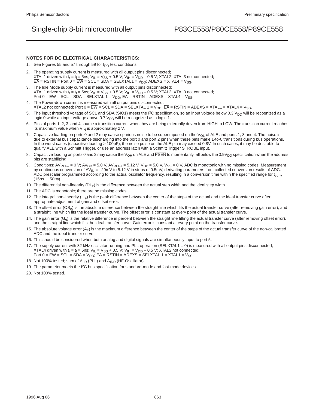### **NOTES FOR DC ELECTRICAL CHARACTERISTICS:**

- 1. See Figures 55 and 57 through 59 for  $I_{DD}$  test conditions.
- 2. The operating supply current is measured with all output pins disconnected; XTAL1 driven with  $t_r = t_f = 5$ ns;  $V_{IL} = V_{SS} + 0.5 V$ ;  $V_{IH} = V_{DD} - 0.5 V$ ; XTAL2, XTAL3 not connected;  $\overline{\mathsf{EA}}$  = RSTIN = Port 0 =  $\overline{\mathsf{EW}}$  = SCL = SDA = SELXTAL1 = V<sub>DD</sub>; ADEXS = XTAL4 = V<sub>SS</sub>.
- 3. The Idle Mode supply current is measured with all output pins disconnected; XTAL1 driven with  $t_r = t_f = 5$ ns;  $V_{IL} = V_{SS} + 0.5 V$ ;  $V_{IH} = V_{DD} - 0.5 V$ ; XTAL2, XTAL3 not connected; Port  $0 = \overline{EW} = \text{SCL} = \text{SDA} = \text{SELXTAL}$  1 =  $\text{V}_{\text{DD}}$ ;  $\overline{\text{EA}} = \text{RSTIN} = \text{ADEXS} = \text{XTAL4} = \text{V}_{\text{SS}}$ .
- 4. The Power-down current is measured with all output pins disconnected; XTAL2 not connected; Port  $0 = \overline{EW} = \text{SCL} = \text{SDA} = \text{SELXTAL}$  1 =  $\vee_{DD}$ ;  $\overline{EA} = \text{RSTIN} = \text{ADEXS} = \text{XTAL1} = \text{XTAL4} = \vee_{SS}$ .
- 5. The input threshold voltage of SCL and SDA (SIO1) meets the  ${}^1C$  specification, so an input voltage below 0.3 V<sub>DD</sub> will be recognized as a logic 0 while an input voltage above 0.7  $V_{DD}$  will be recognized as a logic 1.
- 6. Pins of ports 1, 2, 3, and 4 source a transition current when they are being externally driven from HIGH to LOW. The transition current reaches its maximum value when  $V_{IN}$  is approximately 2 V.
- 7. Capacitive loading on ports 0 and 2 may cause spurious noise to be superimposed on the  $V_{OL}$  of ALE and ports 1, 3 and 4. The noise is due to external bus capacitance discharging into the port 0 and port 2 pins when these pins make 1-to-0 transitions during bus operations. In the worst cases (capacitive loading > 100pF), the noise pulse on the ALE pin may exceed 0.8V. In such cases, it may be desirable to qualify ALE with a Schmitt Trigger, or use an address latch with a Schmitt Trigger STROBE input.
- 8. Capacitive loading on ports 0 and 2 may cause the V<sub>OH</sub> on ALE and PSEN to momentarily fall below the 0.9V<sub>DD</sub> specification when the address bits are stabilizing.
- 9. Conditions:  $AV_{REF} = 0$  V;  $AV_{DD} = 5.0$  V,  $AV_{REF+} = 5.12$  V.  $V_{DD} = 5.0$  V,  $V_{SS} = 0$  V, ADC is monotonic with no missing codes. Measurement by continuous conversion of  $AV_{IN} = -20$ mV to 5.12 V in steps of 0.5mV, derivating parameters from collected conversion results of ADC. ADC prescaler programmed according to the actual oscillator frequency, resulting in a conversion time within the specified range for t<sub>conv</sub> (15µs ... 50µs).
- 10. The differential non-linearity (DL<sub>e</sub>) is the difference between the actual step width and the ideal step width.
- 11. The ADC is monotonic; there are no missing codes.
- 12. The integral non-linearity  $(IL<sub>e</sub>)$  is the peak difference between the center of the steps of the actual and the ideal transfer curve after appropriate adjustment of gain and offset error.
- 13. The offset error  $(OS<sub>e</sub>)$  is the absolute difference between the straight line which fits the actual transfer curve (after removing gain error), and a straight line which fits the ideal transfer curve. The offset error is constant at every point of the actual transfer curve.
- 14. The gain error (G<sub>e</sub>) is the relative difference in percent between the straight line fitting the actual transfer curve (after removing offset error), and the straight line which fits the ideal transfer curve. Gain error is constant at every point on the transfer curve.
- 15. The absolute voltage error  $(A<sub>e</sub>)$  is the maximum difference between the center of the steps of the actual transfer curve of the non-calibrated ADC and the ideal transfer curve.
- 16. This should be considered when both analog and digital signals are simultaneously input to port 5.
- 17. The supply current with 32 kHz oscillator running and PLL operation (SELXTAL1 = 0) is measured with all output pins disconnected; XTAL4 driven with t<sub>r</sub> = t<sub>f</sub> = 5ns;  $V_{I L} = V_{SS} + 0.5 V$ ;  $V_{I H} = V_{DD} - 0.5 V$ ; XTAL2 not connected; Port 0 =  $\overline{\rm EW}$  = SCL = SDA = V<sub>DD</sub>;  $\overline{\rm EA}$  = RSTIN = ADEXS = SELXTAL 1 = XTAL1 = V<sub>SS</sub>.
- 18. Not 100% tested; sum of A<sub>IID</sub> (PLL) and A<sub>IDD</sub> (HF-Oscillator).
- 19. The parameter meets the  $1<sup>2</sup>C$  bus specification for standard-mode and fast-mode devices.
- 20. Not 100% tested.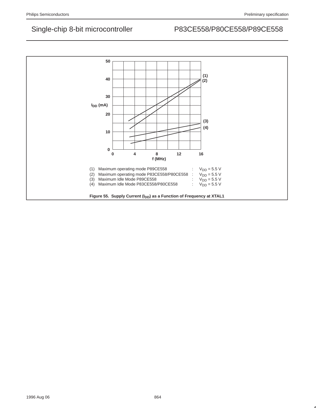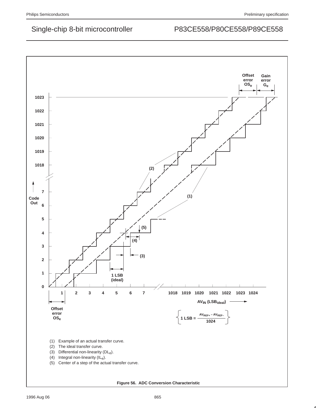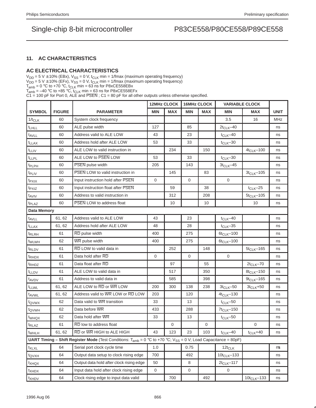## **11. AC CHARACTERISTICS**

### **AC ELECTRICAL CHARACTERISTICS**

 $V_{DD}$  = 5 V  $\pm$  10% (EBx),  $V_{SS}$  = 0 V, t<sub>CLK</sub> min = 1/fmax (maximum operating frequency)

 $V_{DD}$  = 5 V  $\pm$  10% (EFx),  $V_{SS}$  = 0 V, t<sub>CLK</sub> min = 1/fmax (maximum operating frequency)

T<sub>amb</sub> = –40 °C to +85 °C, t<sub>CLK</sub> min = 63 ns for P8xCE558EFx<br>C1 = 100 pF for Port 0, ALE and PSEN ; C1 = 80 pF for all other outputs unless otherwise specified.

|                    |               |                                                                                                                                               | <b>12MHz CLOCK</b> |             | <b>16MHz CLOCK</b> |             | <b>VARIABLE CLOCK</b> |                   |             |
|--------------------|---------------|-----------------------------------------------------------------------------------------------------------------------------------------------|--------------------|-------------|--------------------|-------------|-----------------------|-------------------|-------------|
| <b>SYMBOL</b>      | <b>FIGURE</b> | <b>PARAMETER</b>                                                                                                                              | <b>MIN</b>         | <b>MAX</b>  | <b>MIN</b>         | <b>MAX</b>  | <b>MIN</b>            | <b>MAX</b>        | <b>UNIT</b> |
| $1/t_{CLK}$        | 60            | System clock frequency                                                                                                                        |                    |             |                    |             | 3.5                   | 16                | MHz         |
| <b>t</b> LHLL      | 60            | ALE pulse width                                                                                                                               | 127                |             | 85                 |             | $2t_{CLK} - 40$       |                   | ns          |
| t <sub>AVLL</sub>  | 60            | Address valid to ALE LOW                                                                                                                      | 43                 |             | 23                 |             | $t_{CLK}$ -40         |                   | ns          |
| t <sub>LLAX</sub>  | 60            | Address hold after ALE LOW                                                                                                                    | 53                 |             | 33                 |             | $t_{CLK}$ -30         |                   | ns          |
| t <sub>LLIV</sub>  | 60            | ALE LOW to valid instruction in                                                                                                               |                    | 234         |                    | 150         |                       | $4t_{CLK} - 100$  | ns          |
| t <sub>LLPL</sub>  | 60            | ALE LOW to PSEN LOW                                                                                                                           | 53                 |             | 33                 |             | $t_{CLK}$ -30         |                   | ns          |
| t <sub>PLPH</sub>  | 60            | <b>PSEN</b> pulse width                                                                                                                       | 205                |             | 143                |             | $3t_{CLK} - 45$       |                   | ns          |
| t <sub>PLIV</sub>  | 60            | PSEN LOW to valid instruction in                                                                                                              |                    | 145         |                    | 83          |                       | $3t_{CLK} - 105$  | ns          |
| t <sub>PXIX</sub>  | 60            | Input instruction hold after PSEN                                                                                                             | $\mathbf{0}$       |             | $\mathbf 0$        |             | $\Omega$              |                   | ns          |
| tpxız              | 60            | Input instruction float after PSEN                                                                                                            |                    | 59          |                    | 38          |                       | $t_{CLK}$ -25     | ns          |
| t <sub>AVIV</sub>  | 60            | Address to valid instruction in                                                                                                               |                    | 312         |                    | 208         |                       | $5t_{CLK} - 105$  | ns          |
| t <sub>PLAZ</sub>  | 60            | <b>PSEN LOW to address float</b>                                                                                                              |                    | 10          |                    | 10          |                       | 10                | ns          |
| <b>Data Memory</b> |               |                                                                                                                                               |                    |             |                    |             |                       |                   |             |
| t <sub>AVLL</sub>  | 61, 62        | Address valid to ALE LOW                                                                                                                      | 43                 |             | 23                 |             | $t_{CLK}$ -40         |                   | ns          |
| <sup>t</sup> LLAX  | 61, 62        | Address hold after ALE LOW                                                                                                                    | 48                 |             | 28                 |             | $t_{CLK}$ -35         |                   | ns          |
| <sup>t</sup> RLRH  | 61            | RD pulse width                                                                                                                                | 400                |             | 275                |             | $6t_{CLK} - 100$      |                   | ns          |
| t <sub>WLWH</sub>  | 62            | WR pulse width                                                                                                                                | 400                |             | 275                |             | $6t_{CLK} - 100$      |                   | ns          |
| t <sub>RLDV</sub>  | 61            | RD LOW to valid data in                                                                                                                       |                    | 252         |                    | 148         |                       | $5t_{CLK} - 165$  | ns          |
| t <sub>RHDX</sub>  | 61            | Data hold after RD                                                                                                                            | $\mathbf 0$        |             | $\mathbf 0$        |             | $\mathbf{0}$          |                   | ns          |
| <sup>t</sup> RHDZ  | 61            | Data float after RD                                                                                                                           |                    | 97          |                    | 55          |                       | $2t_{CLK}$ -70    | ns          |
| t <sub>LLDV</sub>  | 61            | ALE LOW to valid data in                                                                                                                      |                    | 517         |                    | 350         |                       | $8t_{CLK} - 150$  | ns          |
| t <sub>AVDV</sub>  | 61            | Address to valid data in                                                                                                                      |                    | 585         |                    | 398         |                       | $9t_{CLK} - 165$  | ns          |
| t <sub>LLWL</sub>  | 61, 62        | ALE LOW to RD or WR LOW                                                                                                                       | 200                | 300         | 138                | 238         | $3t_{CLK}$ -50        | $3t_{CLK} + 50$   | ns          |
| t <sub>AVWL</sub>  | 61, 62        | Address valid to WR LOW or RD LOW                                                                                                             | 203                |             | 120                |             | $4t_{CLK} - 130$      |                   | ns          |
| t <sub>QVWX</sub>  | 62            | Data valid to WR transition                                                                                                                   | 33                 |             | 13                 |             | $t_{CLK}$ -50         |                   | ns          |
| t <sub>QVWH</sub>  | 62            | Data before WR                                                                                                                                | 433                |             | 288                |             | $7t_{CLK}$ -150       |                   | ns          |
| t <sub>WHQX</sub>  | 62            | Data hold after WR                                                                                                                            | 33                 |             | 13                 |             | $t_{CLK}$ -50         |                   | ns          |
| t <sub>RLAZ</sub>  | 61            | RD low to address float                                                                                                                       |                    | $\mathbf 0$ |                    | $\mathbf 0$ |                       | 0                 | ns          |
| <sup>I</sup> WHLH  | 61, 62        | RD or WR HIGH to ALE HIGH                                                                                                                     | 43                 | 123         | 23                 | 103         | $t_{CLK}$ -40         | $t_{CLK} + 40$    | ns          |
|                    |               | <b>UART Timing – Shift Register Mode</b> (Test Conditions: T <sub>amb</sub> = 0 °C to +70 °C; V <sub>SS</sub> = 0 V; Load Capacitance = 80pF) |                    |             |                    |             |                       |                   |             |
| t <sub>XLXL</sub>  | 64            | Serial port clock cycle time                                                                                                                  | 1.0                |             | 0.75               |             | $12t_{CLK}$           |                   | μs          |
| t <sub>QVXH</sub>  | 64            | Output data setup to clock rising edge                                                                                                        | 700                |             | 492                |             | $10t_{CLK} - 133$     |                   | ns          |
| t <sub>XHQX</sub>  | 64            | Output data hold after clock rising edge                                                                                                      | 50                 |             | 8                  |             | $2t_{CLK} - 117$      |                   | ns          |
| txhdx              | 64            | Input data hold after clock rising edge                                                                                                       | 0                  |             | 0                  |             | 0                     |                   | ns          |
| $t_{XHDV}$         | 64            | Clock rising edge to input data valid                                                                                                         |                    | 700         |                    | 492         |                       | $10t_{CLK} - 133$ | ns          |

 $T_{amb}$  = 0 °C to +70 °C, t<sub>CLK</sub> min = 63 ns for P8xCE558EBx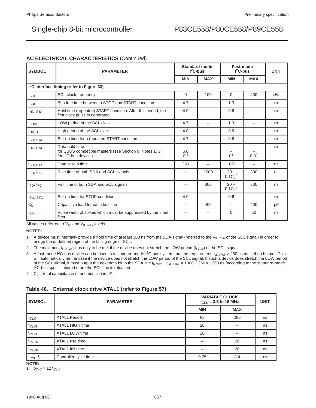## **AC ELECTRICAL CHARACTERISTICS** (Continued)

| <b>SYMBOL</b>         | <b>PARAMETER</b>                                                                                               | Standard-mode<br>$12C$ -bus |                          | Fast-mode<br>$12C$ -bus                   |                          | <b>UNIT</b> |
|-----------------------|----------------------------------------------------------------------------------------------------------------|-----------------------------|--------------------------|-------------------------------------------|--------------------------|-------------|
|                       |                                                                                                                | <b>MIN</b>                  | <b>MAX</b>               | <b>MIN</b>                                | <b>MAX</b>               |             |
|                       | I <sup>2</sup> C Interface timing (refer to Figure 63)                                                         |                             |                          |                                           |                          |             |
| $f_{SCL}$             | <b>SCL clock frequency</b>                                                                                     | $\Omega$                    | 100                      | $\Omega$                                  | 400                      | kHz         |
| $t_{\text{BUF}}$      | Bus free time between a STOP and START condition                                                               | 4.7                         | $\overline{\phantom{0}}$ | 1.3                                       |                          | μs          |
| <sup>t</sup> HD: STA  | 4.0<br>Hold time (repeated) START condition. After this period, the<br>-<br>first clock pulse is generated     |                             |                          | 0.6                                       |                          | $\mu$ s     |
| t <sub>LOW</sub>      | LOW period of the SCL clock                                                                                    | 4.7                         | $\overline{\phantom{0}}$ | 1.3                                       | $\overline{\phantom{0}}$ | $\mu$ s     |
| <sup>t</sup> HIGH     | High period of the SCL clock                                                                                   | 4.0                         | —                        | 0.6                                       | -                        | μs          |
| <sup>t</sup> SU: STA  | Set-up time for a repeated START condition                                                                     | 4.7                         | -                        | 0.6                                       |                          | μs          |
| <sup>t</sup> HD; DAT  | Data hold time:<br>for CBUS competible masters (see Section 9, Notes 1, 3)<br>for I <sup>2</sup> C-bus devices | 5.0<br>0 <sup>1</sup>       |                          | 0 <sup>1</sup>                            | 0.9 <sup>2</sup>         | μs          |
| t <sub>SU</sub> : DAT | Data set-up time                                                                                               | 250                         |                          | $100^{3}$                                 |                          | ns          |
| $t_{FD}$ , $t_{FC}$   | Rise time of both SDA and SCL signals                                                                          | -                           | 1000                     | $20 +$<br>0.1 C <sub>h</sub> <sup>4</sup> | 300                      | ns          |
| $t_{FD}$ , $t_{FC}$   | Fall time of both SDA and SCL signals                                                                          | -                           | 300                      | $20 +$<br>$0.1 C_{b}^{4}$                 | 300                      | ns          |
| tsu; sto              | Set-up time for STOP condition                                                                                 | 4.0                         | $\overline{\phantom{0}}$ | 0.6                                       | $\overline{\phantom{0}}$ | μs          |
| $C_b$                 | Capacitive load for each bus line                                                                              | -                           | 400                      | -                                         | 400                      | pF          |
| t <sub>SP</sub>       | Pulse width of spikes which must be suppressed by the input<br>filter                                          |                             |                          | $\Omega$                                  | 50                       | ns          |

All values referred to  $V_{\text{IH}}$  and  $V_{\text{IL max}}$  levels.

**NOTES:**

- 1. A device must internally provide a hold time of at least 300 ns from the SDA signal (referred to the V<sub>IH min</sub> of the SCL signal) in order to bridge the undefined region of the falling edge of SCL.
- 2. The maximum t<sub>HD,DAT</sub> has only to be met if the device does not stretch the LOW period (t<sub>LOW</sub>) of the SCL signal.
- 3. A fast-mode I<sup>2</sup>C-bus device can be used in a standard-mode I<sup>2</sup>C-bus system, but the requirement t<sub>SU,DAT</sub>  $\geq$  250 ns must then be met. This will automatically be the case if the device does not stretch the LOW period of the SCL signal. If such a device does stretch the LOW period of the SCL signal, it must output the next data bit to the SDA line t<sub>Rmax</sub> + t<sub>SU,DAT</sub> = 1000 + 250 = 1250 ns (according to the standard-mode I<sup>2</sup>C-bus specification) before the SCL line is released.

4.  $C_b$  = total capacitance of one bus line in pF.

### **Table 46. External clock drive XTAL1 (refer to Figure 57)**

| <b>SYMBOL</b>           | <b>PARAMETER</b>      | <b>VARIABLE CLOCK</b><br>$f_{CLK}$ = 3.5 to 16 MHz | <b>UNIT</b> |    |
|-------------------------|-----------------------|----------------------------------------------------|-------------|----|
|                         |                       | <b>MIN</b>                                         | <b>MAX</b>  |    |
| $t_{CLK}$               | <b>XTAL1 Period</b>   | 63                                                 | 286         | ns |
| t <sub>CLKH</sub>       | XTAL1 HIGH time       | 20                                                 |             | ns |
| t <sub>CLKL</sub>       | XTAL1 LOW time        | 20                                                 |             | ns |
| t <sub>CLKR</sub>       | XTAL1 rise time       |                                                    | 20          | ns |
| t <sub>CLKF</sub>       | XTAL1 fall time       |                                                    | 20          | ns |
| $t_{CYC}$ <sup>1)</sup> | Controller cycle time | 0.75                                               | 3.4         | μs |

**NOTE:**

1.  $t_{CYC} = 12 f_{CLK}$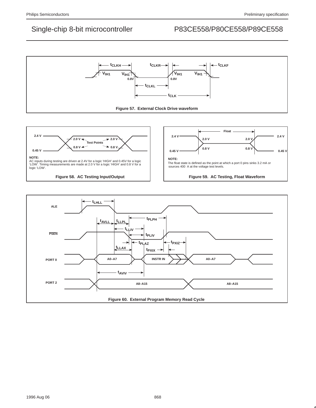



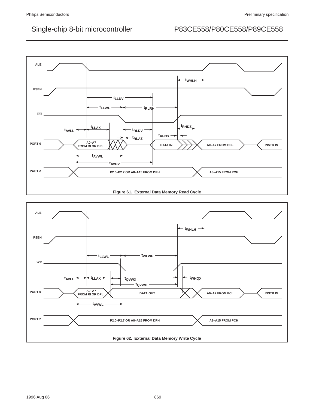

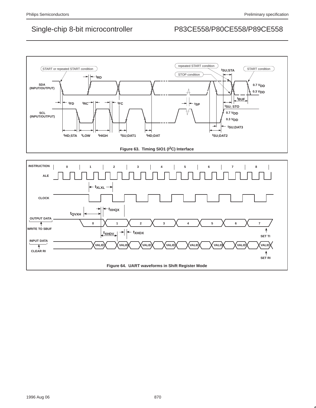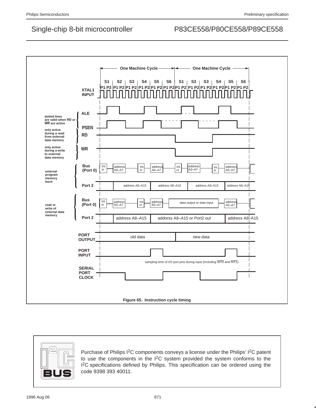



Purchase of Philips I<sup>2</sup>C components conveys a license under the Philips' I<sup>2</sup>C patent to use the components in the I2C system provided the system conforms to the <sup>12</sup>C specifications defined by Philips. This specification can be ordered using the code 9398 393 40011.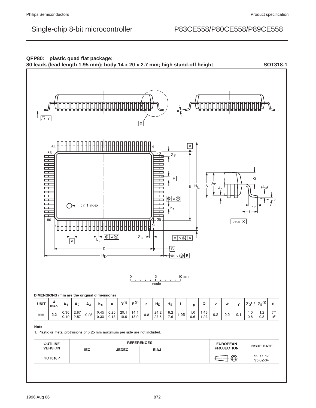